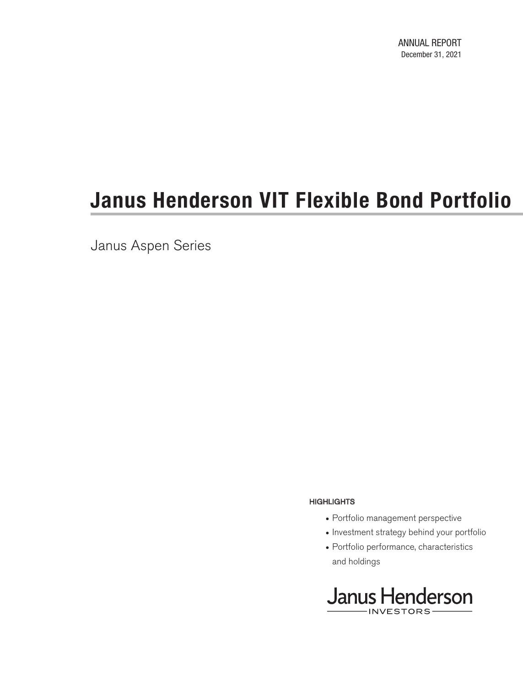Janus Aspen Series

#### **HIGHLIGHTS**

- Portfolio management perspective
- Investment strategy behind your portfolio
- Portfolio performance, characteristics and holdings

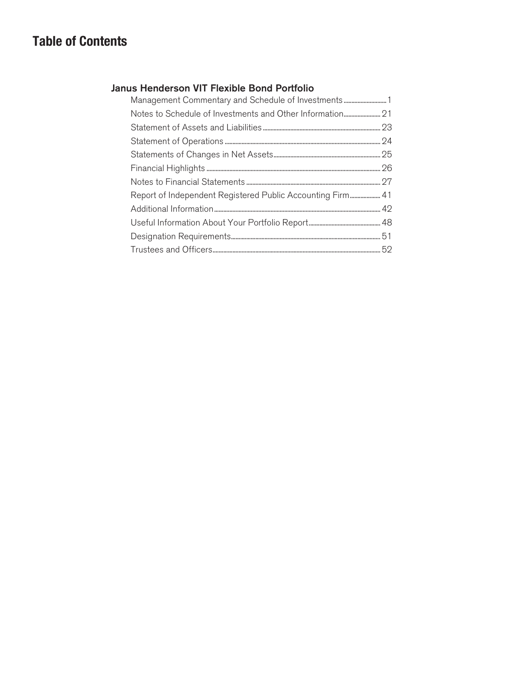## **Table of Contents**

### Janus Henderson VIT Flexible Bond Portfolio

| Management Commentary and Schedule of Investments1         |
|------------------------------------------------------------|
|                                                            |
|                                                            |
|                                                            |
|                                                            |
|                                                            |
|                                                            |
| Report of Independent Registered Public Accounting Firm 41 |
|                                                            |
|                                                            |
|                                                            |
|                                                            |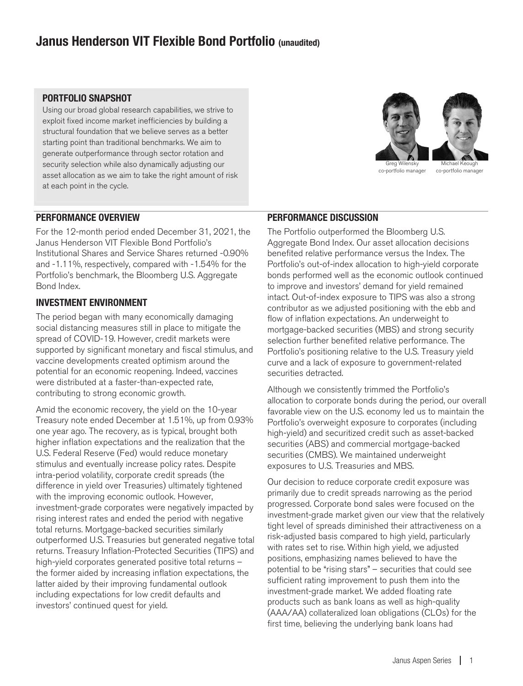### **Janus Henderson VIT Flexible Bond Portfolio (unaudited)**

### **PORTFOLIO SNAPSHOT**

Using our broad global research capabilities, we strive to exploit fixed income market inefficiencies by building a structural foundation that we believe serves as a better starting point than traditional benchmarks. We aim to generate outperformance through sector rotation and security selection while also dynamically adjusting our asset allocation as we aim to take the right amount of risk at each point in the cycle.



co-portfolio manager

co-portfolio manager

#### **PERFORMANCE OVERVIEW**

For the 12-month period ended December 31, 2021, the Janus Henderson VIT Flexible Bond Portfolio's Institutional Shares and Service Shares returned -0.90% and -1.11%, respectively, compared with -1.54% for the Portfolio's benchmark, the Bloomberg U.S. Aggregate Bond Index.

### **INVESTMENT ENVIRONMENT**

The period began with many economically damaging social distancing measures still in place to mitigate the spread of COVID-19. However, credit markets were supported by significant monetary and fiscal stimulus, and vaccine developments created optimism around the potential for an economic reopening. Indeed, vaccines were distributed at a faster-than-expected rate, contributing to strong economic growth.

Amid the economic recovery, the yield on the 10-year Treasury note ended December at 1.51%, up from 0.93% one year ago. The recovery, as is typical, brought both higher inflation expectations and the realization that the U.S. Federal Reserve (Fed) would reduce monetary stimulus and eventually increase policy rates. Despite intra-period volatility, corporate credit spreads (the difference in yield over Treasuries) ultimately tightened with the improving economic outlook. However, investment-grade corporates were negatively impacted by rising interest rates and ended the period with negative total returns. Mortgage-backed securities similarly outperformed U.S. Treasuries but generated negative total returns. Treasury Inflation-Protected Securities (TIPS) and high-yield corporates generated positive total returns – the former aided by increasing inflation expectations, the latter aided by their improving fundamental outlook including expectations for low credit defaults and investors' continued quest for yield.

### **PERFORMANCE DISCUSSION**

The Portfolio outperformed the Bloomberg U.S. Aggregate Bond Index. Our asset allocation decisions benefited relative performance versus the Index. The Portfolio's out-of-index allocation to high-yield corporate bonds performed well as the economic outlook continued to improve and investors' demand for yield remained intact. Out-of-index exposure to TIPS was also a strong contributor as we adjusted positioning with the ebb and flow of inflation expectations. An underweight to mortgage-backed securities (MBS) and strong security selection further benefited relative performance. The Portfolio's positioning relative to the U.S. Treasury yield curve and a lack of exposure to government-related securities detracted.

Although we consistently trimmed the Portfolio's allocation to corporate bonds during the period, our overall favorable view on the U.S. economy led us to maintain the Portfolio's overweight exposure to corporates (including high-yield) and securitized credit such as asset-backed securities (ABS) and commercial mortgage-backed securities (CMBS). We maintained underweight exposures to U.S. Treasuries and MBS.

Our decision to reduce corporate credit exposure was primarily due to credit spreads narrowing as the period progressed. Corporate bond sales were focused on the investment-grade market given our view that the relatively tight level of spreads diminished their attractiveness on a risk-adjusted basis compared to high yield, particularly with rates set to rise. Within high yield, we adjusted positions, emphasizing names believed to have the potential to be "rising stars" – securities that could see sufficient rating improvement to push them into the investment-grade market. We added floating rate products such as bank loans as well as high-quality (AAA/AA) collateralized loan obligations (CLOs) for the first time, believing the underlying bank loans had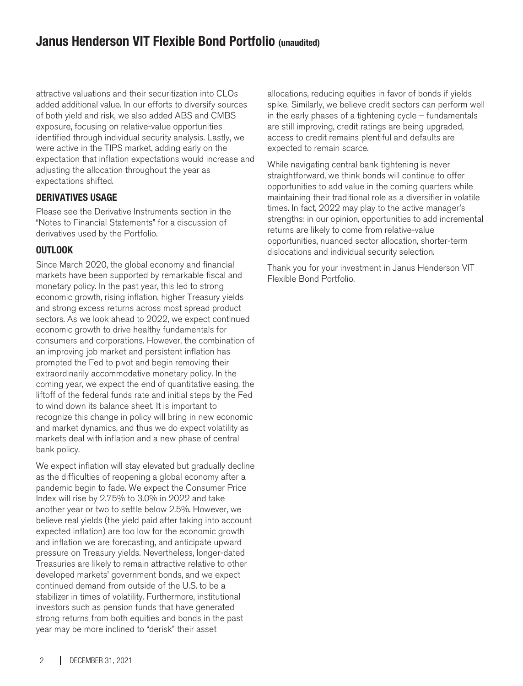### **Janus Henderson VIT Flexible Bond Portfolio (unaudited)**

attractive valuations and their securitization into CLOs added additional value. In our efforts to diversify sources of both yield and risk, we also added ABS and CMBS exposure, focusing on relative-value opportunities identified through individual security analysis. Lastly, we were active in the TIPS market, adding early on the expectation that inflation expectations would increase and adjusting the allocation throughout the year as expectations shifted.

### **DERIVATIVES USAGE**

Please see the Derivative Instruments section in the "Notes to Financial Statements" for a discussion of derivatives used by the Portfolio.

### **OUTLOOK**

Since March 2020, the global economy and financial markets have been supported by remarkable fiscal and monetary policy. In the past year, this led to strong economic growth, rising inflation, higher Treasury yields and strong excess returns across most spread product sectors. As we look ahead to 2022, we expect continued economic growth to drive healthy fundamentals for consumers and corporations. However, the combination of an improving job market and persistent inflation has prompted the Fed to pivot and begin removing their extraordinarily accommodative monetary policy. In the coming year, we expect the end of quantitative easing, the liftoff of the federal funds rate and initial steps by the Fed to wind down its balance sheet. It is important to recognize this change in policy will bring in new economic and market dynamics, and thus we do expect volatility as markets deal with inflation and a new phase of central bank policy.

We expect inflation will stay elevated but gradually decline as the difficulties of reopening a global economy after a pandemic begin to fade. We expect the Consumer Price Index will rise by 2.75% to 3.0% in 2022 and take another year or two to settle below 2.5%. However, we believe real yields (the yield paid after taking into account expected inflation) are too low for the economic growth and inflation we are forecasting, and anticipate upward pressure on Treasury yields. Nevertheless, longer-dated Treasuries are likely to remain attractive relative to other developed markets' government bonds, and we expect continued demand from outside of the U.S. to be a stabilizer in times of volatility. Furthermore, institutional investors such as pension funds that have generated strong returns from both equities and bonds in the past year may be more inclined to "derisk" their asset

allocations, reducing equities in favor of bonds if yields spike. Similarly, we believe credit sectors can perform well in the early phases of a tightening cycle – fundamentals are still improving, credit ratings are being upgraded, access to credit remains plentiful and defaults are expected to remain scarce.

While navigating central bank tightening is never straightforward, we think bonds will continue to offer opportunities to add value in the coming quarters while maintaining their traditional role as a diversifier in volatile times. In fact, 2022 may play to the active manager's strengths; in our opinion, opportunities to add incremental returns are likely to come from relative-value opportunities, nuanced sector allocation, shorter-term dislocations and individual security selection.

Thank you for your investment in Janus Henderson VIT Flexible Bond Portfolio.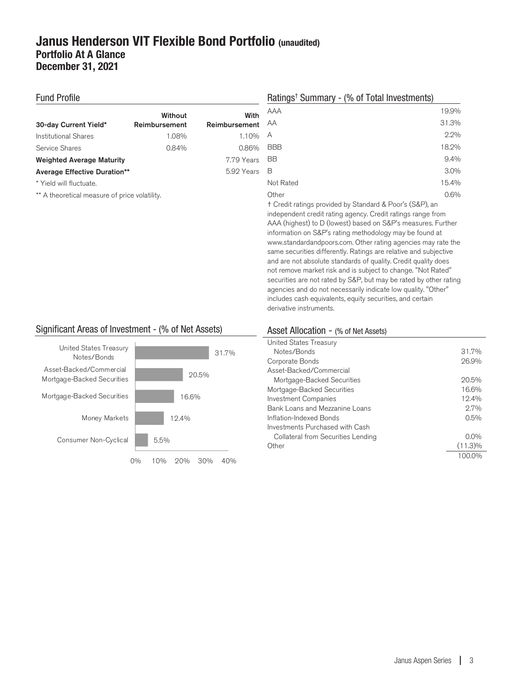### **Janus Henderson VIT Flexible Bond Portfolio (unaudited) Portfolio At A Glance December 31, 2021**

#### Fund Profile

|                                     | Without       | With          |
|-------------------------------------|---------------|---------------|
| 30-day Current Yield*               | Reimbursement | Reimbursement |
| Institutional Shares                | 1.08%         | 1.10%         |
| Service Shares                      | 0.84%         | 0.86%         |
| <b>Weighted Average Maturity</b>    |               | 7.79 Years    |
| <b>Average Effective Duration**</b> |               | 5.92 Years    |
|                                     |               |               |

\* Yield will fluctuate.

\*\* A theoretical measure of price volatility.

### Ratings† Summary - (% of Total Investments)

| AAA        | 19.9% |
|------------|-------|
| AA         | 31.3% |
| А          | 2.2%  |
| <b>BBB</b> | 18.2% |
| <b>BB</b>  | 9.4%  |
| В          | 3.0%  |
| Not Rated  | 15.4% |
| Other      | 0.6%  |

† Credit ratings provided by Standard & Poor's (S&P), an independent credit rating agency. Credit ratings range from AAA (highest) to D (lowest) based on S&P's measures. Further information on S&P's rating methodology may be found at www.standardandpoors.com. Other rating agencies may rate the same securities differently. Ratings are relative and subjective and are not absolute standards of quality. Credit quality does not remove market risk and is subject to change. "Not Rated" securities are not rated by S&P, but may be rated by other rating agencies and do not necessarily indicate low quality. "Other" includes cash equivalents, equity securities, and certain derivative instruments.

### Significant Areas of Investment - (% of Net Assets)



### Asset Allocation - (% of Net Assets)

| United States Treasury             |            |
|------------------------------------|------------|
| Notes/Bonds                        | 31.7%      |
| Corporate Bonds                    | 26.9%      |
| Asset-Backed/Commercial            |            |
| Mortgage-Backed Securities         | 20.5%      |
| Mortgage-Backed Securities         | 16.6%      |
| <b>Investment Companies</b>        | 12.4%      |
| Bank Loans and Mezzanine Loans     | 2.7%       |
| Inflation-Indexed Bonds            | 0.5%       |
| Investments Purchased with Cash    |            |
| Collateral from Securities Lending | $0.0\%$    |
| Other                              | $(11.3)\%$ |
|                                    | 1 በበ በ%    |
|                                    |            |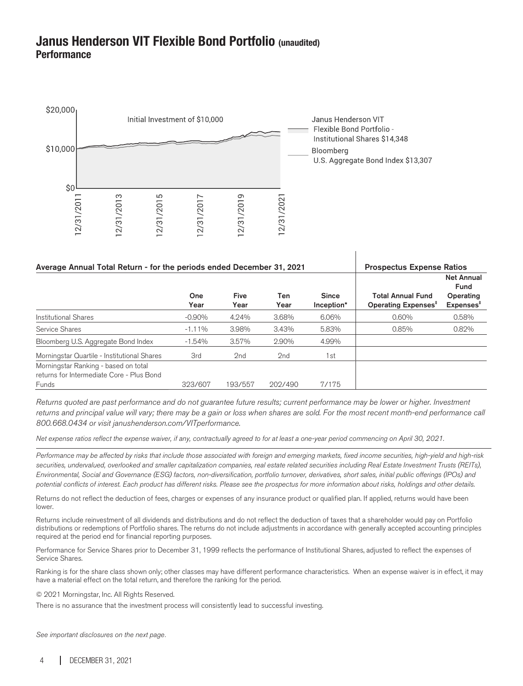### **Janus Henderson VIT Flexible Bond Portfolio (unaudited) Performance**



| Average Annual Total Return - for the periods ended December 31, 2021                      |             |                     |                 | <b>Prospectus Expense Ratios</b> |                                                             |                                                                 |
|--------------------------------------------------------------------------------------------|-------------|---------------------|-----------------|----------------------------------|-------------------------------------------------------------|-----------------------------------------------------------------|
|                                                                                            | One<br>Year | <b>Five</b><br>Year | Ten<br>Year     | <b>Since</b><br>Inception*       | <b>Total Annual Fund</b><br>Operating Expenses <sup>#</sup> | <b>Net Annual</b><br>Fund<br>Operating<br>Expenses <sup>†</sup> |
| Institutional Shares                                                                       | $-0.90\%$   | 4.24%               | 3.68%           | 6.06%                            | 0.60%                                                       | 0.58%                                                           |
| Service Shares                                                                             | $-1.11%$    | 3.98%               | 3.43%           | 5.83%                            | 0.85%                                                       | 0.82%                                                           |
| Bloomberg U.S. Aggregate Bond Index                                                        | $-1.54%$    | 3.57%               | 2.90%           | 4.99%                            |                                                             |                                                                 |
| Morningstar Quartile - Institutional Shares                                                | 3rd         | 2 <sub>nd</sub>     | 2 <sub>nd</sub> | 1st                              |                                                             |                                                                 |
| Morningstar Ranking - based on total<br>returns for Intermediate Core - Plus Bond<br>Funds | 323/607     | 193/557             | 202/490         | 7/175                            |                                                             |                                                                 |

 $\overline{1}$ 

Returns quoted are past performance and do not guarantee future results; current performance may be lower or higher. Investment returns and principal value will vary; there may be a gain or loss when shares are sold. For the most recent month-end performance call 800.668.0434 or visit janushenderson.com/VITperformance.

Net expense ratios reflect the expense waiver, if any, contractually agreed to for at least a one-year period commencing on April 30, 2021.

Performance may be affected by risks that include those associated with foreign and emerging markets, fixed income securities, high-yield and high-risk securities, undervalued, overlooked and smaller capitalization companies, real estate related securities including Real Estate Investment Trusts (REITs), Environmental, Social and Governance (ESG) factors, non-diversification, portfolio turnover, derivatives, short sales, initial public offerings (IPOs) and potential conflicts of interest. Each product has different risks. Please see the prospectus for more information about risks, holdings and other details.

Returns do not reflect the deduction of fees, charges or expenses of any insurance product or qualified plan. If applied, returns would have been lower.

Returns include reinvestment of all dividends and distributions and do not reflect the deduction of taxes that a shareholder would pay on Portfolio distributions or redemptions of Portfolio shares. The returns do not include adjustments in accordance with generally accepted accounting principles required at the period end for financial reporting purposes.

Performance for Service Shares prior to December 31, 1999 reflects the performance of Institutional Shares, adjusted to reflect the expenses of Service Shares.

Ranking is for the share class shown only; other classes may have different performance characteristics. When an expense waiver is in effect, it may have a material effect on the total return, and therefore the ranking for the period.

© 2021 Morningstar, Inc. All Rights Reserved.

There is no assurance that the investment process will consistently lead to successful investing.

See important disclosures on the next page.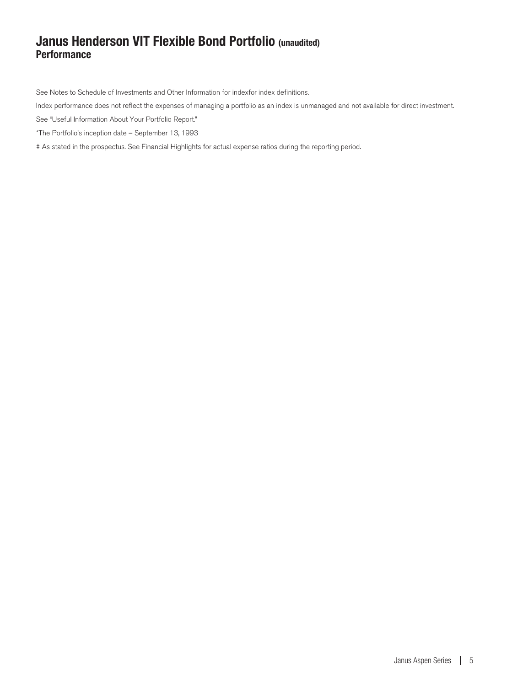### **Janus Henderson VIT Flexible Bond Portfolio (unaudited) Performance**

See Notes to Schedule of Investments and Other Information for indexfor index definitions.

Index performance does not reflect the expenses of managing a portfolio as an index is unmanaged and not available for direct investment.

See "Useful Information About Your Portfolio Report."

\*The Portfolio's inception date – September 13, 1993

‡ As stated in the prospectus. See Financial Highlights for actual expense ratios during the reporting period.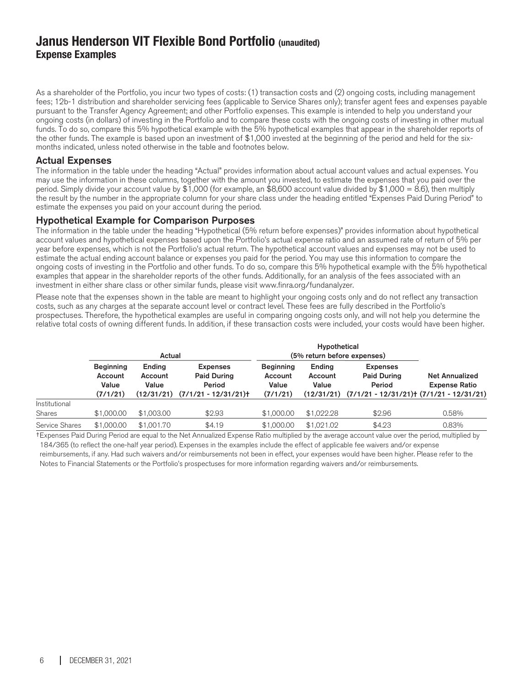### **Janus Henderson VIT Flexible Bond Portfolio (unaudited) Expense Examples**

As a shareholder of the Portfolio, you incur two types of costs: (1) transaction costs and (2) ongoing costs, including management fees; 12b-1 distribution and shareholder servicing fees (applicable to Service Shares only); transfer agent fees and expenses payable pursuant to the Transfer Agency Agreement; and other Portfolio expenses. This example is intended to help you understand your ongoing costs (in dollars) of investing in the Portfolio and to compare these costs with the ongoing costs of investing in other mutual funds. To do so, compare this 5% hypothetical example with the 5% hypothetical examples that appear in the shareholder reports of the other funds. The example is based upon an investment of \$1,000 invested at the beginning of the period and held for the sixmonths indicated, unless noted otherwise in the table and footnotes below.

### Actual Expenses

The information in the table under the heading "Actual" provides information about actual account values and actual expenses. You may use the information in these columns, together with the amount you invested, to estimate the expenses that you paid over the period. Simply divide your account value by \$1,000 (for example, an \$8,600 account value divided by \$1,000 = 8.6), then multiply the result by the number in the appropriate column for your share class under the heading entitled "Expenses Paid During Period" to estimate the expenses you paid on your account during the period.

### Hypothetical Example for Comparison Purposes

The information in the table under the heading "Hypothetical (5% return before expenses)" provides information about hypothetical account values and hypothetical expenses based upon the Portfolio's actual expense ratio and an assumed rate of return of 5% per year before expenses, which is not the Portfolio's actual return. The hypothetical account values and expenses may not be used to estimate the actual ending account balance or expenses you paid for the period. You may use this information to compare the ongoing costs of investing in the Portfolio and other funds. To do so, compare this 5% hypothetical example with the 5% hypothetical examples that appear in the shareholder reports of the other funds. Additionally, for an analysis of the fees associated with an investment in either share class or other similar funds, please visit www.finra.org/fundanalyzer.

Please note that the expenses shown in the table are meant to highlight your ongoing costs only and do not reflect any transaction costs, such as any charges at the separate account level or contract level. These fees are fully described in the Portfolio's prospectuses. Therefore, the hypothetical examples are useful in comparing ongoing costs only, and will not help you determine the relative total costs of owning different funds. In addition, if these transaction costs were included, your costs would have been higher.

|                | Actual                                           |                                          |                                                                          | Hypothetical<br>(5% return before expenses)      |                            |                                                                                                             |                                               |  |
|----------------|--------------------------------------------------|------------------------------------------|--------------------------------------------------------------------------|--------------------------------------------------|----------------------------|-------------------------------------------------------------------------------------------------------------|-----------------------------------------------|--|
|                | <b>Beginning</b><br>Account<br>Value<br>(7/1/21) | Ending<br>Account<br>Value<br>(12/31/21) | <b>Expenses</b><br><b>Paid During</b><br>Period<br>$(7/1/21 - 12/31/21)$ | <b>Beginning</b><br>Account<br>Value<br>(7/1/21) | Ending<br>Account<br>Value | <b>Expenses</b><br><b>Paid During</b><br>Period<br>$(12/31/21)$ $(7/1/21 - 12/31/21)$ $(7/1/21 - 12/31/21)$ | <b>Net Annualized</b><br><b>Expense Ratio</b> |  |
| Institutional  |                                                  |                                          |                                                                          |                                                  |                            |                                                                                                             |                                               |  |
| <b>Shares</b>  | \$1,000,00                                       | \$1,003,00                               | \$2.93                                                                   | \$1,000.00                                       | \$1,022.28                 | \$2.96                                                                                                      | 0.58%                                         |  |
| Service Shares | \$1,000.00                                       | \$1,001.70                               | \$4.19                                                                   | \$1,000,00                                       | \$1,021,02                 | \$4.23                                                                                                      | 0.83%                                         |  |

†Expenses Paid During Period are equal to the Net Annualized Expense Ratio multiplied by the average account value over the period, multiplied by 184/365 (to reflect the one-half year period). Expenses in the examples include the effect of applicable fee waivers and/or expense reimbursements, if any. Had such waivers and/or reimbursements not been in effect, your expenses would have been higher. Please refer to the Notes to Financial Statements or the Portfolio's prospectuses for more information regarding waivers and/or reimbursements.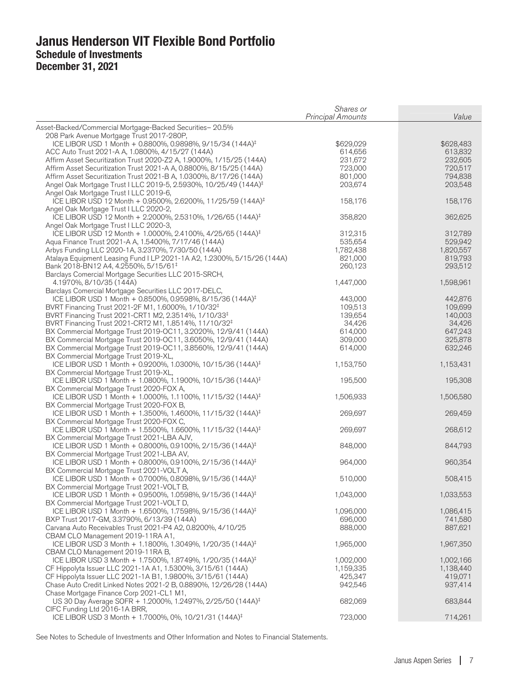|                                                                                                                    | Shares or                |           |
|--------------------------------------------------------------------------------------------------------------------|--------------------------|-----------|
|                                                                                                                    | <b>Principal Amounts</b> | Value     |
| Asset-Backed/Commercial Mortgage-Backed Securities-20.5%                                                           |                          |           |
| 208 Park Avenue Mortgage Trust 2017-280P,                                                                          |                          |           |
| ICE LIBOR USD 1 Month + 0.8800%, 0.9898%, 9/15/34 (144A) <sup>‡</sup>                                              | \$629,029                | \$628,483 |
| ACC Auto Trust 2021-A A, 1.0800%, 4/15/27 (144A)                                                                   | 614,656                  | 613,832   |
| Affirm Asset Securitization Trust 2020-Z2 A, 1.9000%, 1/15/25 (144A)                                               | 231,672                  | 232,605   |
| Affirm Asset Securitization Trust 2021-A A, 0.8800%, 8/15/25 (144A)                                                | 723,000                  | 720,517   |
| Affirm Asset Securitization Trust 2021-B A, 1.0300%, 8/17/26 (144A)                                                | 801,000                  | 794,838   |
| Angel Oak Mortgage Trust I LLC 2019-5, 2.5930%, 10/25/49 (144A) <sup>‡</sup>                                       | 203,674                  | 203,548   |
| Angel Oak Mortgage Trust I LLC 2019-6,                                                                             |                          |           |
| ICE LIBOR USD 12 Month + 0.9500%, 2.6200%, 11/25/59 (144A) <sup>‡</sup>                                            | 158,176                  | 158,176   |
| Angel Oak Mortgage Trust I LLC 2020-2,<br>ICE LIBOR USD 12 Month + 2.2000%, 2.5310%, 1/26/65 (144A) <sup>‡</sup>   | 358,820                  | 362,625   |
| Angel Oak Mortgage Trust I LLC 2020-3,                                                                             |                          |           |
| ICE LIBOR USD 12 Month + 1.0000%, 2.4100%, 4/25/65 (144A) <sup>‡</sup>                                             | 312,315                  | 312,789   |
| Aqua Finance Trust 2021-A A, 1.5400%, 7/17/46 (144A)                                                               | 535,654                  | 529,942   |
| Arbys Funding LLC 2020-1A, 3.2370%, 7/30/50 (144A)                                                                 | 1,782,438                | 1,820,557 |
| Atalaya Equipment Leasing Fund I LP 2021-1A A2, 1.2300%, 5/15/26 (144A)                                            | 821,000                  | 819,793   |
| Bank 2018-BN12 A4, 4.2550%, 5/15/61 <sup>‡</sup>                                                                   | 260,123                  | 293,512   |
| Barclays Comercial Mortgage Securities LLC 2015-SRCH,                                                              |                          |           |
| 4.1970%, 8/10/35 (144A)                                                                                            | 1,447,000                | 1,598,961 |
| Barclays Comercial Mortgage Securities LLC 2017-DELC,                                                              |                          |           |
| ICE LIBOR USD 1 Month + 0.8500%, 0.9598%, 8/15/36 (144A) <sup>‡</sup>                                              | 443,000                  | 442,876   |
| BVRT Financing Trust 2021-2F M1, 1.6000%, 1/10/32 <sup>‡</sup>                                                     | 109,513                  | 109,699   |
| BVRT Financing Trust 2021-CRT1 M2, 2.3514%, 1/10/33 <sup>‡</sup>                                                   | 139,654                  | 140,003   |
| BVRT Financing Trust 2021-CRT2 M1, 1.8514%, 11/10/32 <sup>‡</sup>                                                  | 34,426                   | 34,426    |
| BX Commercial Mortgage Trust 2019-OC11, 3.2020%, 12/9/41 (144A)                                                    | 614,000                  | 647,243   |
| BX Commercial Mortgage Trust 2019-OC11, 3.6050%, 12/9/41 (144A)                                                    | 309,000                  | 325,878   |
| BX Commercial Mortgage Trust 2019-OC11, 3.8560%, 12/9/41 (144A)                                                    | 614,000                  | 632,246   |
| BX Commercial Mortgage Trust 2019-XL,                                                                              |                          |           |
| ICE LIBOR USD 1 Month + 0.9200%, 1.0300%, 10/15/36 (144A) <sup>‡</sup>                                             | 1,153,750                | 1,153,431 |
| BX Commercial Mortgage Trust 2019-XL,<br>ICE LIBOR USD 1 Month + 1.0800%, 1.1900%, 10/15/36 (144A) <sup>‡</sup>    | 195,500                  | 195,308   |
| BX Commercial Mortgage Trust 2020-FOX A,                                                                           |                          |           |
| ICE LIBOR USD 1 Month + 1.0000%, 1.1100%, 11/15/32 (144A) <sup>‡</sup>                                             | 1,506,933                | 1,506,580 |
| BX Commercial Mortgage Trust 2020-FOX B,                                                                           |                          |           |
| ICE LIBOR USD 1 Month + 1.3500%, 1.4600%, 11/15/32 (144A) <sup>‡</sup>                                             | 269,697                  | 269,459   |
| BX Commercial Mortgage Trust 2020-FOX C,                                                                           |                          |           |
| ICE LIBOR USD 1 Month + 1.5500%, 1.6600%, 11/15/32 (144A) <sup>‡</sup>                                             | 269,697                  | 268,612   |
| BX Commercial Mortgage Trust 2021-LBA AJV,                                                                         |                          |           |
| ICE LIBOR USD 1 Month + 0.8000%, 0.9100%, 2/15/36 (144A) <sup>‡</sup>                                              | 848,000                  | 844,793   |
| BX Commercial Mortgage Trust 2021-LBA AV,                                                                          |                          |           |
| ICE LIBOR USD 1 Month + 0.8000%, 0.9100%, 2/15/36 (144A) <sup>‡</sup>                                              | 964,000                  | 960,354   |
| BX Commercial Mortgage Trust 2021-VOLT A,                                                                          |                          |           |
| ICE LIBOR USD 1 Month + 0.7000%, 0.8098%, 9/15/36 (144A) <sup>‡</sup>                                              | 510,000                  | 508,415   |
| BX Commercial Mortgage Trust 2021-VOLT B,<br>ICE LIBOR USD 1 Month + 0.9500%, 1.0598%, 9/15/36 (144A) <sup>‡</sup> | 1,043,000                | 1,033,553 |
| BX Commercial Mortgage Trust 2021-VOLT D,                                                                          |                          |           |
| ICE LIBOR USD 1 Month + 1.6500%, 1.7598%, 9/15/36 (144A) <sup>‡</sup>                                              | 1,096,000                | 1,086,415 |
| BXP Trust 2017-GM, 3.3790%, 6/13/39 (144A)                                                                         | 696,000                  | 741,580   |
| Carvana Auto Receivables Trust 2021-P4 A2, 0.8200%, 4/10/25                                                        | 888,000                  | 887,621   |
| CBAM CLO Management 2019-11RA A1,                                                                                  |                          |           |
| ICE LIBOR USD 3 Month + 1.1800%, 1.3049%, 1/20/35 (144A) <sup>‡</sup>                                              | 1,965,000                | 1,967,350 |
| CBAM CLO Management 2019-11RA B,                                                                                   |                          |           |
| ICE LIBOR USD 3 Month + 1.7500%, 1.8749%, 1/20/35 (144A) <sup>‡</sup>                                              | 1,002,000                | 1,002,166 |
| CF Hippolyta Issuer LLC 2021-1A A1, 1.5300%, 3/15/61 (144A)                                                        | 1,159,335                | 1,138,440 |
| CF Hippolyta Issuer LLC 2021-1A B1, 1.9800%, 3/15/61 (144A)                                                        | 425,347                  | 419,071   |
| Chase Auto Credit Linked Notes 2021-2 B, 0.8890%, 12/26/28 (144A)                                                  | 942,546                  | 937,414   |
| Chase Mortgage Finance Corp 2021-CL1 M1,                                                                           |                          |           |
| US 30 Day Average SOFR + 1.2000%, 1.2497%, 2/25/50 (144A) <sup>‡</sup>                                             | 682,069                  | 683,844   |
| CIFC Funding Ltd 2016-1A BRR,                                                                                      |                          |           |
| ICE LIBOR USD 3 Month + 1.7000%, 0%, 10/21/31 (144A) <sup>‡</sup>                                                  | 723,000                  | 714,261   |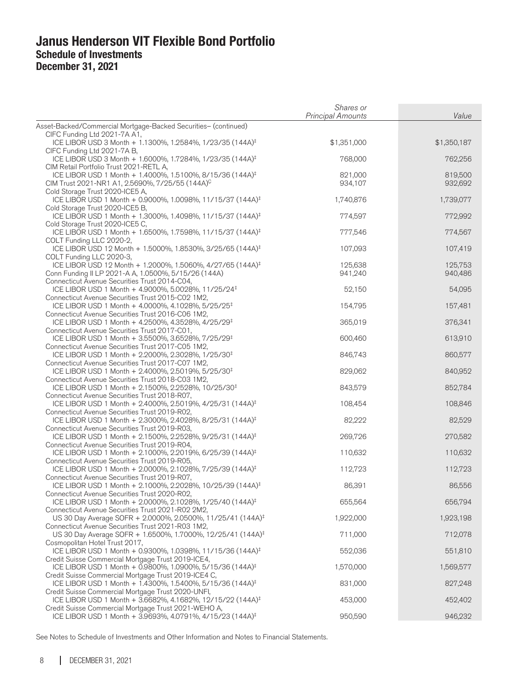|                                                                                                                                                                       | Shares or<br><b>Principal Amounts</b> | Value              |
|-----------------------------------------------------------------------------------------------------------------------------------------------------------------------|---------------------------------------|--------------------|
|                                                                                                                                                                       |                                       |                    |
| Asset-Backed/Commercial Mortgage-Backed Securities- (continued)<br>CIFC Funding Ltd 2021-7A A1,                                                                       |                                       |                    |
| ICE LIBOR USD 3 Month + 1.1300%, 1.2584%, 1/23/35 (144A) <sup>‡</sup><br>CIFC Funding Ltd 2021-7A B,                                                                  | \$1,351,000                           | \$1,350,187        |
| ICE LIBOR USD 3 Month + 1.6000%, 1.7284%, 1/23/35 (144A) <sup>‡</sup>                                                                                                 | 768,000                               | 762,256            |
| CIM Retail Portfolio Trust 2021-RETL A,<br>ICE LIBOR USD 1 Month + 1.4000%, 1.5100%, 8/15/36 (144A) <sup>‡</sup>                                                      | 821,000                               | 819,500            |
| CIM Trust 2021-NR1 A1, 2.5690%, 7/25/55 (144A) <sup>C</sup><br>Cold Storage Trust 2020-ICE5 A,                                                                        | 934,107                               | 932,692            |
| ICE LIBOR USD 1 Month + 0.9000%, 1.0098%, 11/15/37 (144A) <sup>‡</sup><br>Cold Storage Trust 2020-ICE5 B,                                                             | 1,740,876                             | 1,739,077          |
| ICE LIBOR USD 1 Month + 1.3000%, 1.4098%, 11/15/37 (144A) <sup>‡</sup><br>Cold Storage Trust 2020-ICE5 C,                                                             | 774,597                               | 772,992            |
| ICE LIBOR USD 1 Month + 1.6500%, 1.7598%, 11/15/37 (144A) <sup>‡</sup><br>COLT Funding LLC 2020-2,                                                                    | 777,546                               | 774,567            |
| ICE LIBOR USD 12 Month + 1.5000%, 1.8530%, 3/25/65 (144A) <sup>‡</sup><br>COLT Funding LLC 2020-3,                                                                    | 107,093                               | 107,419            |
| ICE LIBOR USD 12 Month + 1.2000%, 1.5060%, 4/27/65 (144A) <sup>‡</sup><br>Conn Funding II LP 2021-A A, 1.0500%, 5/15/26 (144A)                                        | 125,638<br>941,240                    | 125,753<br>940,486 |
| Connecticut Avenue Securities Trust 2014-C04,<br>ICE LIBOR USD 1 Month + 4.9000%, 5.0028%, 11/25/24 <sup>‡</sup>                                                      | 52,150                                | 54,095             |
| Connecticut Avenue Securities Trust 2015-C02 1M2,<br>ICE LIBOR USD 1 Month + 4.0000%, 4.1028%, 5/25/25 <sup>‡</sup>                                                   | 154,795                               | 157,481            |
| Connecticut Avenue Securities Trust 2016-C06 1M2,<br>ICE LIBOR USD 1 Month + 4.2500%, 4.3528%, 4/25/29 <sup>‡</sup>                                                   | 365,019                               | 376,341            |
| Connecticut Avenue Securities Trust 2017-C01,<br>ICE LIBOR USD 1 Month + 3.5500%, 3.6528%, 7/25/29 <sup>‡</sup>                                                       | 600,460                               | 613,910            |
| Connecticut Avenue Securities Trust 2017-C05 1M2,<br>ICE LIBOR USD 1 Month + 2.2000%, 2.3028%, 1/25/30 <sup>‡</sup>                                                   | 846,743                               | 860,577            |
| Connecticut Avenue Securities Trust 2017-C07 1M2,<br>ICE LIBOR USD 1 Month + 2.4000%, 2.5019%, 5/25/30 <sup>‡</sup>                                                   | 829,062                               | 840,952            |
| Connecticut Avenue Securities Trust 2018-C03 1M2,<br>ICE LIBOR USD 1 Month + 2.1500%, 2.2528%, 10/25/30 <sup>‡</sup><br>Connecticut Avenue Securities Trust 2018-R07, | 843,579                               | 852,784            |
| ICE LIBOR USD 1 Month + 2.4000%, 2.5019%, 4/25/31 (144A) <sup>‡</sup><br>Connecticut Avenue Securities Trust 2019-R02,                                                | 108,454                               | 108,846            |
| ICE LIBOR USD 1 Month + 2.3000%, 2.4028%, 8/25/31 (144A) <sup>‡</sup><br>Connecticut Avenue Securities Trust 2019-R03,                                                | 82,222                                | 82,529             |
| ICE LIBOR USD 1 Month + 2.1500%, 2.2528%, 9/25/31 (144A) <sup>‡</sup><br>Connecticut Avenue Securities Trust 2019-R04,                                                | 269,726                               | 270,582            |
| ICE LIBOR USD 1 Month + 2.1000%, 2.2019%, 6/25/39 (144A) <sup>‡</sup><br>Connecticut Avenue Securities Trust 2019-R05,                                                | 110,632                               | 110,632            |
| ICE LIBOR USD 1 Month + 2.0000%, 2.1028%, 7/25/39 (144A) <sup>‡</sup><br>Connecticut Avenue Securities Trust 2019-R07,                                                | 112,723                               | 112,723            |
| ICE LIBOR USD 1 Month + 2.1000%, 2.2028%, 10/25/39 (144A) <sup>‡</sup><br>Connecticut Avenue Securities Trust 2020-R02,                                               | 86,391                                | 86,556             |
| ICE LIBOR USD 1 Month + 2.0000%, 2.1028%, 1/25/40 (144A) <sup>‡</sup><br>Connecticut Avenue Securities Trust 2021-R02 2M2,                                            | 655,564                               | 656,794            |
| US 30 Day Average SOFR + 2.0000%, 2.0500%, 11/25/41 (144A) <sup>‡</sup><br>Connecticut Avenue Securities Trust 2021-R03 1M2,                                          | 1,922,000                             | 1,923,198          |
| US 30 Day Average SOFR + 1.6500%, 1.7000%, 12/25/41 (144A) <sup>‡</sup><br>Cosmopolitan Hotel Trust 2017,                                                             | 711,000                               | 712,078            |
| ICE LIBOR USD 1 Month + 0.9300%, 1.0398%, 11/15/36 (144A) <sup>‡</sup><br>Credit Suisse Commercial Mortgage Trust 2019-ICE4,                                          | 552,036                               | 551,810            |
| ICE LIBOR USD 1 Month + 0.9800%, 1.0900%, 5/15/36 (144A) <sup>‡</sup><br>Credit Suisse Commercial Mortgage Trust 2019-ICE4 C,                                         | 1,570,000                             | 1,569,577          |
| ICE LIBOR USD 1 Month + 1.4300%, 1.5400%, 5/15/36 (144A) <sup>‡</sup><br>Credit Suisse Commercial Mortgage Trust 2020-UNFI,                                           | 831,000                               | 827,248            |
| ICE LIBOR USD 1 Month + 3.6682%, 4.1682%, 12/15/22 (144A) <sup>‡</sup><br>Credit Suisse Commercial Mortgage Trust 2021-WEHO A,                                        | 453,000                               | 452,402            |
| ICE LIBOR USD 1 Month + 3.9693%, 4.0791%, 4/15/23 (144A) <sup>‡</sup>                                                                                                 | 950,590                               | 946,232            |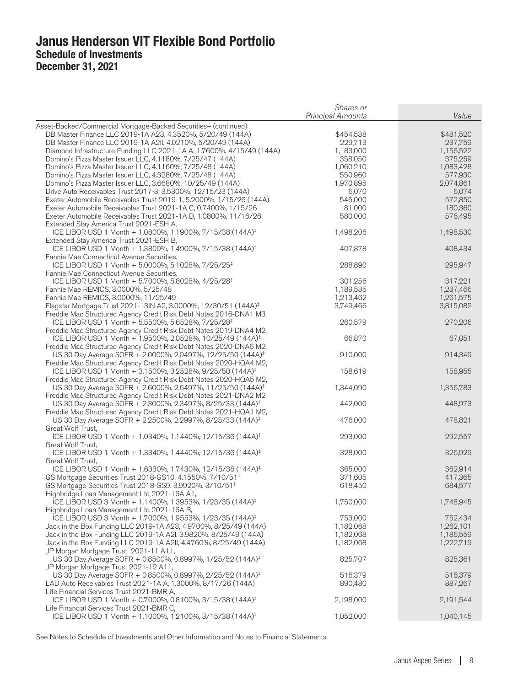|                                                                                                                                              | Shares or                |           |
|----------------------------------------------------------------------------------------------------------------------------------------------|--------------------------|-----------|
|                                                                                                                                              | <b>Principal Amounts</b> | Value     |
| Asset-Backed/Commercial Mortgage-Backed Securities- (continued)                                                                              |                          |           |
| DB Master Finance LLC 2019-1A A23, 4.3520%, 5/20/49 (144A)                                                                                   | \$454,538                | \$481,520 |
| DB Master Finance LLC 2019-1A A2II, 4.0210%, 5/20/49 (144A)                                                                                  | 229,713                  | 237,759   |
| Diamond Infrastructure Funding LLC 2021-1A A, 1.7600%, 4/15/49 (144A)                                                                        | 1,183,000                | 1,156,522 |
| Domino's Pizza Master Issuer LLC, 4.1180%, 7/25/47 (144A)                                                                                    | 358,050                  | 375,259   |
| Domino's Pizza Master Issuer LLC, 4.1160%, 7/25/48 (144A)                                                                                    | 1,060,210                | 1,083,428 |
| Domino's Pizza Master Issuer LLC, 4.3280%, 7/25/48 (144A)                                                                                    | 550,960                  | 577,930   |
| Domino's Pizza Master Issuer LLC, 3.6680%, 10/25/49 (144A)                                                                                   | 1,970,895                | 2,074,861 |
| Drive Auto Receivables Trust 2017-3, 3.5300%, 12/15/23 (144A)                                                                                | 6,070                    | 6,074     |
| Exeter Automobile Receivables Trust 2019-1, 5.2000%, 1/15/26 (144A)                                                                          | 545,000                  | 572,850   |
| Exeter Automobile Receivables Trust 2021-1A C, 0.7400%, 1/15/26                                                                              | 181,000                  | 180,360   |
| Exeter Automobile Receivables Trust 2021-1A D, 1.0800%, 11/16/26                                                                             | 580,000                  | 576,495   |
| Extended Stay America Trust 2021-ESH A,                                                                                                      |                          |           |
| ICE LIBOR USD 1 Month + 1.0800%, 1.1900%, 7/15/38 (144A) <sup>‡</sup>                                                                        | 1,498,206                | 1,498,530 |
| Extended Stay America Trust 2021-ESH B,                                                                                                      |                          |           |
| ICE LIBOR USD 1 Month + 1.3800%, 1.4900%, 7/15/38 (144A) <sup>‡</sup>                                                                        | 407,878                  | 408,434   |
| Fannie Mae Connecticut Avenue Securities,                                                                                                    |                          |           |
| ICE LIBOR USD 1 Month + 5.0000%, 5.1028%, 7/25/25 <sup>‡</sup>                                                                               | 288,890                  | 295,947   |
| Fannie Mae Connecticut Avenue Securities,                                                                                                    |                          |           |
| ICE LIBOR USD 1 Month + 5.7000%, 5.8028%, 4/25/28 <sup>‡</sup>                                                                               | 301,256                  | 317,221   |
| Fannie Mae REMICS, 3.0000%, 5/25/48                                                                                                          | 1,189,535                | 1,237,466 |
| Fannie Mae REMICS, 3.0000%, 11/25/49                                                                                                         | 1,213,462                | 1,261,575 |
| Flagstar Mortgage Trust 2021-13IN A2, 3.0000%, 12/30/51 (144A) <sup>‡</sup>                                                                  | 3,749,466                | 3,815,082 |
| Freddie Mac Structured Agency Credit Risk Debt Notes 2016-DNA1 M3,                                                                           |                          |           |
| ICE LIBOR USD 1 Month + 5.5500%, 5.6528%, 7/25/28 <sup>‡</sup>                                                                               | 260,579                  | 270,206   |
| Freddie Mac Structured Agency Credit Risk Debt Notes 2019-DNA4 M2,                                                                           |                          |           |
| ICE LIBOR USD 1 Month + 1.9500%, 2.0528%, 10/25/49 (144A) <sup>‡</sup>                                                                       | 66,870                   | 67,051    |
| Freddie Mac Structured Agency Credit Risk Debt Notes 2020-DNA6 M2,                                                                           |                          |           |
| US 30 Day Average SOFR + 2.0000%, 2.0497%, 12/25/50 (144A) <sup>‡</sup>                                                                      | 910,000                  | 914,349   |
| Freddie Mac Structured Agency Credit Risk Debt Notes 2020-HQA4 M2,                                                                           |                          |           |
| ICE LIBOR USD 1 Month + 3.1500%, 3.2528%, 9/25/50 (144A) <sup>‡</sup>                                                                        | 158,619                  | 158,955   |
| Freddie Mac Structured Agency Credit Risk Debt Notes 2020-HQA5 M2,                                                                           |                          |           |
| US 30 Day Average SOFR + 2.6000%, 2.6497%, 11/25/50 (144A) <sup>‡</sup>                                                                      | 1,344,090                | 1,356,783 |
| Freddie Mac Structured Agency Credit Risk Debt Notes 2021-DNA2 M2,                                                                           | 442,000                  |           |
| US 30 Day Average SOFR + 2.3000%, 2.3497%, 8/25/33 (144A) <sup>‡</sup>                                                                       |                          | 448,973   |
| Freddie Mac Structured Agency Credit Risk Debt Notes 2021-HQA1 M2,<br>US 30 Day Average SOFR + 2.2500%, 2.2997%, 8/25/33 (144A) <sup>‡</sup> | 476,000                  | 478,821   |
| Great Wolf Trust,                                                                                                                            |                          |           |
| ICE LIBOR USD 1 Month + 1.0340%, 1.1440%, 12/15/36 (144A) <sup>‡</sup>                                                                       | 293,000                  | 292,557   |
| Great Wolf Trust,                                                                                                                            |                          |           |
| ICE LIBOR USD 1 Month + 1.3340%, 1.4440%, 12/15/36 (144A) <sup>‡</sup>                                                                       | 328,000                  | 326,929   |
| Great Wolf Trust,                                                                                                                            |                          |           |
| ICE LIBOR USD 1 Month + 1.6330%, 1.7430%, 12/15/36 (144A) <sup>‡</sup>                                                                       | 365,000                  | 362,914   |
| GS Mortgage Securities Trust 2018-GS10, 4.1550%, 7/10/51 <sup>‡</sup>                                                                        | 371,605                  | 417,365   |
| GS Mortgage Securities Trust 2018-GS9, 3.9920%, 3/10/51 <sup>‡</sup>                                                                         | 618,450                  | 684,577   |
| Highbridge Loan Management Ltd 2021-16A A1,                                                                                                  |                          |           |
| ICE LIBOR USD 3 Month + 1.1400%, 1.3953%, 1/23/35 (144A) <sup>‡</sup>                                                                        | 1,750,000                | 1,748,945 |
| Highbridge Loan Management Ltd 2021-16A B,                                                                                                   |                          |           |
| ICE LIBOR USD 3 Month + 1.7000%, 1.9553%, 1/23/35 (144A) <sup>‡</sup>                                                                        | 753,000                  | 752,434   |
| Jack in the Box Funding LLC 2019-1A A23, 4.9700%, 8/25/49 (144A)                                                                             | 1,182,068                | 1,262,101 |
| Jack in the Box Funding LLC 2019-1A A2I, 3.9820%, 8/25/49 (144A)                                                                             | 1,182,068                | 1,186,559 |
| Jack in the Box Funding LLC 2019-1A A2II, 4.4760%, 8/25/49 (144A)                                                                            | 1,182,068                | 1,222,719 |
| JP Morgan Mortgage Trust 2021-11 A11,                                                                                                        |                          |           |
| US 30 Day Average SOFR + 0.8500%, 0.8997%, 1/25/52 (144A) <sup>‡</sup>                                                                       | 825,707                  | 825,361   |
| JP Morgan Mortgage Trust 2021-12 A11,                                                                                                        |                          |           |
| US 30 Day Average SOFR + 0.8500%, 0.8997%, 2/25/52 (144A) <sup>‡</sup>                                                                       | 516,379                  | 516,379   |
| LAD Auto Receivables Trust 2021-1A A, 1.3000%, 8/17/26 (144A)                                                                                | 890,480                  | 887,267   |
| Life Financial Services Trust 2021-BMR A,                                                                                                    |                          |           |
| ICE LIBOR USD 1 Month + 0.7000%, 0.8100%, 3/15/38 (144A) <sup>‡</sup>                                                                        | 2,198,000                | 2,191,544 |
| Life Financial Services Trust 2021-BMR C,                                                                                                    |                          |           |
| ICE LIBOR USD 1 Month + 1.1000%, 1.2100%, 3/15/38 (144A) <sup>‡</sup>                                                                        | 1,052,000                | 1,040,145 |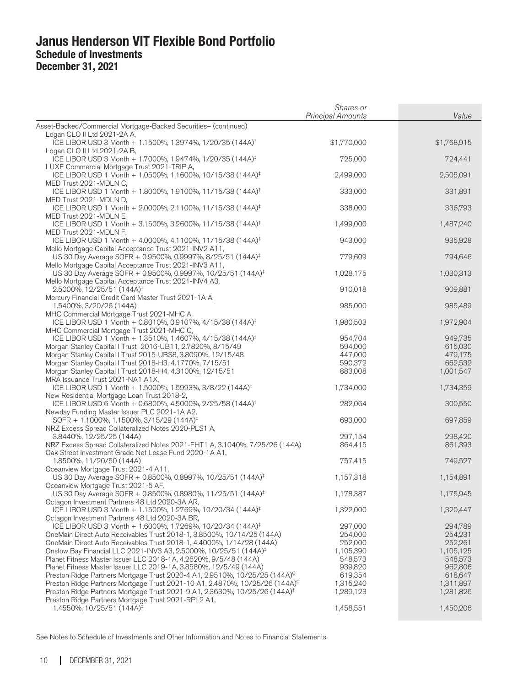|                                                                                                                                   | Shares or<br><b>Principal Amounts</b> | Value       |
|-----------------------------------------------------------------------------------------------------------------------------------|---------------------------------------|-------------|
| Asset-Backed/Commercial Mortgage-Backed Securities- (continued)                                                                   |                                       |             |
| Logan CLO II Ltd 2021-2A A,                                                                                                       |                                       |             |
| ICE LIBOR USD 3 Month + 1.1500%, 1.3974%, 1/20/35 (144A) <sup>‡</sup>                                                             | \$1,770,000                           | \$1,768,915 |
| Logan CLO II Ltd 2021-2A B,                                                                                                       |                                       |             |
| ICE LIBOR USD 3 Month + 1.7000%, 1.9474%, 1/20/35 (144A) <sup>‡</sup>                                                             | 725,000                               | 724,441     |
| LUXE Commercial Mortgage Trust 2021-TRIP A,<br>ICE LIBOR USD 1 Month + 1.0500%, 1.1600%, 10/15/38 (144A) <sup>‡</sup>             | 2,499,000                             |             |
| MED Trust 2021-MDLN C,                                                                                                            |                                       | 2,505,091   |
| ICE LIBOR USD 1 Month + 1.8000%, 1.9100%, 11/15/38 (144A) <sup>‡</sup>                                                            | 333,000                               | 331,891     |
| MED Trust 2021-MDLN D,                                                                                                            |                                       |             |
| ICE LIBOR USD 1 Month + 2.0000%, 2.1100%, 11/15/38 (144A) <sup>‡</sup>                                                            | 338,000                               | 336,793     |
| MED Trust 2021-MDLN E,                                                                                                            |                                       |             |
| ICE LIBOR USD 1 Month + 3.1500%, 3.2600%, 11/15/38 (144A) <sup>‡</sup>                                                            | 1,499,000                             | 1,487,240   |
| MED Trust 2021-MDLN F,                                                                                                            |                                       |             |
| ICE LIBOR USD 1 Month + 4.0000%, 4.1100%, 11/15/38 (144A) <sup>‡</sup>                                                            | 943,000                               | 935,928     |
| Mello Mortgage Capital Acceptance Trust 2021-INV2 A11,                                                                            |                                       |             |
| US 30 Day Average SOFR + 0.9500%, 0.9997%, 8/25/51 (144A) <sup>‡</sup>                                                            | 779,609                               | 794,646     |
| Mello Mortgage Capital Acceptance Trust 2021-INV3 A11,<br>US 30 Day Average SOFR + 0.9500%, 0.9997%, 10/25/51 (144A) <sup>‡</sup> | 1,028,175                             | 1,030,313   |
| Mello Mortgage Capital Acceptance Trust 2021-INV4 A3,                                                                             |                                       |             |
| $2.5000\%$ , 12/25/51 (144A) <sup>‡</sup>                                                                                         | 910,018                               | 909,881     |
| Mercury Financial Credit Card Master Trust 2021-1A A,                                                                             |                                       |             |
| 1.5400%, 3/20/26 (144A)                                                                                                           | 985,000                               | 985,489     |
| MHC Commercial Mortgage Trust 2021-MHC A,                                                                                         |                                       |             |
| ICE LIBOR USD 1 Month + 0.8010%, 0.9107%, 4/15/38 (144A) <sup>‡</sup>                                                             | 1,980,503                             | 1,972,904   |
| MHC Commercial Mortgage Trust 2021-MHC C,                                                                                         |                                       |             |
| ICE LIBOR USD 1 Month + 1.3510%, 1.4607%, 4/15/38 (144A) <sup>‡</sup>                                                             | 954,704                               | 949,735     |
| Morgan Stanley Capital I Trust 2016-UB11, 2.7820%, 8/15/49                                                                        | 594,000                               | 615,030     |
| Morgan Stanley Capital I Trust 2015-UBS8, 3.8090%, 12/15/48                                                                       | 447,000                               | 479,175     |
| Morgan Stanley Capital I Trust 2018-H3, 4.1770%, 7/15/51                                                                          | 590,372                               | 662,532     |
| Morgan Stanley Capital I Trust 2018-H4, 4.3100%, 12/15/51                                                                         | 883,008                               | 1,001,547   |
| MRA Issuance Trust 2021-NA1 A1X,<br>ICE LIBOR USD 1 Month + 1.5000%, 1.5993%, 3/8/22 (144A) <sup>‡</sup>                          | 1,734,000                             | 1,734,359   |
| New Residential Mortgage Loan Trust 2018-2,                                                                                       |                                       |             |
| ICE LIBOR USD 6 Month + 0.6800%, 4.5000%, 2/25/58 (144A) <sup>‡</sup>                                                             | 282,064                               | 300,550     |
| Newday Funding Master Issuer PLC 2021-1A A2,                                                                                      |                                       |             |
| SOFR + 1.1000%, 1.1500%, 3/15/29 (144A) <sup>‡</sup>                                                                              | 693,000                               | 697,859     |
| NRZ Excess Spread Collateralized Notes 2020-PLS1 A,                                                                               |                                       |             |
| 3.8440%, 12/25/25 (144A)                                                                                                          | 297,154                               | 298,420     |
| NRZ Excess Spread Collateralized Notes 2021-FHT1 A, 3.1040%, 7/25/26 (144A)                                                       | 864,415                               | 861,393     |
| Oak Street Investment Grade Net Lease Fund 2020-1A A1,                                                                            |                                       |             |
| 1.8500%, 11/20/50 (144A)                                                                                                          | 757,415                               | 749,527     |
| Oceanview Mortgage Trust 2021-4 A11,                                                                                              |                                       |             |
| US 30 Day Average SOFR + 0.8500%, 0.8997%, 10/25/51 (144A) <sup>‡</sup>                                                           | 1,157,318                             | 1,154,891   |
| Oceanview Mortgage Trust 2021-5 AF,<br>US 30 Day Average SOFR + 0.8500%, 0.8980%, 11/25/51 (144A) <sup>‡</sup>                    | 1,178,387                             | 1,175,945   |
| Octagon Investment Partners 48 Ltd 2020-3A AR,                                                                                    |                                       |             |
| ICE LIBOR USD 3 Month + 1.1500%, 1.2769%, 10/20/34 (144A) <sup>‡</sup>                                                            | 1,322,000                             | 1,320,447   |
| Octagon Investment Partners 48 Ltd 2020-3A BR,                                                                                    |                                       |             |
| ICE LIBOR USD 3 Month + 1.6000%, 1.7269%, 10/20/34 (144A) <sup>‡</sup>                                                            | 297,000                               | 294,789     |
| OneMain Direct Auto Receivables Trust 2018-1, 3.8500%, 10/14/25 (144A)                                                            | 254,000                               | 254,231     |
| OneMain Direct Auto Receivables Trust 2018-1, 4.4000%, 1/14/28 (144A)                                                             | 252,000                               | 252,261     |
| Onslow Bay Financial LLC 2021-INV3 A3, 2.5000%, 10/25/51 (144A) <sup>‡</sup>                                                      | 1,105,390                             | 1,105,125   |
| Planet Fitness Master Issuer LLC 2018-1A, 4.2620%, 9/5/48 (144A)                                                                  | 548,573                               | 548,573     |
| Planet Fitness Master Issuer LLC 2019-1A, 3.8580%, 12/5/49 (144A)                                                                 | 939,820                               | 962,806     |
| Preston Ridge Partners Mortgage Trust 2020-4 A1, 2.9510%, 10/25/25 (144A) <sup>C</sup>                                            |                                       |             |
|                                                                                                                                   | 619,354                               | 618,647     |
| Preston Ridge Partners Mortgage Trust 2021-10 A1, 2.4870%, 10/25/26 (144A) <sup>C</sup>                                           | 1,315,240                             | 1,311,897   |
| Preston Ridge Partners Mortgage Trust 2021-9 A1, 2.3630%, 10/25/26 (144A) <sup>‡</sup>                                            | 1,289,123                             | 1,281,826   |
| Preston Ridge Partners Mortgage Trust 2021-RPL2 A1,                                                                               |                                       |             |
| 1.4550%, 10/25/51 $(144A)^{\frac{1}{3}}$                                                                                          | 1,458,551                             | 1,450,206   |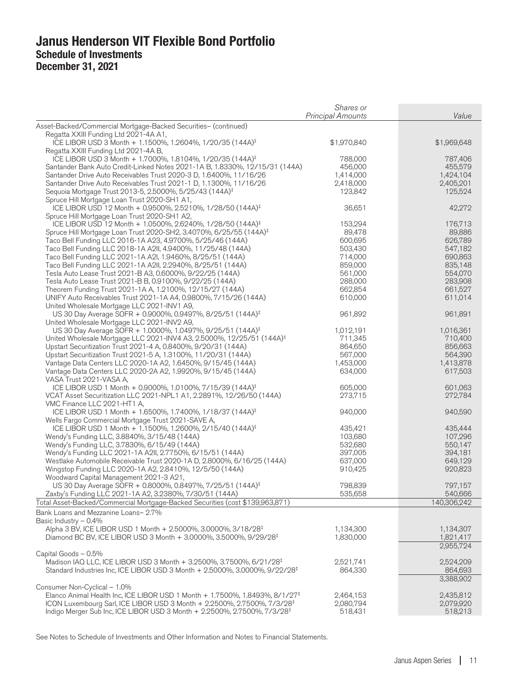|                                                                                                                        | Shares or<br><b>Principal Amounts</b> | Value                |
|------------------------------------------------------------------------------------------------------------------------|---------------------------------------|----------------------|
| Asset-Backed/Commercial Mortgage-Backed Securities- (continued)                                                        |                                       |                      |
| Regatta XXIII Funding Ltd 2021-4A A1,                                                                                  |                                       |                      |
| ICE LIBOR USD 3 Month + 1.1500%, 1.2604%, 1/20/35 (144A) <sup>‡</sup>                                                  | \$1,970,840                           | \$1,969,648          |
| Regatta XXIII Funding Ltd 2021-4A B,                                                                                   |                                       |                      |
| ICE LIBOR USD 3 Month + 1.7000%, 1.8104%, 1/20/35 (144A) <sup>‡</sup>                                                  | 788,000                               | 787,406              |
| Santander Bank Auto Credit-Linked Notes 2021-1A B, 1.8330%, 12/15/31 (144A)                                            | 456,000                               | 455,579              |
| Santander Drive Auto Receivables Trust 2020-3 D, 1.6400%, 11/16/26                                                     | 1,414,000                             | 1,424,104            |
| Santander Drive Auto Receivables Trust 2021-1 D, 1.1300%, 11/16/26                                                     | 2,418,000                             | 2,405,201<br>125,524 |
| Sequoia Mortgage Trust 2013-5, 2.5000%, 5/25/43 (144A) <sup>‡</sup><br>Spruce Hill Mortgage Loan Trust 2020-SH1 A1,    | 123,842                               |                      |
| ICE LIBOR USD 12 Month + 0.9500%, 2.5210%, 1/28/50 (144A) <sup>‡</sup>                                                 | 36,651                                | 42,272               |
| Spruce Hill Mortgage Loan Trust 2020-SH1 A2,<br>ICE LIBOR USD 12 Month + 1.0500%, 2.6240%, 1/28/50 (144A) <sup>‡</sup> | 153,294                               | 176,713              |
| Spruce Hill Mortgage Loan Trust 2020-SH2, 3.4070%, 6/25/55 (144A) <sup>‡</sup>                                         | 89,478                                | 89,886               |
| Taco Bell Funding LLC 2016-1A A23, 4.9700%, 5/25/46 (144A)                                                             | 600,695                               | 626,789              |
| Taco Bell Funding LLC 2018-1A A2II, 4.9400%, 11/25/48 (144A)                                                           | 503,430                               | 547,182              |
| Taco Bell Funding LLC 2021-1A A2I, 1.9460%, 8/25/51 (144A)                                                             | 714,000                               | 690,863              |
| Taco Bell Funding LLC 2021-1A A2II, 2.2940%, 8/25/51 (144A)                                                            | 859,000                               | 835,148              |
| Tesla Auto Lease Trust 2021-B A3, 0.6000%, 9/22/25 (144A)                                                              | 561,000                               | 554,070              |
| Tesla Auto Lease Trust 2021-B B, 0.9100%, 9/22/25 (144A)                                                               | 288,000                               | 283,908              |
| Theorem Funding Trust 2021-1A A, 1.2100%, 12/15/27 (144A)                                                              | 662,854                               | 661,527              |
| UNIFY Auto Receivables Trust 2021-1A A4, 0.9800%, 7/15/26 (144A)                                                       | 610,000                               | 611,014              |
| United Wholesale Mortgage LLC 2021-INV1 A9,                                                                            |                                       |                      |
| US 30 Day Average SOFR + 0.9000%, 0.9497%, 8/25/51 (144A) <sup>‡</sup>                                                 | 961,892                               | 961,891              |
| United Wholesale Mortgage LLC 2021-INV2 A9,                                                                            |                                       |                      |
| US 30 Day Average SOFR + 1.0000%, 1.0497%, 9/25/51 (144A) <sup>‡</sup>                                                 | 1,012,191                             | 1,016,361            |
| United Wholesale Mortgage LLC 2021-INV4 A3, 2.5000%, 12/25/51 (144A) <sup>‡</sup>                                      | 711,345                               | 710,400              |
| Upstart Securitization Trust 2021-4 A, 0.8400%, 9/20/31 (144A)                                                         | 864,650                               | 856,663              |
| Upstart Securitization Trust 2021-5 A, 1.3100%, 11/20/31 (144A)                                                        | 567,000<br>1,453,000                  | 564,390              |
| Vantage Data Centers LLC 2020-1A A2, 1.6450%, 9/15/45 (144A)                                                           |                                       | 1,413,878            |
| Vantage Data Centers LLC 2020-2A A2, 1.9920%, 9/15/45 (144A)<br>VASA Trust 2021-VASA A,                                | 634,000                               | 617,503              |
| ICE LIBOR USD 1 Month + 0.9000%, 1.0100%, 7/15/39 (144A) <sup>‡</sup>                                                  | 605,000                               | 601,063              |
| VCAT Asset Securitization LLC 2021-NPL1 A1, 2.2891%, 12/26/50 (144A)                                                   | 273,715                               | 272,784              |
| VMC Finance LLC 2021-HT1 A,<br>ICE LIBOR USD 1 Month + 1.6500%, 1.7400%, 1/18/37 (144A) <sup>‡</sup>                   | 940,000                               | 940,590              |
| Wells Fargo Commercial Mortgage Trust 2021-SAVE A,                                                                     |                                       |                      |
| ICE LIBOR USD 1 Month + 1.1500%, 1.2600%, 2/15/40 (144A) <sup>‡</sup>                                                  | 435,421                               | 435,444              |
| Wendy's Funding LLC, 3.8840%, 3/15/48 (144A)                                                                           | 103,680                               | 107,296              |
| Wendy's Funding LLC, 3.7830%, 6/15/49 (144A)                                                                           | 532,680                               | 550,147              |
| Wendy's Funding LLC 2021-1A A2II, 2.7750%, 6/15/51 (144A)                                                              | 397,005                               | 394,181              |
| Westlake Automobile Receivable Trust 2020-1A D, 2.8000%, 6/16/25 (144A)                                                | 637,000                               | 649,129              |
| Wingstop Funding LLC 2020-1A A2, 2.8410%, 12/5/50 (144A)                                                               | 910,425                               | 920,823              |
| Woodward Capital Management 2021-3 A21,                                                                                |                                       |                      |
| US 30 Day Average SOFR + 0.8000%, 0.8497%, 7/25/51 (144A) <sup>‡</sup>                                                 | 798,839                               | 797,157              |
| Zaxby's Funding LLC 2021-1A A2, 3.2380%, 7/30/51 (144A)                                                                | 535,658                               | 540,666              |
| Total Asset-Backed/Commercial Mortgage-Backed Securities (cost \$139,963,871)                                          |                                       | 140,306,242          |
| Bank Loans and Mezzanine Loans-2.7%                                                                                    |                                       |                      |
| Basic Industry $-0.4\%$                                                                                                |                                       |                      |
| Alpha 3 BV, ICE LIBOR USD 1 Month + 2.5000%, 3.0000%, 3/18/28 <sup>‡</sup>                                             | 1,134,300                             | 1,134,307            |
| Diamond BC BV, ICE LIBOR USD 3 Month + 3.0000%, 3.5000%, 9/29/28 <sup>‡</sup>                                          | 1,830,000                             | 1,821,417            |
|                                                                                                                        |                                       | 2,955,724            |
| Capital Goods - 0.5%<br>Madison IAQ LLC, ICE LIBOR USD 3 Month + 3.2500%, 3.7500%, 6/21/28 <sup>‡</sup>                |                                       |                      |
| Standard Industries Inc, ICE LIBOR USD 3 Month + 2.5000%, 3.0000%, 9/22/28 <sup>‡</sup>                                | 2,521,741<br>864,330                  | 2,524,209<br>864,693 |
|                                                                                                                        |                                       | 3,388,902            |
| Consumer Non-Cyclical - 1.0%                                                                                           |                                       |                      |
| Elanco Animal Health Inc, ICE LIBOR USD 1 Month + 1.7500%, 1.8493%, 8/1/27 <sup>‡</sup>                                | 2,464,153                             | 2,435,812            |
| ICON Luxembourg Sarl, ICE LIBOR USD 3 Month + 2.2500%, 2.7500%, 7/3/28 <sup>‡</sup>                                    | 2,080,794                             | 2,079,920            |
| Indigo Merger Sub Inc, ICE LIBOR USD 3 Month + 2.2500%, 2.7500%, 7/3/28 <sup>‡</sup>                                   | 518,431                               | 518,213              |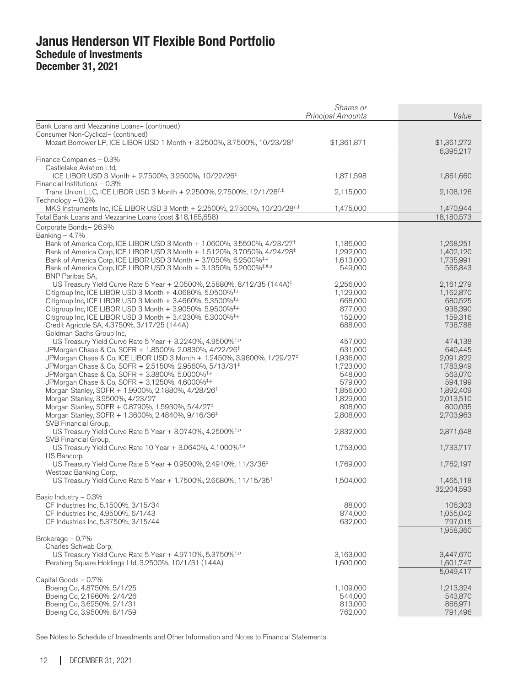|                                                                                                                                                                       | Shares or<br><b>Principal Amounts</b> | Value                  |
|-----------------------------------------------------------------------------------------------------------------------------------------------------------------------|---------------------------------------|------------------------|
| Bank Loans and Mezzanine Loans- (continued)                                                                                                                           |                                       |                        |
| Consumer Non-Cyclical- (continued)                                                                                                                                    |                                       |                        |
| Mozart Borrower LP, ICE LIBOR USD 1 Month + 3.2500%, 3.7500%, 10/23/28 <sup>‡</sup>                                                                                   | \$1,361,871                           | \$1,361,272            |
|                                                                                                                                                                       |                                       | 6,395,217              |
| Finance Companies - 0.3%                                                                                                                                              |                                       |                        |
| Castlelake Aviation Ltd,<br>ICE LIBOR USD 3 Month + 2.7500%, 3.2500%, 10/22/26 <sup>‡</sup>                                                                           | 1,871,598                             | 1,861,660              |
| Financial Institutions - 0.3%                                                                                                                                         |                                       |                        |
| Trans Union LLC, ICE LIBOR USD 3 Month + 2.2500%, 2.7500%, 12/1/28 <sup>f,‡</sup>                                                                                     | 2,115,000                             | 2,108,126              |
| Technology $-0.2\%$                                                                                                                                                   |                                       |                        |
| MKS Instruments Inc, ICE LIBOR USD 3 Month + 2.2500%, 2.7500%, 10/20/28 <sup><i>i</i>.‡</sup>                                                                         | 1,475,000                             | 1,470,944              |
| Total Bank Loans and Mezzanine Loans (cost \$18,185,658)                                                                                                              |                                       | 18,180,573             |
| Corporate Bonds-26.9%                                                                                                                                                 |                                       |                        |
| Banking $-4.7%$                                                                                                                                                       |                                       |                        |
| Bank of America Corp, ICE LIBOR USD 3 Month + 1.0600%, 3.5590%, 4/23/27 <sup>‡</sup>                                                                                  | 1,186,000                             | 1,268,251              |
| Bank of America Corp, ICE LIBOR USD 3 Month + 1.5120%, 3.7050%, 4/24/28 <sup>‡</sup><br>Bank of America Corp, ICE LIBOR USD 3 Month + 3.7050%, 6.2500% <sup>‡,µ</sup> | 1,292,000<br>1,613,000                | 1,402,120<br>1,735,991 |
| Bank of America Corp, ICE LIBOR USD 3 Month + 3.1350%, 5.2000% <sup>+,#,µ</sup>                                                                                       | 549,000                               | 566,843                |
| <b>BNP Paribas SA,</b>                                                                                                                                                |                                       |                        |
| US Treasury Yield Curve Rate 5 Year + 2.0500%, 2.5880%, 8/12/35 (144A) <sup>‡</sup>                                                                                   | 2,256,000                             | 2,161,279              |
| Citigroup Inc, ICE LIBOR USD 3 Month + 4.0680%, 5.9500% <sup>‡,µ</sup>                                                                                                | 1,129,000                             | 1,162,870              |
| Citigroup Inc, ICE LIBOR USD 3 Month $+$ 3.4660%, 5.3500% <sup>‡,<math>\mu</math></sup>                                                                               | 668,000                               | 680,525                |
| Citigroup Inc, ICE LIBOR USD 3 Month + 3.9050%, 5.9500% <sup>‡,µ</sup>                                                                                                | 877,000                               | 938,390                |
| Citigroup Inc, ICE LIBOR USD 3 Month $+$ 3.4230%, 6.3000% <sup>‡,<math>\mu</math></sup>                                                                               | 152,000                               | 159,316                |
| Credit Agricole SA, 4.3750%, 3/17/25 (144A)                                                                                                                           | 688,000                               | 738,788                |
| Goldman Sachs Group Inc,<br>US Treasury Yield Curve Rate 5 Year + 3.2240%, 4.9500% <sup>‡,µ</sup>                                                                     |                                       | 474,138                |
| JPMorgan Chase & Co, SOFR + 1.8500%, 2.0830%, 4/22/26 <sup>‡</sup>                                                                                                    | 457,000<br>631,000                    | 640,445                |
| JPMorgan Chase & Co, ICE LIBOR USD 3 Month + 1.2450%, 3.9600%, 1/29/27 <sup>‡</sup>                                                                                   | 1,936,000                             | 2,091,822              |
| JPMorgan Chase & Co, SOFR + 2.5150%, 2.9560%, 5/13/31 <sup>‡</sup>                                                                                                    | 1,723,000                             | 1,783,949              |
| JPMorgan Chase & Co, SOFR + 3.3800%, 5.0000% <sup>‡,µ</sup>                                                                                                           | 548,000                               | 563,070                |
| JPMorgan Chase & Co, SOFR + 3.1250%, 4.6000% <sup>‡,µ</sup>                                                                                                           | 579,000                               | 594,199                |
| Morgan Stanley, SOFR + 1.9900%, 2.1880%, 4/28/26 <sup>‡</sup>                                                                                                         | 1,856,000                             | 1,892,409              |
| Morgan Stanley, 3.9500%, 4/23/27                                                                                                                                      | 1,829,000                             | 2,013,510              |
| Morgan Stanley, SOFR + 0.8790%, 1.5930%, 5/4/27 <sup>‡</sup>                                                                                                          | 808,000                               | 800,035                |
| Morgan Stanley, SOFR + 1.3600%, 2.4840%, 9/16/36 <sup>‡</sup>                                                                                                         | 2,808,000                             | 2,703,963              |
| SVB Financial Group,<br>US Treasury Yield Curve Rate 5 Year + 3.0740%, 4.2500% <sup>‡,µ</sup>                                                                         |                                       |                        |
| SVB Financial Group,                                                                                                                                                  | 2,832,000                             | 2,871,648              |
| US Treasury Yield Curve Rate 10 Year + 3.0640%, 4.1000% <sup>‡,µ</sup>                                                                                                | 1,753,000                             | 1,733,717              |
| US Bancorp,                                                                                                                                                           |                                       |                        |
| US Treasury Yield Curve Rate 5 Year + 0.9500%, 2.4910%, 11/3/36 <sup>‡</sup>                                                                                          | 1,769,000                             | 1,762,197              |
| Westpac Banking Corp,                                                                                                                                                 |                                       |                        |
| US Treasury Yield Curve Rate 5 Year + 1.7500%, 2.6680%, 11/15/35 <sup>‡</sup>                                                                                         | 1,504,000                             | 1,465,118              |
|                                                                                                                                                                       |                                       | 32,204,593             |
| Basic Industry - 0.3%                                                                                                                                                 |                                       |                        |
| CF Industries Inc, 5.1500%, 3/15/34                                                                                                                                   | 88,000<br>874,000                     | 106,303<br>1,055,042   |
| CF Industries Inc, 4.9500%, 6/1/43<br>CF Industries Inc, 5.3750%, 3/15/44                                                                                             | 632,000                               | 797,015                |
|                                                                                                                                                                       |                                       | 1,958,360              |
| Brokerage - 0.7%                                                                                                                                                      |                                       |                        |
| Charles Schwab Corp,                                                                                                                                                  |                                       |                        |
| US Treasury Yield Curve Rate 5 Year + 4.9710%, 5.3750% <sup>‡,µ</sup>                                                                                                 | 3,163,000                             | 3,447,670              |
| Pershing Square Holdings Ltd, 3.2500%, 10/1/31 (144A)                                                                                                                 | 1,600,000                             | 1,601,747              |
|                                                                                                                                                                       |                                       | 5,049,417              |
| Capital Goods - 0.7%                                                                                                                                                  |                                       |                        |
| Boeing Co, 4.8750%, 5/1/25                                                                                                                                            | 1,109,000                             | 1,213,324              |
| Boeing Co, 2.1960%, 2/4/26<br>Boeing Co, 3.6250%, 2/1/31                                                                                                              | 544,000<br>813,000                    | 543,870<br>866,971     |
| Boeing Co, 3.9500%, 8/1/59                                                                                                                                            | 762,000                               | 791,496                |
|                                                                                                                                                                       |                                       |                        |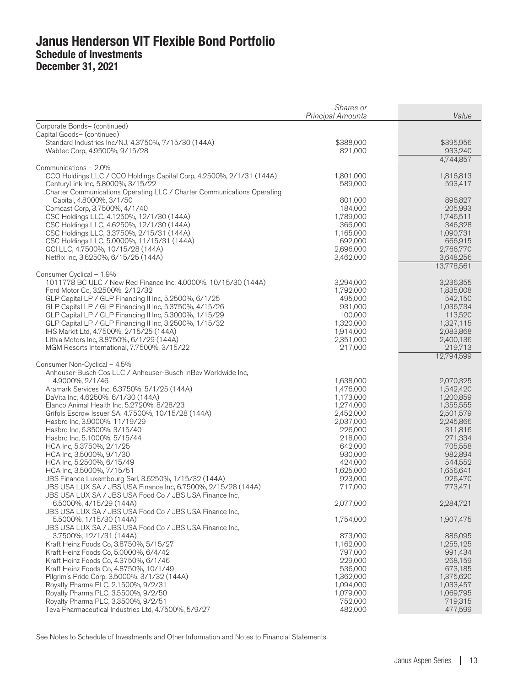|                                                                                                                          | Shares or<br><b>Principal Amounts</b> | Value                |
|--------------------------------------------------------------------------------------------------------------------------|---------------------------------------|----------------------|
| Corporate Bonds- (continued)                                                                                             |                                       |                      |
| Capital Goods- (continued)                                                                                               |                                       |                      |
| Standard Industries Inc/NJ, 4.3750%, 7/15/30 (144A)                                                                      | \$388,000                             | \$395,956            |
| Wabtec Corp, 4.9500%, 9/15/28                                                                                            | 821,000                               | 933,240              |
| Communications - 2.0%                                                                                                    |                                       | 4,744,857            |
| CCO Holdings LLC / CCO Holdings Capital Corp, 4.2500%, 2/1/31 (144A)                                                     | 1,801,000                             | 1,816,813            |
| CenturyLink Inc, 5.8000%, 3/15/22                                                                                        | 589,000                               | 593,417              |
| Charter Communications Operating LLC / Charter Communications Operating                                                  |                                       |                      |
| Capital, 4.8000%, 3/1/50                                                                                                 | 801,000                               | 896,827              |
| Comcast Corp, 3.7500%, 4/1/40<br>CSC Holdings LLC, 4.1250%, 12/1/30 (144A)                                               | 184,000<br>1,789,000                  | 205,993<br>1,746,511 |
| CSC Holdings LLC, 4.6250%, 12/1/30 (144A)                                                                                | 366,000                               | 346,328              |
| CSC Holdings LLC, 3.3750%, 2/15/31 (144A)                                                                                | 1,165,000                             | 1,090,731            |
| CSC Holdings LLC, 5.0000%, 11/15/31 (144A)                                                                               | 692,000                               | 666,915              |
| GCI LLC, 4.7500%, 10/15/28 (144A)                                                                                        | 2,696,000                             | 2,766,770            |
| Netflix Inc, 3.6250%, 6/15/25 (144A)                                                                                     | 3,462,000                             | 3,648,256            |
| Consumer Cyclical - 1.9%                                                                                                 |                                       | 13,778,561           |
| 1011778 BC ULC / New Red Finance Inc, 4.0000%, 10/15/30 (144A)                                                           | 3,294,000                             | 3,236,355            |
| Ford Motor Co, 3.2500%, 2/12/32                                                                                          | 1,792,000                             | 1,835,008            |
| GLP Capital LP / GLP Financing II Inc, 5.2500%, 6/1/25                                                                   | 495,000                               | 542,150              |
| GLP Capital LP / GLP Financing II Inc, 5.3750%, 4/15/26                                                                  | 931,000                               | 1,036,734            |
| GLP Capital LP / GLP Financing II Inc, 5.3000%, 1/15/29                                                                  | 100,000<br>1,320,000                  | 113,520<br>1,327,115 |
| GLP Capital LP / GLP Financing II Inc, 3.2500%, 1/15/32<br>IHS Markit Ltd, 4.7500%, 2/15/25 (144A)                       | 1,914,000                             | 2,083,868            |
| Lithia Motors Inc, 3.8750%, 6/1/29 (144A)                                                                                | 2,351,000                             | 2,400,136            |
| MGM Resorts International, 7.7500%, 3/15/22                                                                              | 217,000                               | 219,713              |
|                                                                                                                          |                                       | 12,794,599           |
| Consumer Non-Cyclical - 4.5%                                                                                             |                                       |                      |
| Anheuser-Busch Cos LLC / Anheuser-Busch InBev Worldwide Inc,<br>4.9000%, 2/1/46                                          | 1,638,000                             | 2,070,325            |
| Aramark Services Inc, 6.3750%, 5/1/25 (144A)                                                                             | 1,476,000                             | 1,542,420            |
| DaVita Inc, 4.6250%, 6/1/30 (144A)                                                                                       | 1,173,000                             | 1,200,859            |
| Elanco Animal Health Inc, 5.2720%, 8/28/23                                                                               | 1,274,000                             | 1,355,555            |
| Grifols Escrow Issuer SA, 4.7500%, 10/15/28 (144A)                                                                       | 2,452,000                             | 2,501,579            |
| Hasbro Inc, 3.9000%, 11/19/29                                                                                            | 2,037,000                             | 2,245,866            |
| Hasbro Inc, 6.3500%, 3/15/40<br>Hasbro Inc, 5.1000%, 5/15/44                                                             | 226,000<br>218,000                    | 311,816<br>271,334   |
| HCA Inc, 5.3750%, 2/1/25                                                                                                 | 642,000                               | 705,558              |
| HCA Inc, 3.5000%, 9/1/30                                                                                                 | 930,000                               | 982,894              |
| HCA Inc, 5.2500%, 6/15/49                                                                                                | 424,000                               | 544,552              |
| HCA Inc, 3.5000%, 7/15/51                                                                                                | 1,625,000                             | 1,656,641            |
| JBS Finance Luxembourg Sarl, 3.6250%, 1/15/32 (144A)                                                                     | 923,000                               | 926,470              |
| JBS USA LUX SA / JBS USA Finance Inc, 6.7500%, 2/15/28 (144A)<br>JBS USA LUX SA / JBS USA Food Co / JBS USA Finance Inc, | 717,000                               | 773,471              |
| 6.5000%, 4/15/29 (144A)                                                                                                  | 2,077,000                             | 2,284,721            |
| JBS USA LUX SA / JBS USA Food Co / JBS USA Finance Inc,                                                                  |                                       |                      |
| 5.5000%, 1/15/30 (144A)                                                                                                  | 1,754,000                             | 1,907,475            |
| JBS USA LUX SA / JBS USA Food Co / JBS USA Finance Inc,                                                                  |                                       |                      |
| 3.7500%, 12/1/31 (144A)                                                                                                  | 873,000                               | 886,095              |
| Kraft Heinz Foods Co, 3.8750%, 5/15/27<br>Kraft Heinz Foods Co, 5.0000%, 6/4/42                                          | 1,162,000<br>797,000                  | 1,255,125<br>991,434 |
| Kraft Heinz Foods Co, 4.3750%, 6/1/46                                                                                    | 229,000                               | 268,159              |
| Kraft Heinz Foods Co, 4.8750%, 10/1/49                                                                                   | 536,000                               | 673,185              |
| Pilgrim's Pride Corp, 3.5000%, 3/1/32 (144A)                                                                             | 1,362,000                             | 1,375,620            |
| Royalty Pharma PLC, 2.1500%, 9/2/31                                                                                      | 1,094,000                             | 1,033,457            |
| Royalty Pharma PLC, 3.5500%, 9/2/50                                                                                      | 1,079,000                             | 1,069,795            |
| Royalty Pharma PLC, 3.3500%, 9/2/51<br>Teva Pharmaceutical Industries Ltd. 4.7500%, 5/9/27                               | 752,000<br>482,000                    | 719,315<br>477,599   |
|                                                                                                                          |                                       |                      |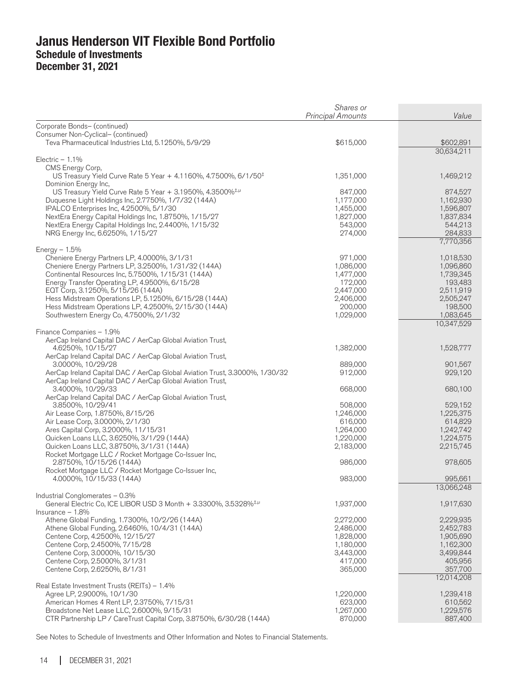|                                                                                                     | Shares or<br><b>Principal Amounts</b> | Value                  |
|-----------------------------------------------------------------------------------------------------|---------------------------------------|------------------------|
| Corporate Bonds- (continued)                                                                        |                                       |                        |
| Consumer Non-Cyclical- (continued)                                                                  |                                       |                        |
| Teva Pharmaceutical Industries Ltd, 5.1250%, 5/9/29                                                 | \$615,000                             | \$602,891              |
|                                                                                                     |                                       | 30,634,211             |
| Electric $-1.1\%$                                                                                   |                                       |                        |
| CMS Energy Corp,                                                                                    |                                       |                        |
| US Treasury Yield Curve Rate 5 Year + 4.1160%, 4.7500%, 6/1/50 <sup>‡</sup><br>Dominion Energy Inc, | 1,351,000                             | 1,469,212              |
| US Treasury Yield Curve Rate 5 Year + 3.1950%, 4.3500% $^{1,1}$                                     | 847,000                               | 874,527                |
| Duquesne Light Holdings Inc, 2.7750%, 1/7/32 (144A)                                                 | 1,177,000                             | 1,162,930              |
| IPALCO Enterprises Inc, 4.2500%, 5/1/30                                                             | 1,455,000                             | 1,596,807              |
| NextEra Energy Capital Holdings Inc, 1.8750%, 1/15/27                                               | 1,827,000                             | 1,837,834              |
| NextEra Energy Capital Holdings Inc, 2.4400%, 1/15/32                                               | 543,000                               | 544,213                |
| NRG Energy Inc, 6.6250%, 1/15/27                                                                    | 274,000                               | 284,833<br>7,770,356   |
| Energy $-1.5%$                                                                                      |                                       |                        |
| Cheniere Energy Partners LP, 4.0000%, 3/1/31                                                        | 971,000                               | 1,018,530              |
| Cheniere Energy Partners LP, 3.2500%, 1/31/32 (144A)                                                | 1,086,000                             | 1,096,860              |
| Continental Resources Inc, 5.7500%, 1/15/31 (144A)                                                  | 1,477,000                             | 1,739,345              |
| Energy Transfer Operating LP, 4.9500%, 6/15/28                                                      | 172,000                               | 193,483                |
| EQT Corp, 3.1250%, 5/15/26 (144A)<br>Hess Midstream Operations LP, 5.1250%, 6/15/28 (144A)          | 2,447,000<br>2,406,000                | 2,511,919<br>2,505,247 |
| Hess Midstream Operations LP, 4.2500%, 2/15/30 (144A)                                               | 200,000                               | 198,500                |
| Southwestern Energy Co, 4.7500%, 2/1/32                                                             | 1,029,000                             | 1,083,645              |
|                                                                                                     |                                       | 10,347,529             |
| Finance Companies - 1.9%                                                                            |                                       |                        |
| AerCap Ireland Capital DAC / AerCap Global Aviation Trust,<br>4.6250%, 10/15/27                     | 1,382,000                             |                        |
| AerCap Ireland Capital DAC / AerCap Global Aviation Trust,                                          |                                       | 1,528,777              |
| 3.0000%, 10/29/28                                                                                   | 889,000                               | 901,567                |
| AerCap Ireland Capital DAC / AerCap Global Aviation Trust, 3.3000%, 1/30/32                         | 912,000                               | 929,120                |
| AerCap Ireland Capital DAC / AerCap Global Aviation Trust,                                          |                                       |                        |
| 3.4000%, 10/29/33                                                                                   | 668,000                               | 680,100                |
| AerCap Ireland Capital DAC / AerCap Global Aviation Trust,                                          |                                       |                        |
| 3.8500%, 10/29/41<br>Air Lease Corp, 1.8750%, 8/15/26                                               | 508,000<br>1,246,000                  | 529,152<br>1,225,375   |
| Air Lease Corp, 3.0000%, 2/1/30                                                                     | 616,000                               | 614,829                |
| Ares Capital Corp, 3.2000%, 11/15/31                                                                | 1,264,000                             | 1,242,742              |
| Quicken Loans LLC, 3.6250%, 3/1/29 (144A)                                                           | 1,220,000                             | 1,224,575              |
| Quicken Loans LLC, 3.8750%, 3/1/31 (144A)                                                           | 2,183,000                             | 2,215,745              |
| Rocket Mortgage LLC / Rocket Mortgage Co-Issuer Inc,                                                |                                       |                        |
| 2.8750%, 10/15/26 (144A)<br>Rocket Mortgage LLC / Rocket Mortgage Co-Issuer Inc,                    | 986,000                               | 978,605                |
| 4.0000%, 10/15/33 (144A)                                                                            | 983,000                               | 995,661                |
|                                                                                                     |                                       | 13,066,248             |
| Industrial Conglomerates - 0.3%                                                                     |                                       |                        |
| General Electric Co, ICE LIBOR USD 3 Month + 3.3300%, 3.5328% <sup>‡,µ</sup>                        | 1,937,000                             | 1,917,630              |
| $Insurance - 1.8%$<br>Athene Global Funding, 1.7300%, 10/2/26 (144A)                                | 2,272,000                             | 2,229,935              |
| Athene Global Funding, 2.6460%, 10/4/31 (144A)                                                      | 2,486,000                             | 2,452,783              |
| Centene Corp, 4.2500%, 12/15/27                                                                     | 1,828,000                             | 1,905,690              |
| Centene Corp, 2.4500%, 7/15/28                                                                      | 1,180,000                             | 1,162,300              |
| Centene Corp, 3.0000%, 10/15/30                                                                     | 3,443,000                             | 3,499,844              |
| Centene Corp, 2.5000%, 3/1/31                                                                       | 417,000                               | 405,956                |
| Centene Corp, 2.6250%, 8/1/31                                                                       | 365,000                               | 357,700<br>12,014,208  |
| Real Estate Investment Trusts (REITs) - 1.4%                                                        |                                       |                        |
| Agree LP, 2.9000%, 10/1/30                                                                          | 1,220,000                             | 1,239,418              |
| American Homes 4 Rent LP, 2.3750%, 7/15/31                                                          | 623,000                               | 610,562                |
| Broadstone Net Lease LLC, 2.6000%, 9/15/31                                                          | 1,267,000                             | 1,229,576              |
| CTR Partnership LP / CareTrust Capital Corp, 3.8750%, 6/30/28 (144A)                                | 870,000                               | 887,400                |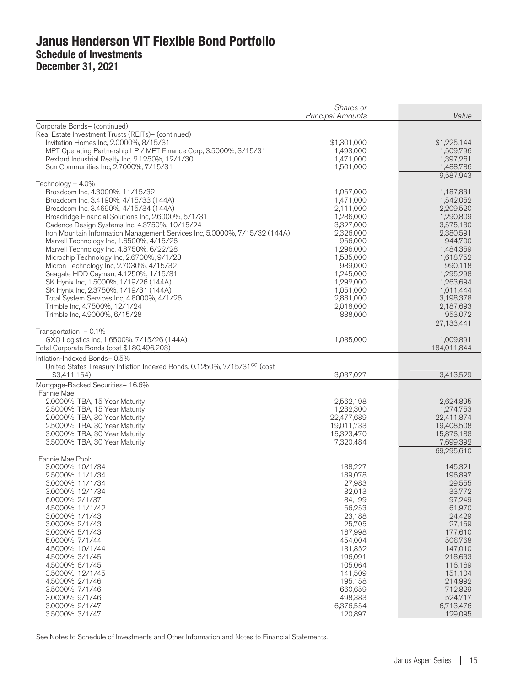|                                                                                                                                                                                                                                                                                                                                                                                                                                                                                                                                                                                                                                                                                                                                                          | Shares or<br><b>Principal Amounts</b>                                                                                                                                                                     | Value                                                                                                                                                                                                                |
|----------------------------------------------------------------------------------------------------------------------------------------------------------------------------------------------------------------------------------------------------------------------------------------------------------------------------------------------------------------------------------------------------------------------------------------------------------------------------------------------------------------------------------------------------------------------------------------------------------------------------------------------------------------------------------------------------------------------------------------------------------|-----------------------------------------------------------------------------------------------------------------------------------------------------------------------------------------------------------|----------------------------------------------------------------------------------------------------------------------------------------------------------------------------------------------------------------------|
| Corporate Bonds- (continued)<br>Real Estate Investment Trusts (REITs)- (continued)<br>Invitation Homes Inc, 2.0000%, 8/15/31<br>MPT Operating Partnership LP / MPT Finance Corp, 3.5000%, 3/15/31<br>Rexford Industrial Realty Inc, 2.1250%, 12/1/30<br>Sun Communities Inc, 2.7000%, 7/15/31                                                                                                                                                                                                                                                                                                                                                                                                                                                            | \$1,301,000<br>1,493,000<br>1,471,000<br>1,501,000                                                                                                                                                        | \$1,225,144<br>1,509,796<br>1,397,261<br>1,488,786<br>9,587,943                                                                                                                                                      |
| Technology $-4.0\%$<br>Broadcom Inc, 4.3000%, 11/15/32<br>Broadcom Inc, 3.4190%, 4/15/33 (144A)<br>Broadcom Inc, 3.4690%, 4/15/34 (144A)<br>Broadridge Financial Solutions Inc, 2.6000%, 5/1/31<br>Cadence Design Systems Inc, 4.3750%, 10/15/24<br>Iron Mountain Information Management Services Inc, 5.0000%, 7/15/32 (144A)<br>Marvell Technology Inc, 1.6500%, 4/15/26<br>Marvell Technology Inc, 4.8750%, 6/22/28<br>Microchip Technology Inc, 2.6700%, 9/1/23<br>Micron Technology Inc, 2.7030%, 4/15/32<br>Seagate HDD Cayman, 4.1250%, 1/15/31<br>SK Hynix Inc, 1.5000%, 1/19/26 (144A)<br>SK Hynix Inc, 2.3750%, 1/19/31 (144A)<br>Total System Services Inc, 4.8000%, 4/1/26<br>Trimble Inc, 4.7500%, 12/1/24<br>Trimble Inc, 4.9000%, 6/15/28 | 1,057,000<br>1,471,000<br>2,111,000<br>1,286,000<br>3,327,000<br>2,326,000<br>956,000<br>1,296,000<br>1,585,000<br>989,000<br>1,245,000<br>1,292,000<br>1,051,000<br>2,881,000<br>2,018,000<br>838,000    | 1,187,831<br>1,542,052<br>2,209,520<br>1,290,809<br>3,575,130<br>2,380,591<br>944,700<br>1,484,359<br>1,618,752<br>990,118<br>1,295,298<br>1,263,694<br>1,011,444<br>3,198,378<br>2,187,693<br>953,072<br>27,133,441 |
| Transportation $-0.1\%$<br>GXO Logistics inc, 1.6500%, 7/15/26 (144A)                                                                                                                                                                                                                                                                                                                                                                                                                                                                                                                                                                                                                                                                                    | 1,035,000                                                                                                                                                                                                 | 1,009,891                                                                                                                                                                                                            |
| Total Corporate Bonds (cost \$180,496,203)                                                                                                                                                                                                                                                                                                                                                                                                                                                                                                                                                                                                                                                                                                               |                                                                                                                                                                                                           | 184.011.844                                                                                                                                                                                                          |
| Inflation-Indexed Bonds-0.5%<br>United States Treasury Inflation Indexed Bonds, 0.1250%, 7/15/31 <sup>CC</sup> (cost<br>\$3,411,154)                                                                                                                                                                                                                                                                                                                                                                                                                                                                                                                                                                                                                     | 3,037,027                                                                                                                                                                                                 | 3,413,529                                                                                                                                                                                                            |
| Mortgage-Backed Securities- 16.6%<br>Fannie Mae:<br>2.0000%, TBA, 15 Year Maturity<br>2.5000%, TBA, 15 Year Maturity<br>2.0000%, TBA, 30 Year Maturity<br>2.5000%, TBA, 30 Year Maturity<br>3.0000%, TBA, 30 Year Maturity<br>3.5000%, TBA, 30 Year Maturity                                                                                                                                                                                                                                                                                                                                                                                                                                                                                             | 2,562,198<br>1,232,300<br>22,477,689<br>19,011,733<br>15,323,470<br>7,320,484                                                                                                                             | 2,624,895<br>1,274,753<br>22,411,874<br>19,408,508<br>15,876,188<br>7,699,392<br>69,295,610                                                                                                                          |
| Fannie Mae Pool:<br>3.0000%, 10/1/34<br>2.5000%, 11/1/34<br>3.0000%, 11/1/34<br>3.0000%, 12/1/34<br>6.0000%, 2/1/37<br>4.5000%, 11/1/42<br>3.0000%, 1/1/43<br>3.0000%, 2/1/43<br>3.0000%, 5/1/43<br>5.0000%, 7/1/44<br>4.5000%, 10/1/44<br>4.5000%, 3/1/45<br>4.5000%, 6/1/45<br>3.5000%, 12/1/45<br>4.5000%, 2/1/46<br>3.5000%, 7/1/46<br>3.0000%, 9/1/46<br>3.0000%, 2/1/47<br>3.5000%, 3/1/47                                                                                                                                                                                                                                                                                                                                                         | 138,227<br>189,078<br>27,983<br>32,013<br>84,199<br>56,253<br>23,188<br>25,705<br>167,998<br>454,004<br>131,852<br>196,091<br>105,064<br>141,509<br>195,158<br>660,659<br>498,383<br>6,376,554<br>120,897 | 145,321<br>196,897<br>29,555<br>33,772<br>97,249<br>61,970<br>24,429<br>27,159<br>177,610<br>506,768<br>147,010<br>218,633<br>116,169<br>151,104<br>214,992<br>712,829<br>524,717<br>6,713,476<br>129,095            |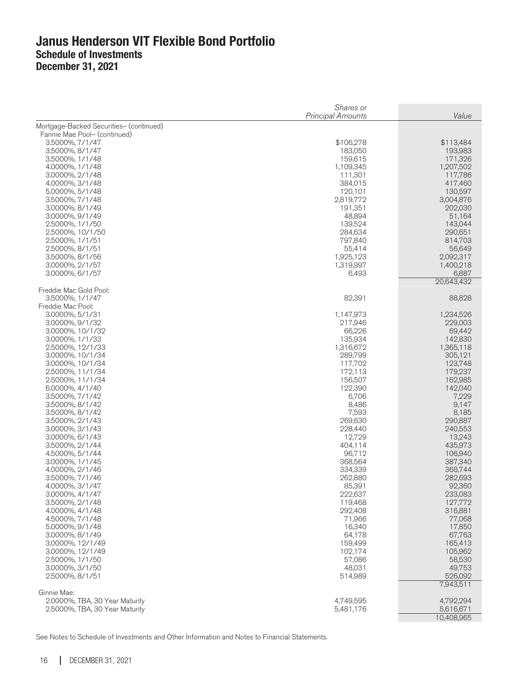|                                               | Shares or<br><b>Principal Amounts</b> | Value              |
|-----------------------------------------------|---------------------------------------|--------------------|
| Mortgage-Backed Securities- (continued)       |                                       |                    |
| Fannie Mae Pool- (continued)                  |                                       |                    |
| 3.5000%, 7/1/47                               | \$106,278                             | \$113,484          |
| 3.5000%, 8/1/47<br>3.5000%, 1/1/48            | 183,050<br>159,615                    | 193,983<br>171,326 |
| 4.0000%, 1/1/48                               | 1,109,345                             | 1,207,502          |
| 3.0000%, 2/1/48                               | 111,301                               | 117,786            |
| 4.0000%, 3/1/48                               | 384,015                               | 417,460            |
| 5.0000%, 5/1/48                               | 120,101                               | 130,597            |
| 3.5000%, 7/1/48                               | 2,819,772                             | 3,004,876          |
| 3.0000%, 8/1/49                               | 191,351                               | 202,030            |
| 3.0000%, 9/1/49                               | 48,894                                | 51,164             |
| 2.5000%, 1/1/50<br>2.5000%, 10/1/50           | 139,524<br>284,634                    | 143,044<br>290,651 |
| 2.5000%, 1/1/51                               | 797,840                               | 814,703            |
| 2.5000%, 8/1/51                               | 55,414                                | 56,649             |
| 3.5000%, 8/1/56                               | 1,925,123                             | 2,092,317          |
| 3.0000%, 2/1/57                               | 1,319,997                             | 1,400,218          |
| 3.0000%, 6/1/57                               | 6,493                                 | 6,887              |
|                                               |                                       | 20,643,432         |
| Freddie Mac Gold Pool:<br>3.5000%, 1/1/47     | 82,391                                | 88,828             |
| Freddie Mac Pool:                             |                                       |                    |
| 3.0000%, 5/1/31                               | 1,147,973                             | 1,234,526          |
| 3.0000%, 9/1/32                               | 217,946                               | 229,003            |
| 3.0000%, 10/1/32                              | 66,226                                | 69,442             |
| 3.0000%, 1/1/33                               | 135,934                               | 142,830            |
| 2.5000%, 12/1/33                              | 1,316,672                             | 1,365,118          |
| 3.0000%, 10/1/34                              | 289,799                               | 305,121            |
| 3.0000%, 10/1/34<br>2.5000%, 11/1/34          | 117,702<br>172,113                    | 123,748<br>179,237 |
| 2.5000%, 11/1/34                              | 156,507                               | 162,985            |
| 6.0000%, 4/1/40                               | 122,390                               | 142,040            |
| 3.5000%, 7/1/42                               | 6,706                                 | 7,229              |
| 3.5000%, 8/1/42                               | 8,486                                 | 9,147              |
| 3.5000%, 8/1/42                               | 7,593                                 | 8,185              |
| 3.5000%, 2/1/43                               | 269,630                               | 290,887            |
| 3.0000%, 3/1/43                               | 228,440                               | 240,553            |
| 3.0000%, 6/1/43<br>3.5000%, 2/1/44            | 12,729<br>404,114                     | 13,243<br>435,973  |
| 4.5000%, 5/1/44                               | 96,712                                | 106,940            |
| 3.0000%, 1/1/45                               | 368,564                               | 387,340            |
| 4.0000%, 2/1/46                               | 334,339                               | 368,744            |
| 3.5000%, 7/1/46                               | 262,880                               | 282,693            |
| 4.0000%, 3/1/47                               | 85,391                                | 92,360             |
| 3.0000%, 4/1/47                               | 222,637                               | 233,083            |
| 3.5000%, 2/1/48                               | 119,468                               | 127,772            |
| 4.0000%, 4/1/48                               | 292,408                               | 316,881            |
| 4.5000%, 7/1/48                               | 71,966                                | 77,068             |
| 5.0000%, 9/1/48<br>3.0000%, 8/1/49            | 16,340<br>64,178                      | 17,850<br>67,763   |
| 3.0000%, 12/1/49                              | 159,499                               | 165,413            |
| 3.0000%, 12/1/49                              | 102,174                               | 105,962            |
| 2.5000%, 1/1/50                               | 57,086                                | 58,530             |
| 3.0000%, 3/1/50                               | 48,031                                | 49,753             |
| 2.5000%, 8/1/51                               | 514,989                               | 526,092            |
|                                               |                                       | 7,943,511          |
| Ginnie Mae:<br>2.0000%, TBA, 30 Year Maturity | 4,749,595                             | 4,792,294          |
| 2.5000%, TBA, 30 Year Maturity                | 5,481,176                             | 5,616,671          |
|                                               |                                       | 10,408,965         |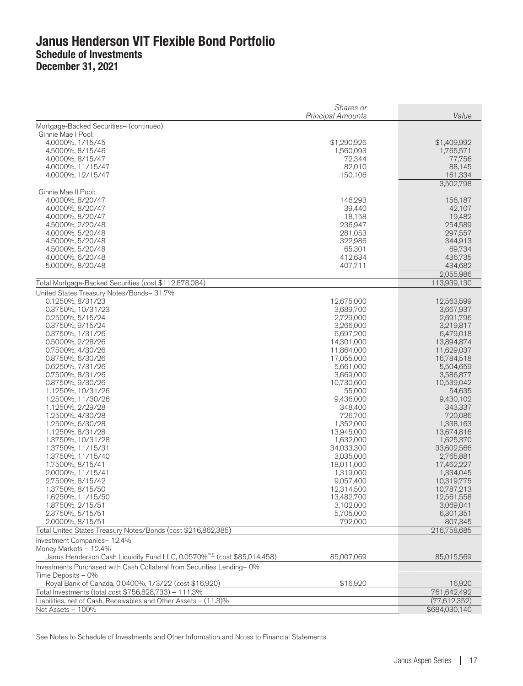|                                                                                                                                                               | Shares or<br><b>Principal Amounts</b> | Value                   |
|---------------------------------------------------------------------------------------------------------------------------------------------------------------|---------------------------------------|-------------------------|
| Mortgage-Backed Securities- (continued)                                                                                                                       |                                       |                         |
| Ginnie Mae I Pool:                                                                                                                                            |                                       |                         |
| 4.0000%, 1/15/45                                                                                                                                              | \$1,290,926                           | \$1,409,992             |
| 4.5000%, 8/15/46                                                                                                                                              | 1,560,093                             | 1,765,571               |
| 4.0000%, 8/15/47                                                                                                                                              | 72,344                                | 77,756                  |
| 4.0000%, 11/15/47                                                                                                                                             | 82,010                                | 88,145                  |
| 4.0000%, 12/15/47                                                                                                                                             | 150,106                               | 161,334<br>3,502,798    |
| Ginnie Mae II Pool:                                                                                                                                           |                                       |                         |
| 4.0000%, 8/20/47                                                                                                                                              | 146,293                               | 156,187                 |
| 4.0000%, 8/20/47                                                                                                                                              | 39,440                                | 42,107                  |
| 4.0000%, 8/20/47                                                                                                                                              | 18,158                                | 19,482                  |
| 4.5000%, 2/20/48                                                                                                                                              | 236,947                               | 254,589                 |
| 4.0000%, 5/20/48                                                                                                                                              | 281,053                               | 297,557                 |
| 4.5000%, 5/20/48                                                                                                                                              | 322,986                               | 344,913                 |
| 4.5000%, 5/20/48                                                                                                                                              | 65,301                                | 69,734                  |
| 4.0000%, 6/20/48                                                                                                                                              | 412,634                               | 436,735                 |
| 5.0000%, 8/20/48                                                                                                                                              | 407,711                               | 434,682<br>2,055,986    |
| Total Mortgage-Backed Securities (cost \$112,878,084)                                                                                                         |                                       | 113,939,130             |
| United States Treasury Notes/Bonds- 31.7%                                                                                                                     |                                       |                         |
| 0.1250%, 8/31/23                                                                                                                                              | 12,675,000                            | 12,563,599              |
| 0.3750%, 10/31/23                                                                                                                                             | 3,689,700                             | 3,667,937               |
| 0.2500%, 5/15/24                                                                                                                                              | 2,729,000                             | 2,691,796               |
| 0.3750%, 9/15/24                                                                                                                                              | 3,266,000                             | 3,219,817               |
| 0.3750%, 1/31/26                                                                                                                                              | 6,697,200                             | 6,479,018               |
| 0.5000%, 2/28/26                                                                                                                                              | 14,301,000                            | 13,894,874              |
| 0.7500%, 4/30/26                                                                                                                                              | 11,864,000                            | 11,629,037              |
| 0.8750%, 6/30/26                                                                                                                                              | 17,055,000                            | 16,784,518              |
| 0.6250%, 7/31/26                                                                                                                                              | 5,661,000                             | 5,504,659               |
| 0.7500%, 8/31/26                                                                                                                                              | 3,669,000                             | 3,586,877               |
| 0.8750%, 9/30/26                                                                                                                                              | 10,730,600                            | 10,539,042              |
| 1.1250%, 10/31/26                                                                                                                                             | 55,000                                | 54,635                  |
| 1.2500%, 11/30/26                                                                                                                                             | 9,436,000                             | 9,430,102               |
| 1.1250%, 2/29/28                                                                                                                                              | 348,400                               | 343,337                 |
| 1.2500%, 4/30/28                                                                                                                                              | 726,700                               | 720,086                 |
| 1.2500%, 6/30/28                                                                                                                                              | 1,352,000                             | 1,338,163               |
| 1.1250%, 8/31/28                                                                                                                                              | 13,945,000                            | 13,674,816              |
| 1.3750%, 10/31/28                                                                                                                                             | 1,632,000                             | 1,625,370               |
| 1.3750%, 11/15/31                                                                                                                                             | 34,033,300                            | 33,602,566              |
| 1.3750%, 11/15/40                                                                                                                                             | 3,035,000                             | 2,765,881               |
| 1.7500%, 8/15/41                                                                                                                                              | 18,011,000                            | 17,462,227              |
| 2.0000%, 11/15/41<br>2.7500%, 8/15/42                                                                                                                         | 1,319,000<br>9,057,400                | 1,334,045<br>10,319,775 |
| 1.3750%, 8/15/50                                                                                                                                              | 12,314,500                            | 10,787,213              |
| 1.6250%, 11/15/50                                                                                                                                             | 13,482,700                            | 12,561,558              |
| 1.8750%, 2/15/51                                                                                                                                              | 3,102,000                             | 3,069,041               |
| 2.3750%, 5/15/51                                                                                                                                              | 5,705,000                             | 6,301,351               |
| 2.0000%, 8/15/51                                                                                                                                              | 792,000                               | 807,345                 |
| Total United States Treasury Notes/Bonds (cost \$216,862,385)                                                                                                 |                                       | 216,758,685             |
| Investment Companies-12.4%                                                                                                                                    |                                       |                         |
| Money Markets - 12.4%                                                                                                                                         |                                       |                         |
| Janus Henderson Cash Liquidity Fund LLC, 0.0570% <sup>on,£</sup> (cost \$85,014,458)<br>Investments Purchased with Cash Collateral from Securities Lending-0% | 85,007,069                            | 85,015,569              |
| Time Deposits - 0%                                                                                                                                            |                                       |                         |
| Royal Bank of Canada, 0.0400%, 1/3/22 (cost \$16,920)                                                                                                         | \$16,920                              | 16,920                  |
| Total Investments (total cost \$756,828,733) – 111.3%                                                                                                         |                                       | 761,642,492             |
| Liabilities, net of Cash, Receivables and Other Assets - (11.3)%                                                                                              |                                       | (77,612,352)            |
| Net Assets - 100%                                                                                                                                             |                                       | \$684,030,140           |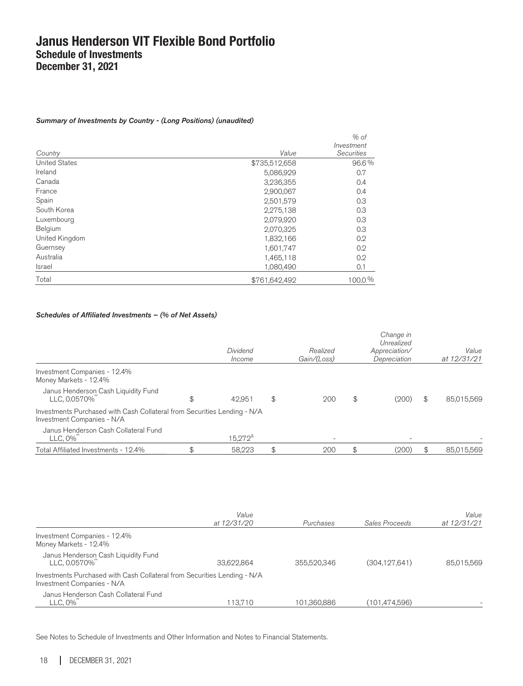#### Summary of Investments by Country - (Long Positions) (unaudited)

| Country              | Value         | $%$ of<br>Investment<br><b>Securities</b> |
|----------------------|---------------|-------------------------------------------|
| <b>United States</b> | \$735,512,658 | 96.6%                                     |
| Ireland              | 5,086,929     | 0.7                                       |
| Canada               | 3,236,355     | 0.4                                       |
| France               | 2,900,067     | 0.4                                       |
| Spain                | 2,501,579     | 0.3                                       |
| South Korea          | 2,275,138     | 0.3                                       |
| Luxembourg           | 2,079,920     | 0.3                                       |
| Belgium              | 2,070,325     | 0.3                                       |
| United Kingdom       | 1,832,166     | 0.2                                       |
| Guernsey             | 1,601,747     | 0.2                                       |
| Australia            | 1,465,118     | 0.2                                       |
| Israel               | 1,080,490     | 0.1                                       |
| Total                | \$761.642.492 | 100.0%                                    |

#### Schedules of Affiliated Investments – (% of Net Assets)

|                                                                                                        | Dividend<br>Income | Realized<br>Gain/(Loss) | Change in<br>Unrealized<br>Appreciation/<br>Depreciation | Value<br>at 12/31/21 |
|--------------------------------------------------------------------------------------------------------|--------------------|-------------------------|----------------------------------------------------------|----------------------|
| Investment Companies - 12.4%<br>Money Markets - 12.4%                                                  |                    |                         |                                                          |                      |
| Janus Henderson Cash Liquidity Fund<br>LLC, 0.0570%                                                    | \$<br>42.951       | \$<br>200               | \$<br>(200)                                              | \$<br>85,015,569     |
| Investments Purchased with Cash Collateral from Securities Lending - N/A<br>Investment Companies - N/A |                    |                         |                                                          |                      |
| Janus Henderson Cash Collateral Fund<br>LLC, 0%                                                        | $15.272^{\Delta}$  |                         | -                                                        |                      |
| Total Affiliated Investments - 12.4%                                                                   | 58.223             | 200                     | (200)                                                    | 85.015.569           |

|                                                                                                        | Value<br>at 12/31/20 | Purchases   | Sales Proceeds  | Value<br>at 12/31/21 |
|--------------------------------------------------------------------------------------------------------|----------------------|-------------|-----------------|----------------------|
| Investment Companies - 12.4%<br>Money Markets - 12.4%                                                  |                      |             |                 |                      |
| Janus Henderson Cash Liquidity Fund<br>LLC, 0.0570%                                                    | 33,622,864           | 355,520,346 | (304, 127, 641) | 85,015,569           |
| Investments Purchased with Cash Collateral from Securities Lending - N/A<br>Investment Companies - N/A |                      |             |                 |                      |
| Janus Henderson Cash Collateral Fund<br>LLC, 0%                                                        | 113.710              | 101,360,886 | (101,474,596)   |                      |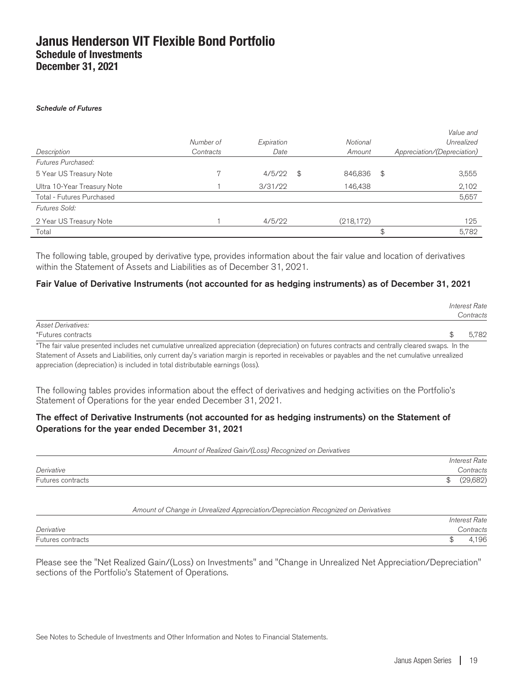appreciation (depreciation) is included in total distributable earnings (loss).

#### Schedule of Futures

|                             | Number of | Expiration | Notional      | Value and<br>Unrealized     |
|-----------------------------|-----------|------------|---------------|-----------------------------|
| Description                 | Contracts | Date       | Amount        | Appreciation/(Depreciation) |
| Futures Purchased:          |           |            |               |                             |
| 5 Year US Treasury Note     |           | 4/5/22     | \$<br>846,836 | \$<br>3,555                 |
| Ultra 10-Year Treasury Note |           | 3/31/22    | 146,438       | 2,102                       |
| Total - Futures Purchased   |           |            |               | 5,657                       |
| Futures Sold:               |           |            |               |                             |
| 2 Year US Treasury Note     |           | 4/5/22     | (218, 172)    | 125                         |
| Total                       |           |            |               | \$<br>5,782                 |

The following table, grouped by derivative type, provides information about the fair value and location of derivatives within the Statement of Assets and Liabilities as of December 31, 2021.

#### Fair Value of Derivative Instruments (not accounted for as hedging instruments) as of December 31, 2021

|                                                                                                                                                   | Interest Rate<br>Contracts |
|---------------------------------------------------------------------------------------------------------------------------------------------------|----------------------------|
| <b>Asset Derivatives:</b>                                                                                                                         |                            |
| *Futures contracts                                                                                                                                | 5.782                      |
| *The fair value presented includes net cumulative unrealized appreciation (depreciation) on futures contracts and centrally cleared swaps. In the |                            |
| Statement of Assets and Liabilities, only current day's variation margin is reported in receivables or payables and the net cumulative unrealized |                            |

The following tables provides information about the effect of derivatives and hedging activities on the Portfolio's Statement of Operations for the year ended December 31, 2021.

#### The effect of Derivative Instruments (not accounted for as hedging instruments) on the Statement of Operations for the year ended December 31, 2021

Amount of Realized Gain/(Loss) Recognized on Derivatives

|                   |        | <b>Interest Rate</b> |
|-------------------|--------|----------------------|
| Derivative        |        | <i>Contracts</i>     |
| Futures contracts | ሖ<br>Ψ | (690)<br>J∪∠         |

#### Amount of Change in Unrealized Appreciation/Depreciation Recognized on Derivatives

|                   | <i>Interest Rate</i> |
|-------------------|----------------------|
| Derivative        | ontracts:            |
| Futures contracts | $\sim$<br>196        |

Please see the "Net Realized Gain/(Loss) on Investments" and "Change in Unrealized Net Appreciation/Depreciation" sections of the Portfolio's Statement of Operations.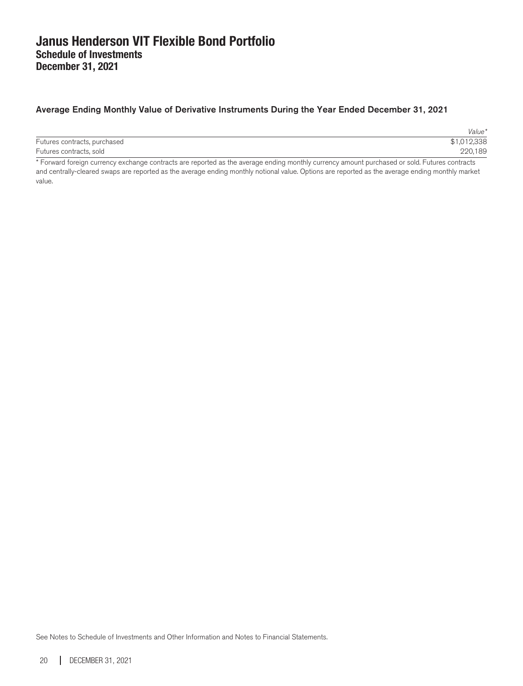### Average Ending Monthly Value of Derivative Instruments During the Year Ended December 31, 2021

|                                    | Value*             |
|------------------------------------|--------------------|
| Futures contracts, purchased       | \$1,012,338        |
| Futures contracts, sold            | 220,189            |
| $\overline{\phantom{a}}$<br>.<br>. | .<br>$\sim$ $\sim$ |

\* Forward foreign currency exchange contracts are reported as the average ending monthly currency amount purchased or sold. Futures contracts and centrally-cleared swaps are reported as the average ending monthly notional value. Options are reported as the average ending monthly market value.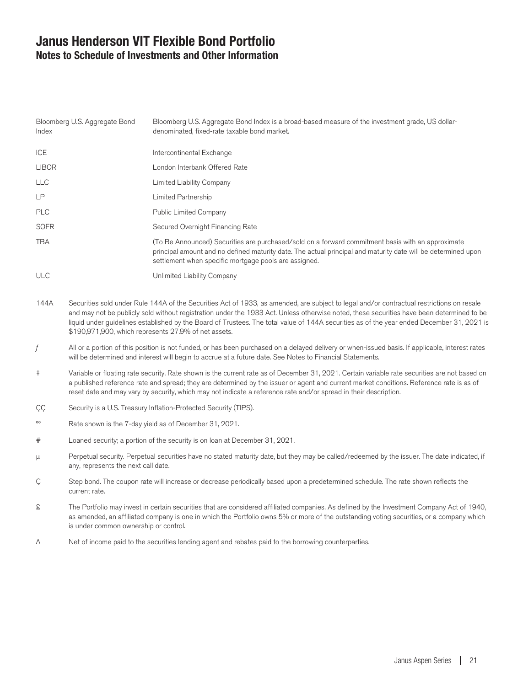### **Janus Henderson VIT Flexible Bond Portfolio Notes to Schedule of Investments and Other Information**

| Bloomberg U.S. Aggregate Bond<br>Index | Bloomberg U.S. Aggregate Bond Index is a broad-based measure of the investment grade, US dollar-<br>denominated, fixed-rate taxable bond market.                                                                                                                            |
|----------------------------------------|-----------------------------------------------------------------------------------------------------------------------------------------------------------------------------------------------------------------------------------------------------------------------------|
| <b>ICE</b>                             | Intercontinental Exchange                                                                                                                                                                                                                                                   |
| <b>LIBOR</b>                           | London Interbank Offered Rate                                                                                                                                                                                                                                               |
| <b>LLC</b>                             | Limited Liability Company                                                                                                                                                                                                                                                   |
| <b>LP</b>                              | Limited Partnership                                                                                                                                                                                                                                                         |
| <b>PLC</b>                             | <b>Public Limited Company</b>                                                                                                                                                                                                                                               |
| <b>SOFR</b>                            | Secured Overnight Financing Rate                                                                                                                                                                                                                                            |
| <b>TBA</b>                             | (To Be Announced) Securities are purchased/sold on a forward commitment basis with an approximate<br>principal amount and no defined maturity date. The actual principal and maturity date will be determined upon<br>settlement when specific mortgage pools are assigned. |
| <b>ULC</b>                             | Unlimited Liability Company                                                                                                                                                                                                                                                 |

- 144A Securities sold under Rule 144A of the Securities Act of 1933, as amended, are subject to legal and/or contractual restrictions on resale and may not be publicly sold without registration under the 1933 Act. Unless otherwise noted, these securities have been determined to be liquid under guidelines established by the Board of Trustees. The total value of 144A securities as of the year ended December 31, 2021 is \$190,971,900, which represents 27.9% of net assets.
- All or a portion of this position is not funded, or has been purchased on a delayed delivery or when-issued basis. If applicable, interest rates will be determined and interest will begin to accrue at a future date. See Notes to Financial Statements.
- ‡ Variable or floating rate security. Rate shown is the current rate as of December 31, 2021. Certain variable rate securities are not based on a published reference rate and spread; they are determined by the issuer or agent and current market conditions. Reference rate is as of reset date and may vary by security, which may not indicate a reference rate and/or spread in their description.
- CC Security is a U.S. Treasury Inflation-Protected Security (TIPS).
- ºº Rate shown is the 7-day yield as of December 31, 2021.
- # Loaned security; a portion of the security is on loan at December 31, 2021.
- µ Perpetual security. Perpetual securities have no stated maturity date, but they may be called/redeemed by the issuer. The date indicated, if any, represents the next call date.
- Ç Step bond. The coupon rate will increase or decrease periodically based upon a predetermined schedule. The rate shown reflects the current rate.
- £ The Portfolio may invest in certain securities that are considered affiliated companies. As defined by the Investment Company Act of 1940, as amended, an affiliated company is one in which the Portfolio owns 5% or more of the outstanding voting securities, or a company which is under common ownership or control.
- Δ Net of income paid to the securities lending agent and rebates paid to the borrowing counterparties.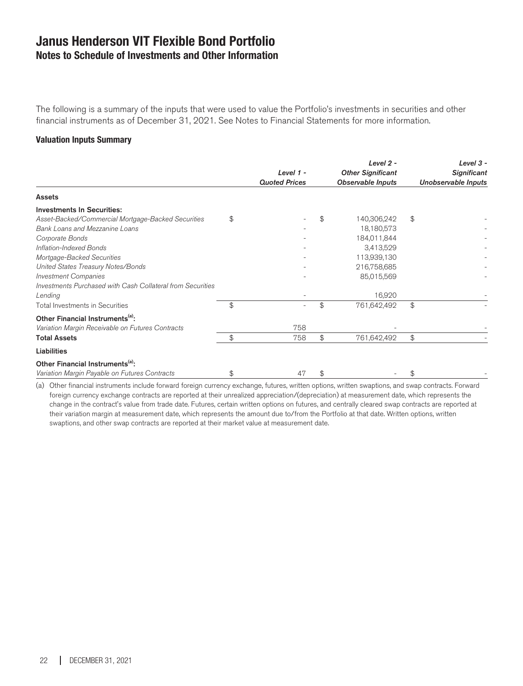### **Janus Henderson VIT Flexible Bond Portfolio Notes to Schedule of Investments and Other Information**

The following is a summary of the inputs that were used to value the Portfolio's investments in securities and other financial instruments as of December 31, 2021. See Notes to Financial Statements for more information.

#### **Valuation Inputs Summary**

|                                                            | Level 1 -<br><b>Quoted Prices</b> | Level $2 -$<br><b>Other Significant</b><br><b>Observable Inputs</b> | Level $3 -$<br><b>Significant</b><br>Unobservable Inputs |
|------------------------------------------------------------|-----------------------------------|---------------------------------------------------------------------|----------------------------------------------------------|
| <b>Assets</b>                                              |                                   |                                                                     |                                                          |
| <b>Investments In Securities:</b>                          |                                   |                                                                     |                                                          |
| Asset-Backed/Commercial Mortgage-Backed Securities         | \$                                | \$<br>140,306,242                                                   | \$                                                       |
| Bank Loans and Mezzanine Loans                             |                                   | 18,180,573                                                          |                                                          |
| Corporate Bonds                                            |                                   | 184,011,844                                                         |                                                          |
| Inflation-Indexed Bonds                                    |                                   | 3,413,529                                                           |                                                          |
| Mortgage-Backed Securities                                 |                                   | 113,939,130                                                         |                                                          |
| United States Treasury Notes/Bonds                         |                                   | 216,758,685                                                         |                                                          |
| <b>Investment Companies</b>                                |                                   | 85,015,569                                                          |                                                          |
| Investments Purchased with Cash Collateral from Securities |                                   |                                                                     |                                                          |
| Lending                                                    |                                   | 16,920                                                              |                                                          |
| <b>Total Investments in Securities</b>                     | \$<br>٠                           | \$<br>761,642,492                                                   | \$                                                       |
| Other Financial Instruments <sup>(a)</sup> :               |                                   |                                                                     |                                                          |
| Variation Margin Receivable on Futures Contracts           | 758                               |                                                                     |                                                          |
| <b>Total Assets</b>                                        | \$<br>758                         | \$<br>761,642,492                                                   | \$                                                       |
| <b>Liabilities</b>                                         |                                   |                                                                     |                                                          |
| Other Financial Instruments <sup>(a)</sup> :               |                                   |                                                                     |                                                          |
| Variation Margin Payable on Futures Contracts              | \$<br>47                          | \$                                                                  | \$                                                       |

(a) Other financial instruments include forward foreign currency exchange, futures, written options, written swaptions, and swap contracts. Forward foreign currency exchange contracts are reported at their unrealized appreciation/(depreciation) at measurement date, which represents the change in the contract's value from trade date. Futures, certain written options on futures, and centrally cleared swap contracts are reported at their variation margin at measurement date, which represents the amount due to/from the Portfolio at that date. Written options, written swaptions, and other swap contracts are reported at their market value at measurement date.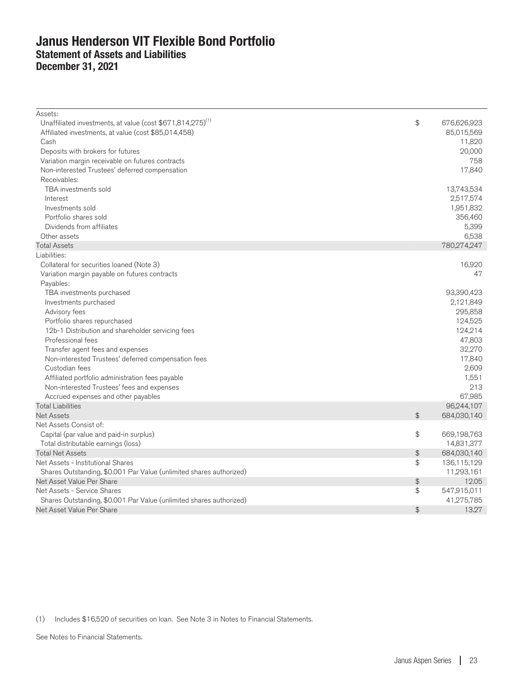### **Janus Henderson VIT Flexible Bond Portfolio Statement of Assets and Liabilities December 31, 2021**

| Assets:                                                                |                |             |
|------------------------------------------------------------------------|----------------|-------------|
| Unaffiliated investments, at value (cost \$671,814,275) <sup>(1)</sup> | \$             | 676,626,923 |
| Affiliated investments, at value (cost \$85,014,458)                   |                | 85,015,569  |
| Cash                                                                   |                | 11,820      |
| Deposits with brokers for futures                                      |                | 20,000      |
| Variation margin receivable on futures contracts                       |                | 758         |
| Non-interested Trustees' deferred compensation                         |                | 17,840      |
| Receivables:                                                           |                |             |
| TBA investments sold                                                   |                | 13,743,534  |
| Interest                                                               |                | 2,517,574   |
| Investments sold                                                       |                | 1,951,832   |
| Portfolio shares sold                                                  |                | 356,460     |
| Dividends from affiliates                                              |                | 5,399       |
| Other assets                                                           |                | 6,538       |
| <b>Total Assets</b>                                                    |                | 780,274,247 |
| Liabilities:                                                           |                |             |
| Collateral for securities loaned (Note 3)                              |                | 16,920      |
| Variation margin payable on futures contracts                          |                | 47          |
| Payables:                                                              |                |             |
| TBA investments purchased                                              |                | 93,390,423  |
| Investments purchased                                                  |                | 2,121,849   |
| Advisory fees                                                          |                | 295,858     |
| Portfolio shares repurchased                                           |                | 124,525     |
| 12b-1 Distribution and shareholder servicing fees                      |                | 124,214     |
| Professional fees                                                      |                | 47,803      |
| Transfer agent fees and expenses                                       |                | 32,270      |
| Non-interested Trustees' deferred compensation fees                    |                | 17,840      |
| Custodian fees                                                         |                | 2,609       |
| Affiliated portfolio administration fees payable                       |                | 1,551       |
| Non-interested Trustees' fees and expenses                             |                | 213         |
| Accrued expenses and other payables                                    |                | 67,985      |
| <b>Total Liabilities</b>                                               |                | 96,244,107  |
| <b>Net Assets</b>                                                      | \$             | 684,030,140 |
| Net Assets Consist of:                                                 |                |             |
| Capital (par value and paid-in surplus)                                | \$             | 669,198,763 |
| Total distributable earnings (loss)                                    |                | 14,831,377  |
| <b>Total Net Assets</b>                                                | \$             | 684,030,140 |
| Net Assets - Institutional Shares                                      | \$             | 136,115,129 |
| Shares Outstanding, \$0.001 Par Value (unlimited shares authorized)    |                | 11,293,161  |
| Net Asset Value Per Share                                              | $\updownarrow$ | 12.05       |
| Net Assets - Service Shares                                            | \$             | 547,915,011 |
| Shares Outstanding, \$0.001 Par Value (unlimited shares authorized)    |                | 41,275,785  |
| Net Asset Value Per Share                                              | $\frac{4}{5}$  | 13.27       |

(1) Includes \$16,520 of securities on loan. See Note 3 in Notes to Financial Statements.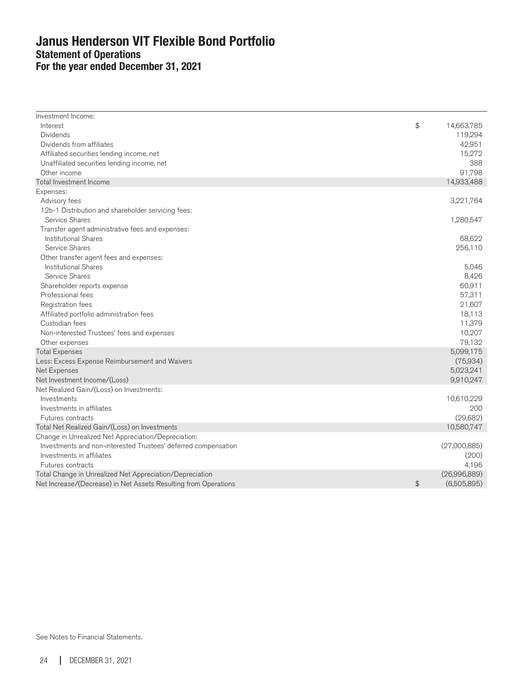### **Janus Henderson VIT Flexible Bond Portfolio Statement of Operations For the year ended December 31, 2021**

| Investment Income:                                              |                   |
|-----------------------------------------------------------------|-------------------|
| Interest                                                        | \$<br>14,663,785  |
| <b>Dividends</b>                                                | 119,294           |
| Dividends from affiliates                                       | 42,951            |
| Affiliated securities lending income, net                       | 15,272            |
| Unaffiliated securities lending income, net                     | 388               |
| Other income                                                    | 91,798            |
| Total Investment Income                                         | 14,933,488        |
| Expenses:                                                       |                   |
| Advisory fees                                                   | 3,221,764         |
| 12b-1 Distribution and shareholder servicing fees:              |                   |
| Service Shares                                                  | 1,280,547         |
| Transfer agent administrative fees and expenses:                |                   |
| <b>Institutional Shares</b>                                     | 68,622            |
| Service Shares                                                  | 256,110           |
| Other transfer agent fees and expenses:                         |                   |
| <b>Institutional Shares</b>                                     | 5,046             |
| Service Shares                                                  | 8,426             |
| Shareholder reports expense                                     | 60,911            |
| Professional fees                                               | 57,311            |
| Registration fees                                               | 21,607            |
| Affiliated portfolio administration fees                        | 18,113            |
| Custodian fees                                                  | 11,379            |
| Non-interested Trustees' fees and expenses                      | 10,207            |
| Other expenses                                                  | 79,132            |
| <b>Total Expenses</b>                                           | 5,099,175         |
| Less: Excess Expense Reimbursement and Waivers                  | (75,934)          |
| Net Expenses                                                    | 5,023,241         |
| Net Investment Income/(Loss)                                    | 9,910,247         |
| Net Realized Gain/(Loss) on Investments:                        |                   |
| Investments                                                     | 10,610,229        |
| Investments in affiliates                                       | 200               |
| Futures contracts                                               | (29,682)          |
| Total Net Realized Gain/(Loss) on Investments                   | 10,580,747        |
| Change in Unrealized Net Appreciation/Depreciation:             |                   |
| Investments and non-interested Trustees' deferred compensation  | (27,000,885)      |
| Investments in affiliates                                       | (200)             |
| Futures contracts                                               | 4,196             |
| Total Change in Unrealized Net Appreciation/Depreciation        | (26,996,889)      |
| Net Increase/(Decrease) in Net Assets Resulting from Operations | \$<br>(6,505,895) |
|                                                                 |                   |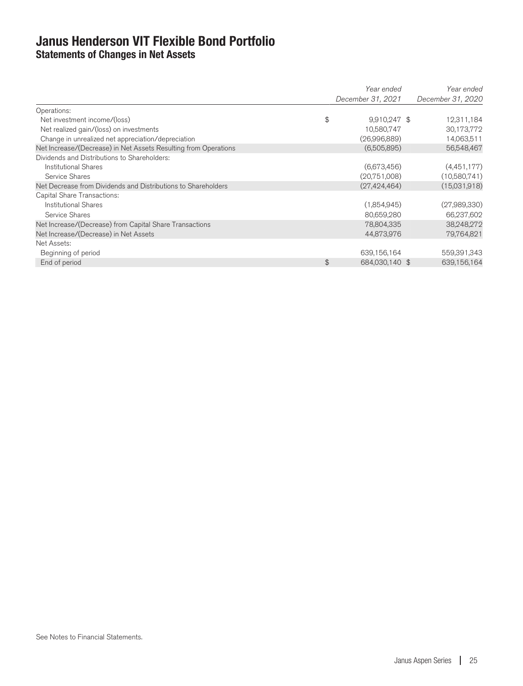### **Janus Henderson VIT Flexible Bond Portfolio Statements of Changes in Net Assets**

|                                                                 | Year ended        | Year ended        |
|-----------------------------------------------------------------|-------------------|-------------------|
|                                                                 | December 31, 2021 | December 31, 2020 |
| Operations:                                                     |                   |                   |
| \$<br>Net investment income/(loss)                              | 9,910,247 \$      | 12,311,184        |
| Net realized gain/(loss) on investments                         | 10,580,747        | 30,173,772        |
| Change in unrealized net appreciation/depreciation              | (26,996,889)      | 14,063,511        |
| Net Increase/(Decrease) in Net Assets Resulting from Operations | (6,505,895)       | 56,548,467        |
| Dividends and Distributions to Shareholders:                    |                   |                   |
| Institutional Shares                                            | (6,673,456)       | (4,451,177)       |
| Service Shares                                                  | (20,751,008)      | (10,580,741)      |
| Net Decrease from Dividends and Distributions to Shareholders   | (27, 424, 464)    | (15,031,918)      |
| Capital Share Transactions:                                     |                   |                   |
| Institutional Shares                                            | (1,854,945)       | (27,989,330)      |
| Service Shares                                                  | 80,659,280        | 66,237,602        |
| Net Increase/(Decrease) from Capital Share Transactions         | 78,804,335        | 38,248,272        |
| Net Increase/(Decrease) in Net Assets                           | 44,873,976        | 79,764,821        |
| Net Assets:                                                     |                   |                   |
| Beginning of period                                             | 639,156,164       | 559,391,343       |
| \$<br>End of period                                             | 684,030,140 \$    | 639,156,164       |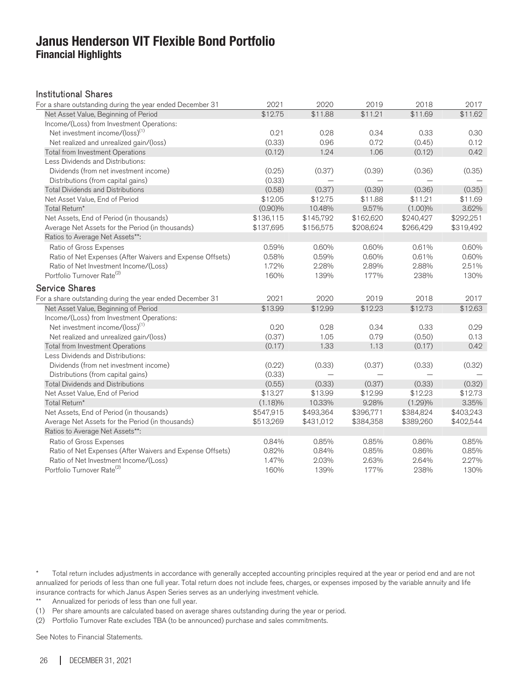### **Janus Henderson VIT Flexible Bond Portfolio Financial Highlights**

#### Institutional Shares

| For a share outstanding during the year ended December 31 | 2021       | 2020      | 2019      | 2018      | 2017                |
|-----------------------------------------------------------|------------|-----------|-----------|-----------|---------------------|
| Net Asset Value, Beginning of Period                      | \$12.75    | \$11.88   | \$11.21   | \$11.69   | $\overline{$}11.62$ |
| Income/(Loss) from Investment Operations:                 |            |           |           |           |                     |
| Net investment income/(loss) <sup>(1)</sup>               | 0.21       | 0.28      | 0.34      | 0.33      | 0.30                |
| Net realized and unrealized gain/(loss)                   | (0.33)     | 0.96      | 0.72      | (0.45)    | 0.12                |
| Total from Investment Operations                          | (0.12)     | 1.24      | 1.06      | (0.12)    | 0.42                |
| Less Dividends and Distributions:                         |            |           |           |           |                     |
| Dividends (from net investment income)                    | (0.25)     | (0.37)    | (0.39)    | (0.36)    | (0.35)              |
| Distributions (from capital gains)                        | (0.33)     |           |           |           |                     |
| <b>Total Dividends and Distributions</b>                  | (0.58)     | (0.37)    | (0.39)    | (0.36)    | (0.35)              |
| Net Asset Value, End of Period                            | \$12.05    | \$12.75   | \$11.88   | \$11.21   | \$11.69             |
| Total Return*                                             | $(0.90)\%$ | 10.48%    | 9.57%     | (1.00)%   | 3.62%               |
| Net Assets, End of Period (in thousands)                  | \$136,115  | \$145,792 | \$162,620 | \$240,427 | \$292,251           |
| Average Net Assets for the Period (in thousands)          | \$137,695  | \$156,575 | \$208,624 | \$266,429 | \$319,492           |
| Ratios to Average Net Assets**:                           |            |           |           |           |                     |
| Ratio of Gross Expenses                                   | 0.59%      | 0.60%     | 0.60%     | 0.61%     | 0.60%               |
| Ratio of Net Expenses (After Waivers and Expense Offsets) | 0.58%      | 0.59%     | 0.60%     | 0.61%     | 0.60%               |
| Ratio of Net Investment Income/(Loss)                     | 1.72%      | 2.28%     | 2.89%     | 2.88%     | 2.51%               |
| Portfolio Turnover Rate <sup>(2)</sup>                    | 160%       | 139%      | 177%      | 238%      | 130%                |
| <b>Service Shares</b>                                     |            |           |           |           |                     |
| For a share outstanding during the year ended December 31 | 2021       | 2020      | 2019      | 2018      | 2017                |
|                                                           | \$13.99    | \$12.99   | \$12.23   | \$12.73   | \$12.63             |
| Net Asset Value, Beginning of Period                      |            |           |           |           |                     |
| Income/(Loss) from Investment Operations:                 | 0.20       | 0.28      | 0.34      | 0.33      |                     |
| Net investment income/(loss) <sup>(1)</sup>               |            | 1.05      | 0.79      |           | 0.29                |
| Net realized and unrealized gain/(loss)                   | (0.37)     |           |           | (0.50)    | 0.13                |
| Total from Investment Operations                          | (0.17)     | 1.33      | 1.13      | (0.17)    | 0.42                |
| Less Dividends and Distributions:                         |            |           |           |           |                     |
| Dividends (from net investment income)                    | (0.22)     | (0.33)    | (0.37)    | (0.33)    | (0.32)              |
| Distributions (from capital gains)                        | (0.33)     |           |           |           |                     |
| <b>Total Dividends and Distributions</b>                  | (0.55)     | (0.33)    | (0.37)    | (0.33)    | (0.32)              |
| Net Asset Value, End of Period                            | \$13.27    | \$13.99   | \$12.99   | \$12.23   | \$12.73             |
| Total Return*                                             | (1.18)%    | 10.33%    | 9.28%     | (1.29)%   | 3.35%               |
| Net Assets, End of Period (in thousands)                  | \$547,915  | \$493,364 | \$396,771 | \$384,824 | \$403,243           |
| Average Net Assets for the Period (in thousands)          | \$513,269  | \$431,012 | \$384,358 | \$389,260 | \$402,544           |
| Ratios to Average Net Assets**:                           |            |           |           |           |                     |
| Ratio of Gross Expenses                                   | 0.84%      | 0.85%     | 0.85%     | 0.86%     | 0.85%               |
| Ratio of Net Expenses (After Waivers and Expense Offsets) | 0.82%      | 0.84%     | 0.85%     | 0.86%     | 0.85%               |
| Ratio of Net Investment Income/(Loss)                     | 1.47%      | 2.03%     | 2.63%     | 2.64%     | 2.27%               |
| Portfolio Turnover Rate <sup>(2)</sup>                    | 160%       | 139%      | 177%      | 238%      | 130%                |

\* Total return includes adjustments in accordance with generally accepted accounting principles required at the year or period end and are not annualized for periods of less than one full year. Total return does not include fees, charges, or expenses imposed by the variable annuity and life insurance contracts for which Janus Aspen Series serves as an underlying investment vehicle.

\*\* Annualized for periods of less than one full year.

(1) Per share amounts are calculated based on average shares outstanding during the year or period.

(2) Portfolio Turnover Rate excludes TBA (to be announced) purchase and sales commitments.

See Notes to Financial Statements.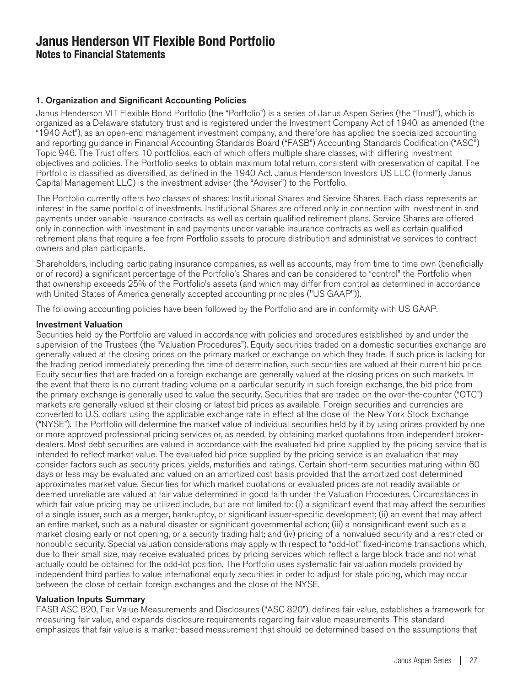### 1. Organization and Significant Accounting Policies

Janus Henderson VIT Flexible Bond Portfolio (the "Portfolio") is a series of Janus Aspen Series (the "Trust"), which is organized as a Delaware statutory trust and is registered under the Investment Company Act of 1940, as amended (the "1940 Act"), as an open-end management investment company, and therefore has applied the specialized accounting and reporting guidance in Financial Accounting Standards Board ("FASB") Accounting Standards Codification ("ASC") Topic 946. The Trust offers 10 portfolios, each of which offers multiple share classes, with differing investment objectives and policies. The Portfolio seeks to obtain maximum total return, consistent with preservation of capital. The Portfolio is classified as diversified, as defined in the 1940 Act. Janus Henderson Investors US LLC (formerly Janus Capital Management LLC) is the investment adviser (the "Adviser") to the Portfolio.

The Portfolio currently offers two classes of shares: Institutional Shares and Service Shares. Each class represents an interest in the same portfolio of investments. Institutional Shares are offered only in connection with investment in and payments under variable insurance contracts as well as certain qualified retirement plans. Service Shares are offered only in connection with investment in and payments under variable insurance contracts as well as certain qualified retirement plans that require a fee from Portfolio assets to procure distribution and administrative services to contract owners and plan participants.

Shareholders, including participating insurance companies, as well as accounts, may from time to time own (beneficially or of record) a significant percentage of the Portfolio's Shares and can be considered to "control" the Portfolio when that ownership exceeds 25% of the Portfolio's assets (and which may differ from control as determined in accordance with United States of America generally accepted accounting principles ("US GAAP")).

The following accounting policies have been followed by the Portfolio and are in conformity with US GAAP.

#### Investment Valuation

Securities held by the Portfolio are valued in accordance with policies and procedures established by and under the supervision of the Trustees (the "Valuation Procedures"). Equity securities traded on a domestic securities exchange are generally valued at the closing prices on the primary market or exchange on which they trade. If such price is lacking for the trading period immediately preceding the time of determination, such securities are valued at their current bid price. Equity securities that are traded on a foreign exchange are generally valued at the closing prices on such markets. In the event that there is no current trading volume on a particular security in such foreign exchange, the bid price from the primary exchange is generally used to value the security. Securities that are traded on the over-the-counter ("OTC") markets are generally valued at their closing or latest bid prices as available. Foreign securities and currencies are converted to U.S. dollars using the applicable exchange rate in effect at the close of the New York Stock Exchange ("NYSE"). The Portfolio will determine the market value of individual securities held by it by using prices provided by one or more approved professional pricing services or, as needed, by obtaining market quotations from independent brokerdealers. Most debt securities are valued in accordance with the evaluated bid price supplied by the pricing service that is intended to reflect market value. The evaluated bid price supplied by the pricing service is an evaluation that may consider factors such as security prices, yields, maturities and ratings. Certain short-term securities maturing within 60 days or less may be evaluated and valued on an amortized cost basis provided that the amortized cost determined approximates market value. Securities for which market quotations or evaluated prices are not readily available or deemed unreliable are valued at fair value determined in good faith under the Valuation Procedures. Circumstances in which fair value pricing may be utilized include, but are not limited to: (i) a significant event that may affect the securities of a single issuer, such as a merger, bankruptcy, or significant issuer-specific development; (ii) an event that may affect an entire market, such as a natural disaster or significant governmental action; (iii) a nonsignificant event such as a market closing early or not opening, or a security trading halt; and (iv) pricing of a nonvalued security and a restricted or nonpublic security. Special valuation considerations may apply with respect to "odd-lot" fixed-income transactions which, due to their small size, may receive evaluated prices by pricing services which reflect a large block trade and not what actually could be obtained for the odd-lot position. The Portfolio uses systematic fair valuation models provided by independent third parties to value international equity securities in order to adjust for stale pricing, which may occur between the close of certain foreign exchanges and the close of the NYSE.

#### Valuation Inputs Summary

FASB ASC 820, Fair Value Measurements and Disclosures ("ASC 820"), defines fair value, establishes a framework for measuring fair value, and expands disclosure requirements regarding fair value measurements. This standard emphasizes that fair value is a market-based measurement that should be determined based on the assumptions that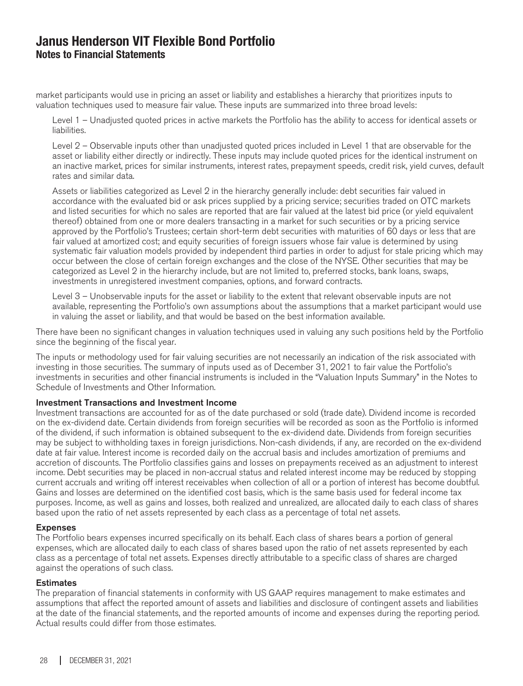market participants would use in pricing an asset or liability and establishes a hierarchy that prioritizes inputs to valuation techniques used to measure fair value. These inputs are summarized into three broad levels:

Level 1 – Unadjusted quoted prices in active markets the Portfolio has the ability to access for identical assets or liabilities.

Level 2 – Observable inputs other than unadjusted quoted prices included in Level 1 that are observable for the asset or liability either directly or indirectly. These inputs may include quoted prices for the identical instrument on an inactive market, prices for similar instruments, interest rates, prepayment speeds, credit risk, yield curves, default rates and similar data.

Assets or liabilities categorized as Level 2 in the hierarchy generally include: debt securities fair valued in accordance with the evaluated bid or ask prices supplied by a pricing service; securities traded on OTC markets and listed securities for which no sales are reported that are fair valued at the latest bid price (or yield equivalent thereof) obtained from one or more dealers transacting in a market for such securities or by a pricing service approved by the Portfolio's Trustees; certain short-term debt securities with maturities of 60 days or less that are fair valued at amortized cost; and equity securities of foreign issuers whose fair value is determined by using systematic fair valuation models provided by independent third parties in order to adjust for stale pricing which may occur between the close of certain foreign exchanges and the close of the NYSE. Other securities that may be categorized as Level 2 in the hierarchy include, but are not limited to, preferred stocks, bank loans, swaps, investments in unregistered investment companies, options, and forward contracts.

Level 3 – Unobservable inputs for the asset or liability to the extent that relevant observable inputs are not available, representing the Portfolio's own assumptions about the assumptions that a market participant would use in valuing the asset or liability, and that would be based on the best information available.

There have been no significant changes in valuation techniques used in valuing any such positions held by the Portfolio since the beginning of the fiscal year.

The inputs or methodology used for fair valuing securities are not necessarily an indication of the risk associated with investing in those securities. The summary of inputs used as of December 31, 2021 to fair value the Portfolio's investments in securities and other financial instruments is included in the "Valuation Inputs Summary" in the Notes to Schedule of Investments and Other Information.

#### Investment Transactions and Investment Income

Investment transactions are accounted for as of the date purchased or sold (trade date). Dividend income is recorded on the ex-dividend date. Certain dividends from foreign securities will be recorded as soon as the Portfolio is informed of the dividend, if such information is obtained subsequent to the ex-dividend date. Dividends from foreign securities may be subject to withholding taxes in foreign jurisdictions. Non-cash dividends, if any, are recorded on the ex-dividend date at fair value. Interest income is recorded daily on the accrual basis and includes amortization of premiums and accretion of discounts. The Portfolio classifies gains and losses on prepayments received as an adjustment to interest income. Debt securities may be placed in non-accrual status and related interest income may be reduced by stopping current accruals and writing off interest receivables when collection of all or a portion of interest has become doubtful. Gains and losses are determined on the identified cost basis, which is the same basis used for federal income tax purposes. Income, as well as gains and losses, both realized and unrealized, are allocated daily to each class of shares based upon the ratio of net assets represented by each class as a percentage of total net assets.

#### Expenses

The Portfolio bears expenses incurred specifically on its behalf. Each class of shares bears a portion of general expenses, which are allocated daily to each class of shares based upon the ratio of net assets represented by each class as a percentage of total net assets. Expenses directly attributable to a specific class of shares are charged against the operations of such class.

#### **Estimates**

The preparation of financial statements in conformity with US GAAP requires management to make estimates and assumptions that affect the reported amount of assets and liabilities and disclosure of contingent assets and liabilities at the date of the financial statements, and the reported amounts of income and expenses during the reporting period. Actual results could differ from those estimates.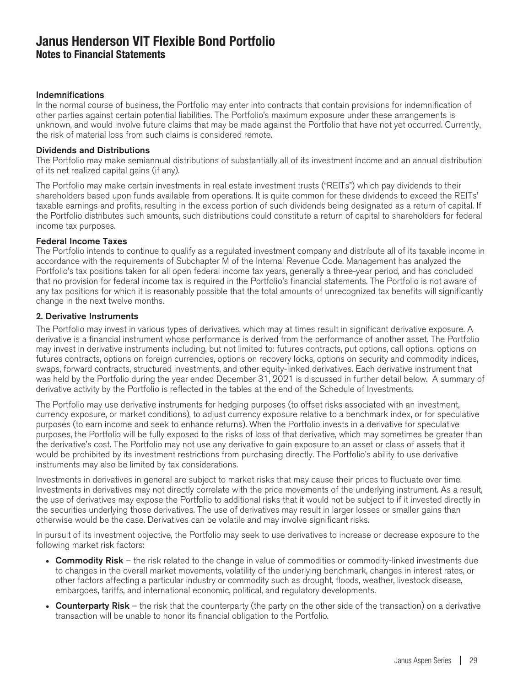#### Indemnifications

In the normal course of business, the Portfolio may enter into contracts that contain provisions for indemnification of other parties against certain potential liabilities. The Portfolio's maximum exposure under these arrangements is unknown, and would involve future claims that may be made against the Portfolio that have not yet occurred. Currently, the risk of material loss from such claims is considered remote.

#### Dividends and Distributions

The Portfolio may make semiannual distributions of substantially all of its investment income and an annual distribution of its net realized capital gains (if any).

The Portfolio may make certain investments in real estate investment trusts ("REITs") which pay dividends to their shareholders based upon funds available from operations. It is quite common for these dividends to exceed the REITs' taxable earnings and profits, resulting in the excess portion of such dividends being designated as a return of capital. If the Portfolio distributes such amounts, such distributions could constitute a return of capital to shareholders for federal income tax purposes.

#### Federal Income Taxes

The Portfolio intends to continue to qualify as a regulated investment company and distribute all of its taxable income in accordance with the requirements of Subchapter M of the Internal Revenue Code. Management has analyzed the Portfolio's tax positions taken for all open federal income tax years, generally a three-year period, and has concluded that no provision for federal income tax is required in the Portfolio's financial statements. The Portfolio is not aware of any tax positions for which it is reasonably possible that the total amounts of unrecognized tax benefits will significantly change in the next twelve months.

#### 2. Derivative Instruments

The Portfolio may invest in various types of derivatives, which may at times result in significant derivative exposure. A derivative is a financial instrument whose performance is derived from the performance of another asset. The Portfolio may invest in derivative instruments including, but not limited to: futures contracts, put options, call options, options on futures contracts, options on foreign currencies, options on recovery locks, options on security and commodity indices, swaps, forward contracts, structured investments, and other equity-linked derivatives. Each derivative instrument that was held by the Portfolio during the year ended December 31, 2021 is discussed in further detail below. A summary of derivative activity by the Portfolio is reflected in the tables at the end of the Schedule of Investments.

The Portfolio may use derivative instruments for hedging purposes (to offset risks associated with an investment, currency exposure, or market conditions), to adjust currency exposure relative to a benchmark index, or for speculative purposes (to earn income and seek to enhance returns). When the Portfolio invests in a derivative for speculative purposes, the Portfolio will be fully exposed to the risks of loss of that derivative, which may sometimes be greater than the derivative's cost. The Portfolio may not use any derivative to gain exposure to an asset or class of assets that it would be prohibited by its investment restrictions from purchasing directly. The Portfolio's ability to use derivative instruments may also be limited by tax considerations.

Investments in derivatives in general are subject to market risks that may cause their prices to fluctuate over time. Investments in derivatives may not directly correlate with the price movements of the underlying instrument. As a result, the use of derivatives may expose the Portfolio to additional risks that it would not be subject to if it invested directly in the securities underlying those derivatives. The use of derivatives may result in larger losses or smaller gains than otherwise would be the case. Derivatives can be volatile and may involve significant risks.

In pursuit of its investment objective, the Portfolio may seek to use derivatives to increase or decrease exposure to the following market risk factors:

- Commodity Risk the risk related to the change in value of commodities or commodity-linked investments due to changes in the overall market movements, volatility of the underlying benchmark, changes in interest rates, or other factors affecting a particular industry or commodity such as drought, floods, weather, livestock disease, embargoes, tariffs, and international economic, political, and regulatory developments.
- Counterparty Risk the risk that the counterparty (the party on the other side of the transaction) on a derivative transaction will be unable to honor its financial obligation to the Portfolio.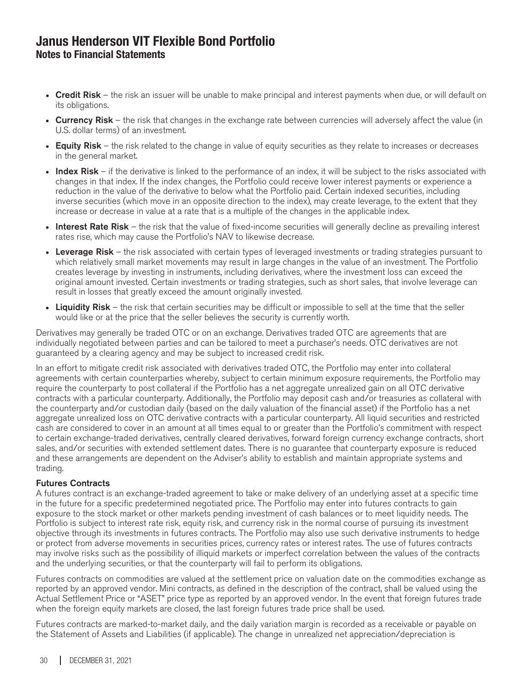- Credit Risk the risk an issuer will be unable to make principal and interest payments when due, or will default on its obligations.
- Currency Risk the risk that changes in the exchange rate between currencies will adversely affect the value (in U.S. dollar terms) of an investment.
- Equity Risk the risk related to the change in value of equity securities as they relate to increases or decreases in the general market.
- Index Risk if the derivative is linked to the performance of an index, it will be subject to the risks associated with changes in that index. If the index changes, the Portfolio could receive lower interest payments or experience a reduction in the value of the derivative to below what the Portfolio paid. Certain indexed securities, including inverse securities (which move in an opposite direction to the index), may create leverage, to the extent that they increase or decrease in value at a rate that is a multiple of the changes in the applicable index.
- Interest Rate Risk the risk that the value of fixed-income securities will generally decline as prevailing interest rates rise, which may cause the Portfolio's NAV to likewise decrease.
- Leverage Risk the risk associated with certain types of leveraged investments or trading strategies pursuant to which relatively small market movements may result in large changes in the value of an investment. The Portfolio creates leverage by investing in instruments, including derivatives, where the investment loss can exceed the original amount invested. Certain investments or trading strategies, such as short sales, that involve leverage can result in losses that greatly exceed the amount originally invested.
- Liquidity Risk the risk that certain securities may be difficult or impossible to sell at the time that the seller would like or at the price that the seller believes the security is currently worth.

Derivatives may generally be traded OTC or on an exchange. Derivatives traded OTC are agreements that are individually negotiated between parties and can be tailored to meet a purchaser's needs. OTC derivatives are not guaranteed by a clearing agency and may be subject to increased credit risk.

In an effort to mitigate credit risk associated with derivatives traded OTC, the Portfolio may enter into collateral agreements with certain counterparties whereby, subject to certain minimum exposure requirements, the Portfolio may require the counterparty to post collateral if the Portfolio has a net aggregate unrealized gain on all OTC derivative contracts with a particular counterparty. Additionally, the Portfolio may deposit cash and/or treasuries as collateral with the counterparty and/or custodian daily (based on the daily valuation of the financial asset) if the Portfolio has a net aggregate unrealized loss on OTC derivative contracts with a particular counterparty. All liquid securities and restricted cash are considered to cover in an amount at all times equal to or greater than the Portfolio's commitment with respect to certain exchange-traded derivatives, centrally cleared derivatives, forward foreign currency exchange contracts, short sales, and/or securities with extended settlement dates. There is no guarantee that counterparty exposure is reduced and these arrangements are dependent on the Adviser's ability to establish and maintain appropriate systems and trading.

#### Futures Contracts

A futures contract is an exchange-traded agreement to take or make delivery of an underlying asset at a specific time in the future for a specific predetermined negotiated price. The Portfolio may enter into futures contracts to gain exposure to the stock market or other markets pending investment of cash balances or to meet liquidity needs. The Portfolio is subject to interest rate risk, equity risk, and currency risk in the normal course of pursuing its investment objective through its investments in futures contracts. The Portfolio may also use such derivative instruments to hedge or protect from adverse movements in securities prices, currency rates or interest rates. The use of futures contracts may involve risks such as the possibility of illiquid markets or imperfect correlation between the values of the contracts and the underlying securities, or that the counterparty will fail to perform its obligations.

Futures contracts on commodities are valued at the settlement price on valuation date on the commodities exchange as reported by an approved vendor. Mini contracts, as defined in the description of the contract, shall be valued using the Actual Settlement Price or "ASET" price type as reported by an approved vendor. In the event that foreign futures trade when the foreign equity markets are closed, the last foreign futures trade price shall be used.

Futures contracts are marked-to-market daily, and the daily variation margin is recorded as a receivable or payable on the Statement of Assets and Liabilities (if applicable). The change in unrealized net appreciation/depreciation is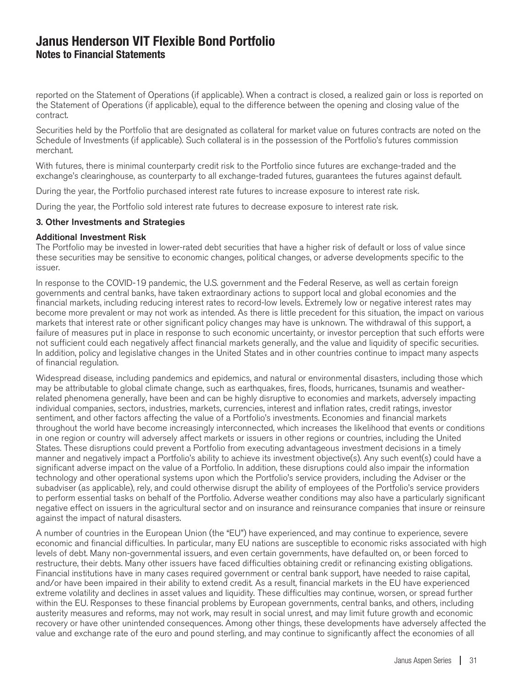reported on the Statement of Operations (if applicable). When a contract is closed, a realized gain or loss is reported on the Statement of Operations (if applicable), equal to the difference between the opening and closing value of the contract.

Securities held by the Portfolio that are designated as collateral for market value on futures contracts are noted on the Schedule of Investments (if applicable). Such collateral is in the possession of the Portfolio's futures commission merchant.

With futures, there is minimal counterparty credit risk to the Portfolio since futures are exchange-traded and the exchange's clearinghouse, as counterparty to all exchange-traded futures, guarantees the futures against default.

During the year, the Portfolio purchased interest rate futures to increase exposure to interest rate risk.

During the year, the Portfolio sold interest rate futures to decrease exposure to interest rate risk.

#### 3. Other Investments and Strategies

#### Additional Investment Risk

The Portfolio may be invested in lower-rated debt securities that have a higher risk of default or loss of value since these securities may be sensitive to economic changes, political changes, or adverse developments specific to the issuer.

In response to the COVID-19 pandemic, the U.S. government and the Federal Reserve, as well as certain foreign governments and central banks, have taken extraordinary actions to support local and global economies and the financial markets, including reducing interest rates to record-low levels. Extremely low or negative interest rates may become more prevalent or may not work as intended. As there is little precedent for this situation, the impact on various markets that interest rate or other significant policy changes may have is unknown. The withdrawal of this support, a failure of measures put in place in response to such economic uncertainty, or investor perception that such efforts were not sufficient could each negatively affect financial markets generally, and the value and liquidity of specific securities. In addition, policy and legislative changes in the United States and in other countries continue to impact many aspects of financial regulation.

Widespread disease, including pandemics and epidemics, and natural or environmental disasters, including those which may be attributable to global climate change, such as earthquakes, fires, floods, hurricanes, tsunamis and weatherrelated phenomena generally, have been and can be highly disruptive to economies and markets, adversely impacting individual companies, sectors, industries, markets, currencies, interest and inflation rates, credit ratings, investor sentiment, and other factors affecting the value of a Portfolio's investments. Economies and financial markets throughout the world have become increasingly interconnected, which increases the likelihood that events or conditions in one region or country will adversely affect markets or issuers in other regions or countries, including the United States. These disruptions could prevent a Portfolio from executing advantageous investment decisions in a timely manner and negatively impact a Portfolio's ability to achieve its investment objective(s). Any such event(s) could have a significant adverse impact on the value of a Portfolio. In addition, these disruptions could also impair the information technology and other operational systems upon which the Portfolio's service providers, including the Adviser or the subadviser (as applicable), rely, and could otherwise disrupt the ability of employees of the Portfolio's service providers to perform essential tasks on behalf of the Portfolio. Adverse weather conditions may also have a particularly significant negative effect on issuers in the agricultural sector and on insurance and reinsurance companies that insure or reinsure against the impact of natural disasters.

A number of countries in the European Union (the "EU") have experienced, and may continue to experience, severe economic and financial difficulties. In particular, many EU nations are susceptible to economic risks associated with high levels of debt. Many non-governmental issuers, and even certain governments, have defaulted on, or been forced to restructure, their debts. Many other issuers have faced difficulties obtaining credit or refinancing existing obligations. Financial institutions have in many cases required government or central bank support, have needed to raise capital, and/or have been impaired in their ability to extend credit. As a result, financial markets in the EU have experienced extreme volatility and declines in asset values and liquidity. These difficulties may continue, worsen, or spread further within the EU. Responses to these financial problems by European governments, central banks, and others, including austerity measures and reforms, may not work, may result in social unrest, and may limit future growth and economic recovery or have other unintended consequences. Among other things, these developments have adversely affected the value and exchange rate of the euro and pound sterling, and may continue to significantly affect the economies of all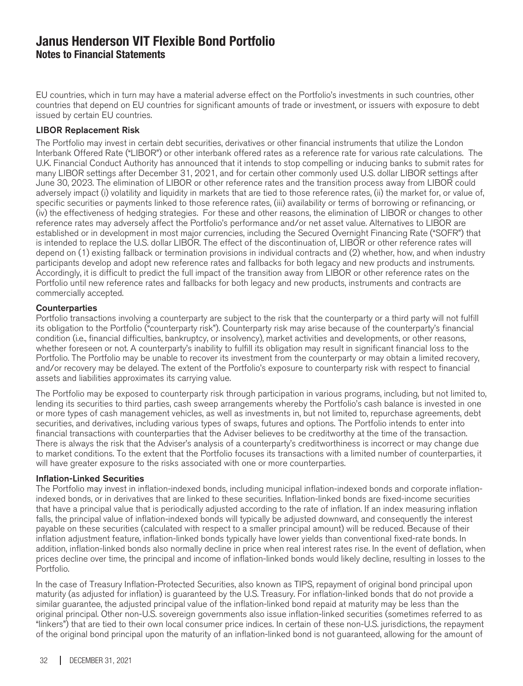EU countries, which in turn may have a material adverse effect on the Portfolio's investments in such countries, other countries that depend on EU countries for significant amounts of trade or investment, or issuers with exposure to debt issued by certain EU countries.

#### LIBOR Replacement Risk

The Portfolio may invest in certain debt securities, derivatives or other financial instruments that utilize the London Interbank Offered Rate ("LIBOR") or other interbank offered rates as a reference rate for various rate calculations. The U.K. Financial Conduct Authority has announced that it intends to stop compelling or inducing banks to submit rates for many LIBOR settings after December 31, 2021, and for certain other commonly used U.S. dollar LIBOR settings after June 30, 2023. The elimination of LIBOR or other reference rates and the transition process away from LIBOR could adversely impact (i) volatility and liquidity in markets that are tied to those reference rates, (ii) the market for, or value of, specific securities or payments linked to those reference rates, (iii) availability or terms of borrowing or refinancing, or (iv) the effectiveness of hedging strategies. For these and other reasons, the elimination of LIBOR or changes to other reference rates may adversely affect the Portfolio's performance and/or net asset value. Alternatives to LIBOR are established or in development in most major currencies, including the Secured Overnight Financing Rate ("SOFR") that is intended to replace the U.S. dollar LIBOR. The effect of the discontinuation of, LIBOR or other reference rates will depend on (1) existing fallback or termination provisions in individual contracts and (2) whether, how, and when industry participants develop and adopt new reference rates and fallbacks for both legacy and new products and instruments. Accordingly, it is difficult to predict the full impact of the transition away from LIBOR or other reference rates on the Portfolio until new reference rates and fallbacks for both legacy and new products, instruments and contracts are commercially accepted.

#### **Counterparties**

Portfolio transactions involving a counterparty are subject to the risk that the counterparty or a third party will not fulfill its obligation to the Portfolio ("counterparty risk"). Counterparty risk may arise because of the counterparty's financial condition (i.e., financial difficulties, bankruptcy, or insolvency), market activities and developments, or other reasons, whether foreseen or not. A counterparty's inability to fulfill its obligation may result in significant financial loss to the Portfolio. The Portfolio may be unable to recover its investment from the counterparty or may obtain a limited recovery, and/or recovery may be delayed. The extent of the Portfolio's exposure to counterparty risk with respect to financial assets and liabilities approximates its carrying value.

The Portfolio may be exposed to counterparty risk through participation in various programs, including, but not limited to, lending its securities to third parties, cash sweep arrangements whereby the Portfolio's cash balance is invested in one or more types of cash management vehicles, as well as investments in, but not limited to, repurchase agreements, debt securities, and derivatives, including various types of swaps, futures and options. The Portfolio intends to enter into financial transactions with counterparties that the Adviser believes to be creditworthy at the time of the transaction. There is always the risk that the Adviser's analysis of a counterparty's creditworthiness is incorrect or may change due to market conditions. To the extent that the Portfolio focuses its transactions with a limited number of counterparties, it will have greater exposure to the risks associated with one or more counterparties.

#### Inflation-Linked Securities

The Portfolio may invest in inflation-indexed bonds, including municipal inflation-indexed bonds and corporate inflationindexed bonds, or in derivatives that are linked to these securities. Inflation-linked bonds are fixed-income securities that have a principal value that is periodically adjusted according to the rate of inflation. If an index measuring inflation falls, the principal value of inflation-indexed bonds will typically be adjusted downward, and consequently the interest payable on these securities (calculated with respect to a smaller principal amount) will be reduced. Because of their inflation adjustment feature, inflation-linked bonds typically have lower yields than conventional fixed-rate bonds. In addition, inflation-linked bonds also normally decline in price when real interest rates rise. In the event of deflation, when prices decline over time, the principal and income of inflation-linked bonds would likely decline, resulting in losses to the Portfolio.

In the case of Treasury Inflation-Protected Securities, also known as TIPS, repayment of original bond principal upon maturity (as adjusted for inflation) is guaranteed by the U.S. Treasury. For inflation-linked bonds that do not provide a similar guarantee, the adjusted principal value of the inflation-linked bond repaid at maturity may be less than the original principal. Other non-U.S. sovereign governments also issue inflation-linked securities (sometimes referred to as "linkers") that are tied to their own local consumer price indices. In certain of these non-U.S. jurisdictions, the repayment of the original bond principal upon the maturity of an inflation-linked bond is not guaranteed, allowing for the amount of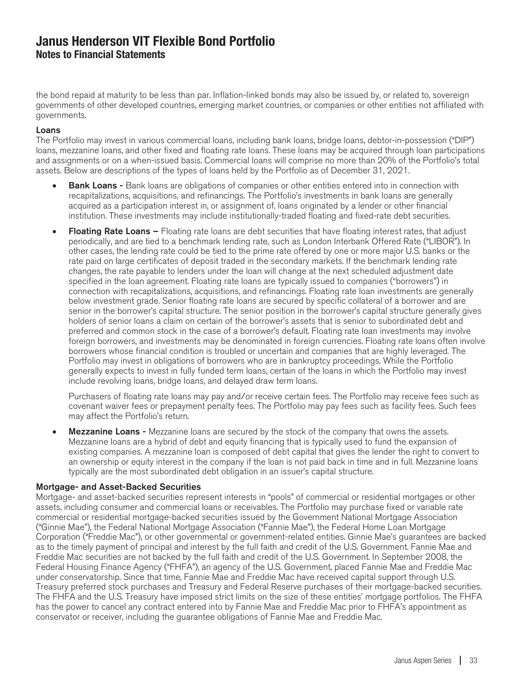the bond repaid at maturity to be less than par. Inflation-linked bonds may also be issued by, or related to, sovereign governments of other developed countries, emerging market countries, or companies or other entities not affiliated with governments.

#### Loans

The Portfolio may invest in various commercial loans, including bank loans, bridge loans, debtor-in-possession ("DIP") loans, mezzanine loans, and other fixed and floating rate loans. These loans may be acquired through loan participations and assignments or on a when-issued basis. Commercial loans will comprise no more than 20% of the Portfolio's total assets. Below are descriptions of the types of loans held by the Portfolio as of December 31, 2021.

- **Bank Loans -** Bank loans are obligations of companies or other entities entered into in connection with recapitalizations, acquisitions, and refinancings. The Portfolio's investments in bank loans are generally acquired as a participation interest in, or assignment of, loans originated by a lender or other financial institution. These investments may include institutionally-traded floating and fixed-rate debt securities.
- Floating Rate Loans Floating rate loans are debt securities that have floating interest rates, that adjust periodically, and are tied to a benchmark lending rate, such as London Interbank Offered Rate ("LIBOR"). In other cases, the lending rate could be tied to the prime rate offered by one or more major U.S. banks or the rate paid on large certificates of deposit traded in the secondary markets. If the benchmark lending rate changes, the rate payable to lenders under the loan will change at the next scheduled adjustment date specified in the loan agreement. Floating rate loans are typically issued to companies ("borrowers") in connection with recapitalizations, acquisitions, and refinancings. Floating rate loan investments are generally below investment grade. Senior floating rate loans are secured by specific collateral of a borrower and are senior in the borrower's capital structure. The senior position in the borrower's capital structure generally gives holders of senior loans a claim on certain of the borrower's assets that is senior to subordinated debt and preferred and common stock in the case of a borrower's default. Floating rate loan investments may involve foreign borrowers, and investments may be denominated in foreign currencies. Floating rate loans often involve borrowers whose financial condition is troubled or uncertain and companies that are highly leveraged. The Portfolio may invest in obligations of borrowers who are in bankruptcy proceedings. While the Portfolio generally expects to invest in fully funded term loans, certain of the loans in which the Portfolio may invest include revolving loans, bridge loans, and delayed draw term loans.

Purchasers of floating rate loans may pay and/or receive certain fees. The Portfolio may receive fees such as covenant waiver fees or prepayment penalty fees. The Portfolio may pay fees such as facility fees. Such fees may affect the Portfolio's return.

**Mezzanine Loans -** Mezzanine loans are secured by the stock of the company that owns the assets. Mezzanine loans are a hybrid of debt and equity financing that is typically used to fund the expansion of existing companies. A mezzanine loan is composed of debt capital that gives the lender the right to convert to an ownership or equity interest in the company if the loan is not paid back in time and in full. Mezzanine loans typically are the most subordinated debt obligation in an issuer's capital structure.

#### Mortgage- and Asset-Backed Securities

Mortgage- and asset-backed securities represent interests in "pools" of commercial or residential mortgages or other assets, including consumer and commercial loans or receivables. The Portfolio may purchase fixed or variable rate commercial or residential mortgage-backed securities issued by the Government National Mortgage Association ("Ginnie Mae"), the Federal National Mortgage Association ("Fannie Mae"), the Federal Home Loan Mortgage Corporation ("Freddie Mac"), or other governmental or government-related entities. Ginnie Mae's guarantees are backed as to the timely payment of principal and interest by the full faith and credit of the U.S. Government. Fannie Mae and Freddie Mac securities are not backed by the full faith and credit of the U.S. Government. In September 2008, the Federal Housing Finance Agency ("FHFA"), an agency of the U.S. Government, placed Fannie Mae and Freddie Mac under conservatorship. Since that time, Fannie Mae and Freddie Mac have received capital support through U.S. Treasury preferred stock purchases and Treasury and Federal Reserve purchases of their mortgage-backed securities. The FHFA and the U.S. Treasury have imposed strict limits on the size of these entities' mortgage portfolios. The FHFA has the power to cancel any contract entered into by Fannie Mae and Freddie Mac prior to FHFA's appointment as conservator or receiver, including the guarantee obligations of Fannie Mae and Freddie Mac.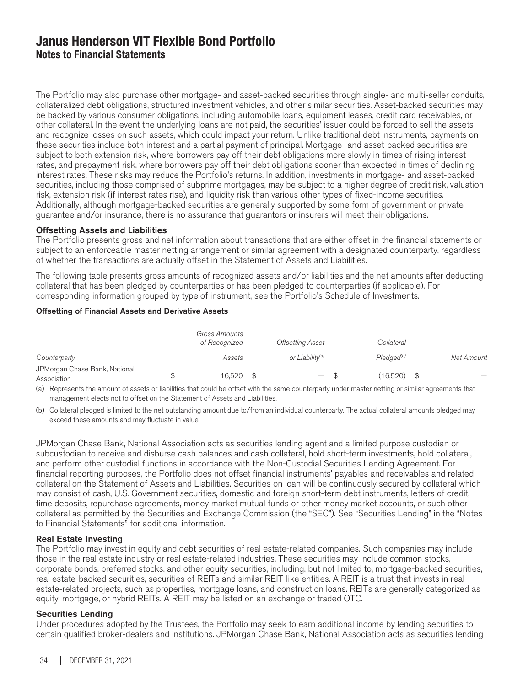The Portfolio may also purchase other mortgage- and asset-backed securities through single- and multi-seller conduits, collateralized debt obligations, structured investment vehicles, and other similar securities. Asset-backed securities may be backed by various consumer obligations, including automobile loans, equipment leases, credit card receivables, or other collateral. In the event the underlying loans are not paid, the securities' issuer could be forced to sell the assets and recognize losses on such assets, which could impact your return. Unlike traditional debt instruments, payments on these securities include both interest and a partial payment of principal. Mortgage- and asset-backed securities are subject to both extension risk, where borrowers pay off their debt obligations more slowly in times of rising interest rates, and prepayment risk, where borrowers pay off their debt obligations sooner than expected in times of declining interest rates. These risks may reduce the Portfolio's returns. In addition, investments in mortgage- and asset-backed securities, including those comprised of subprime mortgages, may be subject to a higher degree of credit risk, valuation risk, extension risk (if interest rates rise), and liquidity risk than various other types of fixed-income securities. Additionally, although mortgage-backed securities are generally supported by some form of government or private guarantee and/or insurance, there is no assurance that guarantors or insurers will meet their obligations.

#### Offsetting Assets and Liabilities

The Portfolio presents gross and net information about transactions that are either offset in the financial statements or subject to an enforceable master netting arrangement or similar agreement with a designated counterparty, regardless of whether the transactions are actually offset in the Statement of Assets and Liabilities.

The following table presents gross amounts of recognized assets and/or liabilities and the net amounts after deducting collateral that has been pledged by counterparties or has been pledged to counterparties (if applicable). For corresponding information grouped by type of instrument, see the Portfolio's Schedule of Investments.

#### Offsetting of Financial Assets and Derivative Assets

|                                              | Gross Amounts<br>of Recognized |     | <b>Offsetting Asset</b>     | Collateral             |            |
|----------------------------------------------|--------------------------------|-----|-----------------------------|------------------------|------------|
| Counterparty                                 | Assets                         |     | or Liabilitv <sup>(a)</sup> | Pledaed <sup>(b)</sup> | Net Amount |
| JPMorgan Chase Bank, National<br>Association | 16.520                         | \$. | $\qquad \qquad -$           | (16.520)               |            |

(a) Represents the amount of assets or liabilities that could be offset with the same counterparty under master netting or similar agreements that management elects not to offset on the Statement of Assets and Liabilities.

(b) Collateral pledged is limited to the net outstanding amount due to/from an individual counterparty. The actual collateral amounts pledged may exceed these amounts and may fluctuate in value.

JPMorgan Chase Bank, National Association acts as securities lending agent and a limited purpose custodian or subcustodian to receive and disburse cash balances and cash collateral, hold short-term investments, hold collateral, and perform other custodial functions in accordance with the Non-Custodial Securities Lending Agreement. For financial reporting purposes, the Portfolio does not offset financial instruments' payables and receivables and related collateral on the Statement of Assets and Liabilities. Securities on loan will be continuously secured by collateral which may consist of cash, U.S. Government securities, domestic and foreign short-term debt instruments, letters of credit, time deposits, repurchase agreements, money market mutual funds or other money market accounts, or such other collateral as permitted by the Securities and Exchange Commission (the "SEC"). See "Securities Lending" in the "Notes to Financial Statements" for additional information.

#### Real Estate Investing

The Portfolio may invest in equity and debt securities of real estate-related companies. Such companies may include those in the real estate industry or real estate-related industries. These securities may include common stocks, corporate bonds, preferred stocks, and other equity securities, including, but not limited to, mortgage-backed securities, real estate-backed securities, securities of REITs and similar REIT-like entities. A REIT is a trust that invests in real estate-related projects, such as properties, mortgage loans, and construction loans. REITs are generally categorized as equity, mortgage, or hybrid REITs. A REIT may be listed on an exchange or traded OTC.

#### Securities Lending

Under procedures adopted by the Trustees, the Portfolio may seek to earn additional income by lending securities to certain qualified broker-dealers and institutions. JPMorgan Chase Bank, National Association acts as securities lending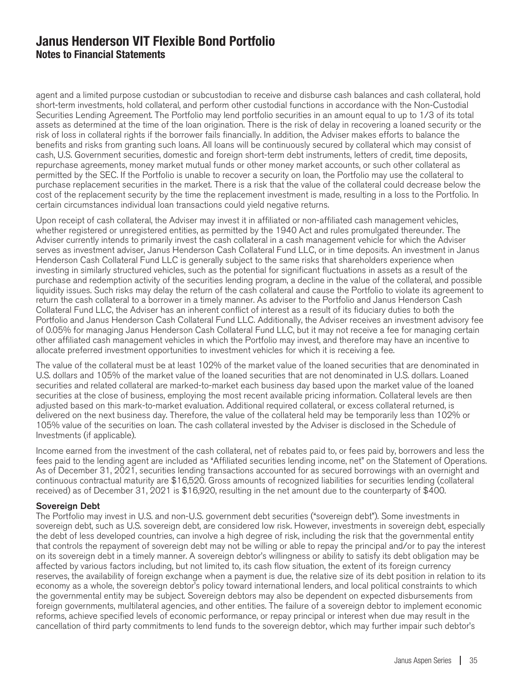agent and a limited purpose custodian or subcustodian to receive and disburse cash balances and cash collateral, hold short-term investments, hold collateral, and perform other custodial functions in accordance with the Non-Custodial Securities Lending Agreement. The Portfolio may lend portfolio securities in an amount equal to up to 1/3 of its total assets as determined at the time of the loan origination. There is the risk of delay in recovering a loaned security or the risk of loss in collateral rights if the borrower fails financially. In addition, the Adviser makes efforts to balance the benefits and risks from granting such loans. All loans will be continuously secured by collateral which may consist of cash, U.S. Government securities, domestic and foreign short-term debt instruments, letters of credit, time deposits, repurchase agreements, money market mutual funds or other money market accounts, or such other collateral as permitted by the SEC. If the Portfolio is unable to recover a security on loan, the Portfolio may use the collateral to purchase replacement securities in the market. There is a risk that the value of the collateral could decrease below the cost of the replacement security by the time the replacement investment is made, resulting in a loss to the Portfolio. In certain circumstances individual loan transactions could yield negative returns.

Upon receipt of cash collateral, the Adviser may invest it in affiliated or non-affiliated cash management vehicles, whether registered or unregistered entities, as permitted by the 1940 Act and rules promulgated thereunder. The Adviser currently intends to primarily invest the cash collateral in a cash management vehicle for which the Adviser serves as investment adviser, Janus Henderson Cash Collateral Fund LLC, or in time deposits. An investment in Janus Henderson Cash Collateral Fund LLC is generally subject to the same risks that shareholders experience when investing in similarly structured vehicles, such as the potential for significant fluctuations in assets as a result of the purchase and redemption activity of the securities lending program, a decline in the value of the collateral, and possible liquidity issues. Such risks may delay the return of the cash collateral and cause the Portfolio to violate its agreement to return the cash collateral to a borrower in a timely manner. As adviser to the Portfolio and Janus Henderson Cash Collateral Fund LLC, the Adviser has an inherent conflict of interest as a result of its fiduciary duties to both the Portfolio and Janus Henderson Cash Collateral Fund LLC. Additionally, the Adviser receives an investment advisory fee of 0.05% for managing Janus Henderson Cash Collateral Fund LLC, but it may not receive a fee for managing certain other affiliated cash management vehicles in which the Portfolio may invest, and therefore may have an incentive to allocate preferred investment opportunities to investment vehicles for which it is receiving a fee.

The value of the collateral must be at least 102% of the market value of the loaned securities that are denominated in U.S. dollars and 105% of the market value of the loaned securities that are not denominated in U.S. dollars. Loaned securities and related collateral are marked-to-market each business day based upon the market value of the loaned securities at the close of business, employing the most recent available pricing information. Collateral levels are then adjusted based on this mark-to-market evaluation. Additional required collateral, or excess collateral returned, is delivered on the next business day. Therefore, the value of the collateral held may be temporarily less than 102% or 105% value of the securities on loan. The cash collateral invested by the Adviser is disclosed in the Schedule of Investments (if applicable).

Income earned from the investment of the cash collateral, net of rebates paid to, or fees paid by, borrowers and less the fees paid to the lending agent are included as "Affiliated securities lending income, net" on the Statement of Operations. As of December 31, 2021, securities lending transactions accounted for as secured borrowings with an overnight and continuous contractual maturity are \$16,520. Gross amounts of recognized liabilities for securities lending (collateral received) as of December 31, 2021 is \$16,920, resulting in the net amount due to the counterparty of \$400.

#### Sovereign Debt

The Portfolio may invest in U.S. and non-U.S. government debt securities ("sovereign debt"). Some investments in sovereign debt, such as U.S. sovereign debt, are considered low risk. However, investments in sovereign debt, especially the debt of less developed countries, can involve a high degree of risk, including the risk that the governmental entity that controls the repayment of sovereign debt may not be willing or able to repay the principal and/or to pay the interest on its sovereign debt in a timely manner. A sovereign debtor's willingness or ability to satisfy its debt obligation may be affected by various factors including, but not limited to, its cash flow situation, the extent of its foreign currency reserves, the availability of foreign exchange when a payment is due, the relative size of its debt position in relation to its economy as a whole, the sovereign debtor's policy toward international lenders, and local political constraints to which the governmental entity may be subject. Sovereign debtors may also be dependent on expected disbursements from foreign governments, multilateral agencies, and other entities. The failure of a sovereign debtor to implement economic reforms, achieve specified levels of economic performance, or repay principal or interest when due may result in the cancellation of third party commitments to lend funds to the sovereign debtor, which may further impair such debtor's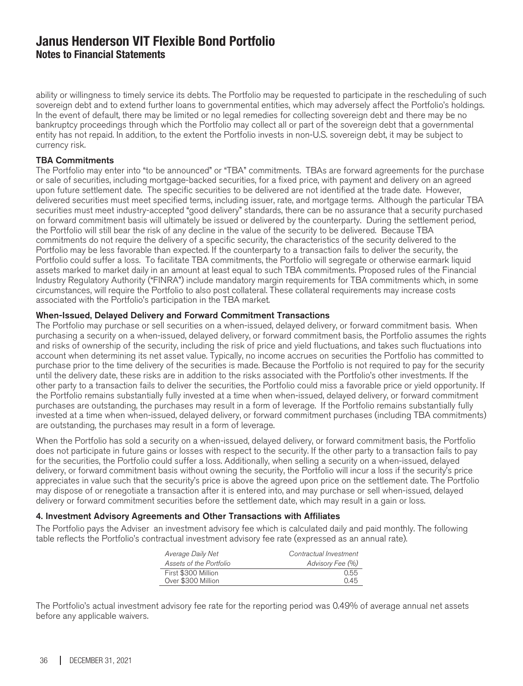ability or willingness to timely service its debts. The Portfolio may be requested to participate in the rescheduling of such sovereign debt and to extend further loans to governmental entities, which may adversely affect the Portfolio's holdings. In the event of default, there may be limited or no legal remedies for collecting sovereign debt and there may be no bankruptcy proceedings through which the Portfolio may collect all or part of the sovereign debt that a governmental entity has not repaid. In addition, to the extent the Portfolio invests in non-U.S. sovereign debt, it may be subject to currency risk.

#### TBA Commitments

The Portfolio may enter into "to be announced" or "TBA" commitments. TBAs are forward agreements for the purchase or sale of securities, including mortgage-backed securities, for a fixed price, with payment and delivery on an agreed upon future settlement date. The specific securities to be delivered are not identified at the trade date. However, delivered securities must meet specified terms, including issuer, rate, and mortgage terms. Although the particular TBA securities must meet industry-accepted "good delivery" standards, there can be no assurance that a security purchased on forward commitment basis will ultimately be issued or delivered by the counterparty. During the settlement period, the Portfolio will still bear the risk of any decline in the value of the security to be delivered. Because TBA commitments do not require the delivery of a specific security, the characteristics of the security delivered to the Portfolio may be less favorable than expected. If the counterparty to a transaction fails to deliver the security, the Portfolio could suffer a loss. To facilitate TBA commitments, the Portfolio will segregate or otherwise earmark liquid assets marked to market daily in an amount at least equal to such TBA commitments. Proposed rules of the Financial Industry Regulatory Authority ("FINRA") include mandatory margin requirements for TBA commitments which, in some circumstances, will require the Portfolio to also post collateral. These collateral requirements may increase costs associated with the Portfolio's participation in the TBA market.

#### When-Issued, Delayed Delivery and Forward Commitment Transactions

The Portfolio may purchase or sell securities on a when-issued, delayed delivery, or forward commitment basis. When purchasing a security on a when-issued, delayed delivery, or forward commitment basis, the Portfolio assumes the rights and risks of ownership of the security, including the risk of price and yield fluctuations, and takes such fluctuations into account when determining its net asset value. Typically, no income accrues on securities the Portfolio has committed to purchase prior to the time delivery of the securities is made. Because the Portfolio is not required to pay for the security until the delivery date, these risks are in addition to the risks associated with the Portfolio's other investments. If the other party to a transaction fails to deliver the securities, the Portfolio could miss a favorable price or yield opportunity. If the Portfolio remains substantially fully invested at a time when when-issued, delayed delivery, or forward commitment purchases are outstanding, the purchases may result in a form of leverage. If the Portfolio remains substantially fully invested at a time when when-issued, delayed delivery, or forward commitment purchases (including TBA commitments) are outstanding, the purchases may result in a form of leverage.

When the Portfolio has sold a security on a when-issued, delayed delivery, or forward commitment basis, the Portfolio does not participate in future gains or losses with respect to the security. If the other party to a transaction fails to pay for the securities, the Portfolio could suffer a loss. Additionally, when selling a security on a when-issued, delayed delivery, or forward commitment basis without owning the security, the Portfolio will incur a loss if the security's price appreciates in value such that the security's price is above the agreed upon price on the settlement date. The Portfolio may dispose of or renegotiate a transaction after it is entered into, and may purchase or sell when-issued, delayed delivery or forward commitment securities before the settlement date, which may result in a gain or loss.

#### 4. Investment Advisory Agreements and Other Transactions with Affiliates

The Portfolio pays the Adviser an investment advisory fee which is calculated daily and paid monthly. The following table reflects the Portfolio's contractual investment advisory fee rate (expressed as an annual rate).

| Average Daily Net       | Contractual Investment |
|-------------------------|------------------------|
| Assets of the Portfolio | Advisory Fee (%)       |
| First \$300 Million     | 0.55                   |
| Over \$300 Million      | 0.45                   |

The Portfolio's actual investment advisory fee rate for the reporting period was 0.49% of average annual net assets before any applicable waivers.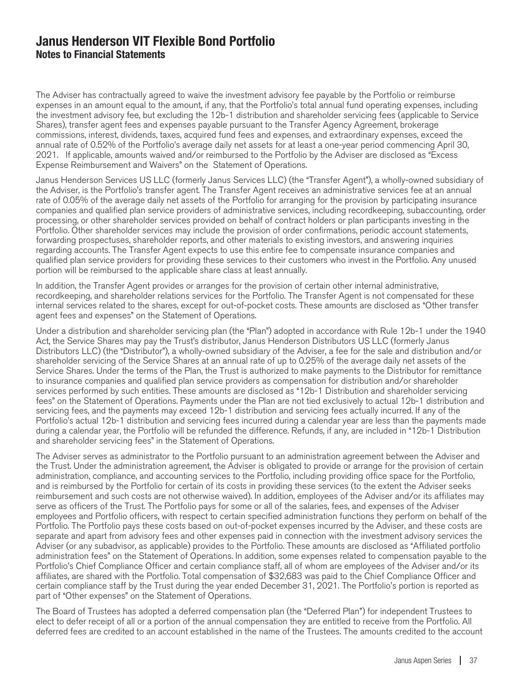The Adviser has contractually agreed to waive the investment advisory fee payable by the Portfolio or reimburse expenses in an amount equal to the amount, if any, that the Portfolio's total annual fund operating expenses, including the investment advisory fee, but excluding the 12b-1 distribution and shareholder servicing fees (applicable to Service Shares), transfer agent fees and expenses payable pursuant to the Transfer Agency Agreement, brokerage commissions, interest, dividends, taxes, acquired fund fees and expenses, and extraordinary expenses, exceed the annual rate of 0.52% of the Portfolio's average daily net assets for at least a one-year period commencing April 30, 2021. If applicable, amounts waived and/or reimbursed to the Portfolio by the Adviser are disclosed as "Excess Expense Reimbursement and Waivers" on the Statement of Operations.

Janus Henderson Services US LLC (formerly Janus Services LLC) (the "Transfer Agent"), a wholly-owned subsidiary of the Adviser, is the Portfolio's transfer agent. The Transfer Agent receives an administrative services fee at an annual rate of 0.05% of the average daily net assets of the Portfolio for arranging for the provision by participating insurance companies and qualified plan service providers of administrative services, including recordkeeping, subaccounting, order processing, or other shareholder services provided on behalf of contract holders or plan participants investing in the Portfolio. Other shareholder services may include the provision of order confirmations, periodic account statements, forwarding prospectuses, shareholder reports, and other materials to existing investors, and answering inquiries regarding accounts. The Transfer Agent expects to use this entire fee to compensate insurance companies and qualified plan service providers for providing these services to their customers who invest in the Portfolio. Any unused portion will be reimbursed to the applicable share class at least annually.

In addition, the Transfer Agent provides or arranges for the provision of certain other internal administrative, recordkeeping, and shareholder relations services for the Portfolio. The Transfer Agent is not compensated for these internal services related to the shares, except for out-of-pocket costs. These amounts are disclosed as "Other transfer agent fees and expenses" on the Statement of Operations.

Under a distribution and shareholder servicing plan (the "Plan") adopted in accordance with Rule 12b-1 under the 1940 Act, the Service Shares may pay the Trust's distributor, Janus Henderson Distributors US LLC (formerly Janus Distributors LLC) (the "Distributor"), a wholly-owned subsidiary of the Adviser, a fee for the sale and distribution and/or shareholder servicing of the Service Shares at an annual rate of up to 0.25% of the average daily net assets of the Service Shares. Under the terms of the Plan, the Trust is authorized to make payments to the Distributor for remittance to insurance companies and qualified plan service providers as compensation for distribution and/or shareholder services performed by such entities. These amounts are disclosed as "12b-1 Distribution and shareholder servicing fees" on the Statement of Operations. Payments under the Plan are not tied exclusively to actual 12b-1 distribution and servicing fees, and the payments may exceed 12b-1 distribution and servicing fees actually incurred. If any of the Portfolio's actual 12b-1 distribution and servicing fees incurred during a calendar year are less than the payments made during a calendar year, the Portfolio will be refunded the difference. Refunds, if any, are included in "12b-1 Distribution and shareholder servicing fees" in the Statement of Operations.

The Adviser serves as administrator to the Portfolio pursuant to an administration agreement between the Adviser and the Trust. Under the administration agreement, the Adviser is obligated to provide or arrange for the provision of certain administration, compliance, and accounting services to the Portfolio, including providing office space for the Portfolio, and is reimbursed by the Portfolio for certain of its costs in providing these services (to the extent the Adviser seeks reimbursement and such costs are not otherwise waived). In addition, employees of the Adviser and/or its affiliates may serve as officers of the Trust. The Portfolio pays for some or all of the salaries, fees, and expenses of the Adviser employees and Portfolio officers, with respect to certain specified administration functions they perform on behalf of the Portfolio. The Portfolio pays these costs based on out-of-pocket expenses incurred by the Adviser, and these costs are separate and apart from advisory fees and other expenses paid in connection with the investment advisory services the Adviser (or any subadvisor, as applicable) provides to the Portfolio. These amounts are disclosed as "Affiliated portfolio administration fees" on the Statement of Operations. In addition, some expenses related to compensation payable to the Portfolio's Chief Compliance Officer and certain compliance staff, all of whom are employees of the Adviser and/or its affiliates, are shared with the Portfolio. Total compensation of \$32,683 was paid to the Chief Compliance Officer and certain compliance staff by the Trust during the year ended December 31, 2021. The Portfolio's portion is reported as part of "Other expenses" on the Statement of Operations.

The Board of Trustees has adopted a deferred compensation plan (the "Deferred Plan") for independent Trustees to elect to defer receipt of all or a portion of the annual compensation they are entitled to receive from the Portfolio. All deferred fees are credited to an account established in the name of the Trustees. The amounts credited to the account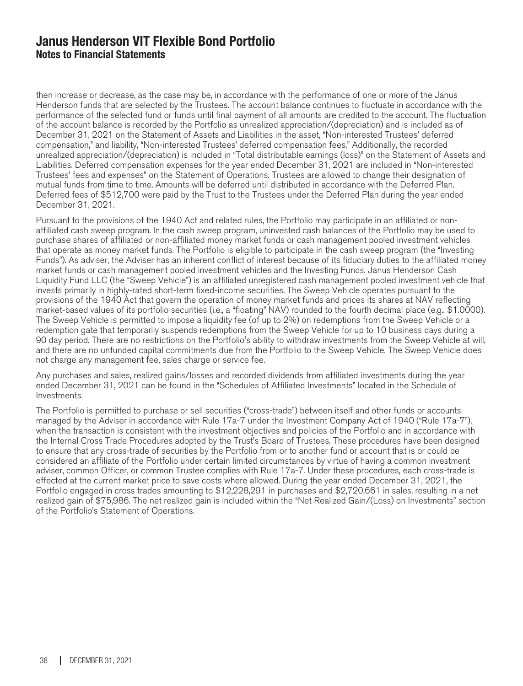then increase or decrease, as the case may be, in accordance with the performance of one or more of the Janus Henderson funds that are selected by the Trustees. The account balance continues to fluctuate in accordance with the performance of the selected fund or funds until final payment of all amounts are credited to the account. The fluctuation of the account balance is recorded by the Portfolio as unrealized appreciation/(depreciation) and is included as of December 31, 2021 on the Statement of Assets and Liabilities in the asset, "Non-interested Trustees' deferred compensation," and liability, "Non-interested Trustees' deferred compensation fees." Additionally, the recorded unrealized appreciation/(depreciation) is included in "Total distributable earnings (loss)" on the Statement of Assets and Liabilities. Deferred compensation expenses for the year ended December 31, 2021 are included in "Non-interested Trustees' fees and expenses" on the Statement of Operations. Trustees are allowed to change their designation of mutual funds from time to time. Amounts will be deferred until distributed in accordance with the Deferred Plan. Deferred fees of \$512,700 were paid by the Trust to the Trustees under the Deferred Plan during the year ended December 31, 2021.

Pursuant to the provisions of the 1940 Act and related rules, the Portfolio may participate in an affiliated or nonaffiliated cash sweep program. In the cash sweep program, uninvested cash balances of the Portfolio may be used to purchase shares of affiliated or non-affiliated money market funds or cash management pooled investment vehicles that operate as money market funds. The Portfolio is eligible to participate in the cash sweep program (the "Investing Funds"). As adviser, the Adviser has an inherent conflict of interest because of its fiduciary duties to the affiliated money market funds or cash management pooled investment vehicles and the Investing Funds. Janus Henderson Cash Liquidity Fund LLC (the "Sweep Vehicle") is an affiliated unregistered cash management pooled investment vehicle that invests primarily in highly-rated short-term fixed-income securities. The Sweep Vehicle operates pursuant to the provisions of the 1940 Act that govern the operation of money market funds and prices its shares at NAV reflecting market-based values of its portfolio securities (i.e., a "floating" NAV) rounded to the fourth decimal place (e.g., \$1.0000). The Sweep Vehicle is permitted to impose a liquidity fee (of up to 2%) on redemptions from the Sweep Vehicle or a redemption gate that temporarily suspends redemptions from the Sweep Vehicle for up to 10 business days during a 90 day period. There are no restrictions on the Portfolio's ability to withdraw investments from the Sweep Vehicle at will, and there are no unfunded capital commitments due from the Portfolio to the Sweep Vehicle. The Sweep Vehicle does not charge any management fee, sales charge or service fee.

Any purchases and sales, realized gains/losses and recorded dividends from affiliated investments during the year ended December 31, 2021 can be found in the "Schedules of Affiliated Investments" located in the Schedule of Investments.

The Portfolio is permitted to purchase or sell securities ("cross-trade") between itself and other funds or accounts managed by the Adviser in accordance with Rule 17a-7 under the Investment Company Act of 1940 ("Rule 17a-7"), when the transaction is consistent with the investment objectives and policies of the Portfolio and in accordance with the Internal Cross Trade Procedures adopted by the Trust's Board of Trustees. These procedures have been designed to ensure that any cross-trade of securities by the Portfolio from or to another fund or account that is or could be considered an affiliate of the Portfolio under certain limited circumstances by virtue of having a common investment adviser, common Officer, or common Trustee complies with Rule 17a-7. Under these procedures, each cross-trade is effected at the current market price to save costs where allowed. During the year ended December 31, 2021, the Portfolio engaged in cross trades amounting to \$12,228,291 in purchases and \$2,720,661 in sales, resulting in a net realized gain of \$75,986. The net realized gain is included within the "Net Realized Gain/(Loss) on Investments" section of the Portfolio's Statement of Operations.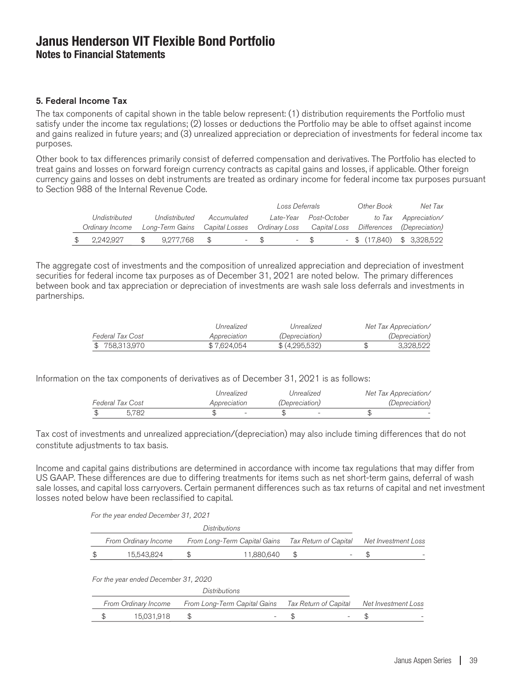#### 5. Federal Income Tax

The tax components of capital shown in the table below represent: (1) distribution requirements the Portfolio must satisfy under the income tax regulations; (2) losses or deductions the Portfolio may be able to offset against income and gains realized in future years; and (3) unrealized appreciation or depreciation of investments for federal income tax purposes.

Other book to tax differences primarily consist of deferred compensation and derivatives. The Portfolio has elected to treat gains and losses on forward foreign currency contracts as capital gains and losses, if applicable. Other foreign currency gains and losses on debt instruments are treated as ordinary income for federal income tax purposes pursuant to Section 988 of the Internal Revenue Code.

|                                                                                                      |      |               |             |        | Loss Deferrals |                        | Other Book                   | Net Tax              |
|------------------------------------------------------------------------------------------------------|------|---------------|-------------|--------|----------------|------------------------|------------------------------|----------------------|
| Undistributed                                                                                        |      | Undistributed | Accumulated |        |                | Late-Year Post-October |                              | to Tax Appreciation/ |
| Ordinary Income Long-Term Gains Capital Losses Ordinary Loss Capital Loss Differences (Depreciation) |      |               |             |        |                |                        |                              |                      |
| \$2.242.927                                                                                          | - SS | 9.277.768 \$  |             | $-$ \$ |                | $-$ \$                 | $-$ \$ (17,840) \$ 3,328,522 |                      |

The aggregate cost of investments and the composition of unrealized appreciation and depreciation of investment securities for federal income tax purposes as of December 31, 2021 are noted below. The primary differences between book and tax appreciation or depreciation of investments are wash sale loss deferrals and investments in partnerships.

|                  | Unrealized   | Unrealized            | Net Tax Appreciation/ |
|------------------|--------------|-----------------------|-----------------------|
| Federal Tax Cost | Appreciation | <i>(Depreciation)</i> | <i>(Depreciation)</i> |
| \$758,313,970    | \$7.624.054  | \$(4.295.532)         | 3.328.522             |

Information on the tax components of derivatives as of December 31, 2021 is as follows:

|                         | Unrealized   | Unrealized            | Net Tax Appreciation/ |
|-------------------------|--------------|-----------------------|-----------------------|
| <b>Federal Tax Cost</b> | Appreciation | <i>(Depreciation)</i> | <i>(Depreciation)</i> |
| 5.782                   |              |                       |                       |

Tax cost of investments and unrealized appreciation/(depreciation) may also include timing differences that do not constitute adjustments to tax basis.

Income and capital gains distributions are determined in accordance with income tax regulations that may differ from US GAAP. These differences are due to differing treatments for items such as net short-term gains, deferral of wash sale losses, and capital loss carryovers. Certain permanent differences such as tax returns of capital and net investment losses noted below have been reclassified to capital.

| For the year ended December 31, 2021 |  |  |
|--------------------------------------|--|--|
|--------------------------------------|--|--|

| From Ordinary Income | From Long-Term Capital Gains Tax Return of Capital Net Investment Loss |  |  |
|----------------------|------------------------------------------------------------------------|--|--|
| \$<br>15,543,824     | 11.880.640                                                             |  |  |

For the year ended December 31, 2020

|  |            | <i>Distributions</i>                                                                        |  |  |
|--|------------|---------------------------------------------------------------------------------------------|--|--|
|  |            | From Ordinary Income From Long-Term Capital Gains Tax Return of Capital Net Investment Loss |  |  |
|  | 15,031,918 | $\overline{\phantom{0}}$                                                                    |  |  |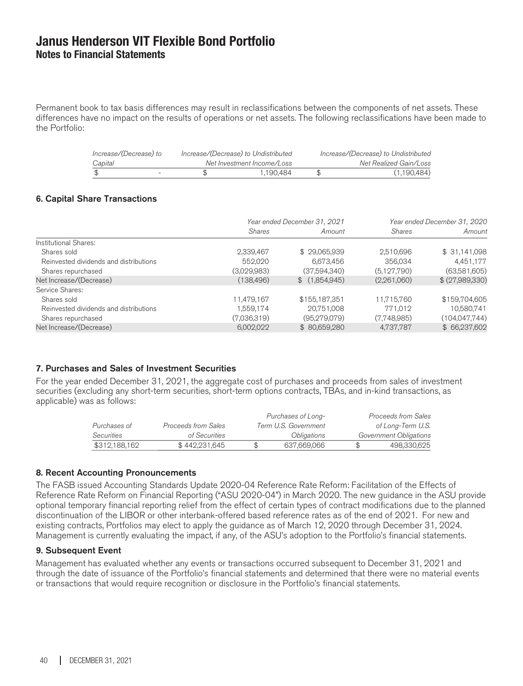Permanent book to tax basis differences may result in reclassifications between the components of net assets. These differences have no impact on the results of operations or net assets. The following reclassifications have been made to the Portfolio:

| Increase/(Decrease) to   | Increase/(Decrease) to Undistributed | Increase/(Decrease) to Undistributed |
|--------------------------|--------------------------------------|--------------------------------------|
| Capital                  | Net Investment Income/Loss           | Net Realized Gain/Loss               |
| $\overline{\phantom{0}}$ | 1.190.484                            | (1,190,484)                          |

#### 6. Capital Share Transactions

| Year ended December 31, 2021 |               | Year ended December 31, 2020 |                 |
|------------------------------|---------------|------------------------------|-----------------|
| <i>Shares</i>                | Amount        | <b>Shares</b>                | Amount          |
|                              |               |                              |                 |
| 2,339,467                    | \$29,065,939  | 2,510,696                    | \$31,141,098    |
| 552,020                      | 6,673,456     | 356,034                      | 4,451,177       |
| (3,029,983)                  | (37,594,340)  | (5,127,790)                  | (63,581,605)    |
| (138, 496)                   | \$(1,854,945) | (2,261,060)                  | \$(27,989,330)  |
|                              |               |                              |                 |
| 11,479,167                   | \$155,187,351 | 11,715,760                   | \$159,704,605   |
| 1,559,174                    | 20,751,008    | 771,012                      | 10,580,741      |
| (7,036,319)                  | (95,279,079)  | (7,748,985)                  | (104, 047, 744) |
| 6,002,022                    | \$80,659,280  | 4,737,787                    | \$ 66,237,602   |
|                              |               |                              |                 |

### 7. Purchases and Sales of Investment Securities

For the year ended December 31, 2021, the aggregate cost of purchases and proceeds from sales of investment securities (excluding any short-term securities, short-term options contracts, TBAs, and in-kind transactions, as applicable) was as follows:

|               |                     | Purchases of Long-        | <b>Proceeds from Sales</b> |
|---------------|---------------------|---------------------------|----------------------------|
| Purchases of  | Proceeds from Sales | Term U.S. Government      | of Long-Term U.S.          |
| Securities    | of Securities       | <i><b>Obligations</b></i> | Government Obligations     |
| \$312,188,162 | \$442,231,645       | 637,669,066               | 498.330.625                |

#### 8. Recent Accounting Pronouncements

The FASB issued Accounting Standards Update 2020-04 Reference Rate Reform: Facilitation of the Effects of Reference Rate Reform on Financial Reporting ("ASU 2020-04") in March 2020. The new guidance in the ASU provide optional temporary financial reporting relief from the effect of certain types of contract modifications due to the planned discontinuation of the LIBOR or other interbank-offered based reference rates as of the end of 2021. For new and existing contracts, Portfolios may elect to apply the guidance as of March 12, 2020 through December 31, 2024. Management is currently evaluating the impact, if any, of the ASU's adoption to the Portfolio's financial statements.

#### 9. Subsequent Event

Management has evaluated whether any events or transactions occurred subsequent to December 31, 2021 and through the date of issuance of the Portfolio's financial statements and determined that there were no material events or transactions that would require recognition or disclosure in the Portfolio's financial statements.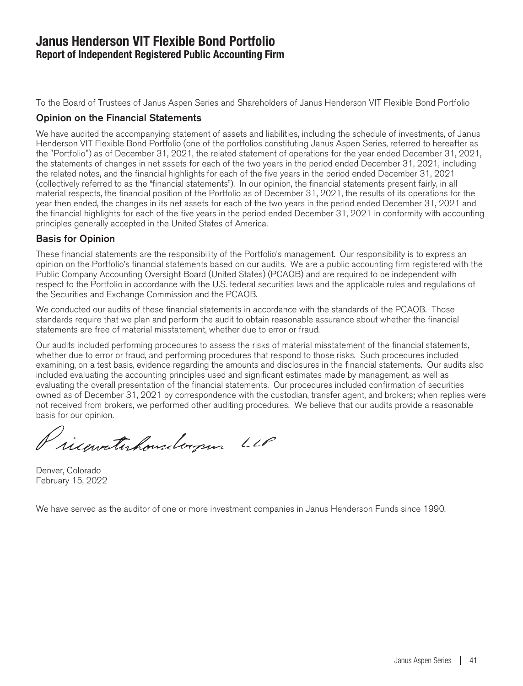### **Janus Henderson VIT Flexible Bond Portfolio Report of Independent Registered Public Accounting Firm**

To the Board of Trustees of Janus Aspen Series and Shareholders of Janus Henderson VIT Flexible Bond Portfolio

### Opinion on the Financial Statements

We have audited the accompanying statement of assets and liabilities, including the schedule of investments, of Janus Henderson VIT Flexible Bond Portfolio (one of the portfolios constituting Janus Aspen Series, referred to hereafter as the "Portfolio") as of December 31, 2021, the related statement of operations for the year ended December 31, 2021, the statements of changes in net assets for each of the two years in the period ended December 31, 2021, including the related notes, and the financial highlights for each of the five years in the period ended December 31, 2021 (collectively referred to as the "financial statements"). In our opinion, the financial statements present fairly, in all material respects, the financial position of the Portfolio as of December 31, 2021, the results of its operations for the year then ended, the changes in its net assets for each of the two years in the period ended December 31, 2021 and the financial highlights for each of the five years in the period ended December 31, 2021 in conformity with accounting principles generally accepted in the United States of America.

### Basis for Opinion

These financial statements are the responsibility of the Portfolio's management. Our responsibility is to express an opinion on the Portfolio's financial statements based on our audits. We are a public accounting firm registered with the Public Company Accounting Oversight Board (United States) (PCAOB) and are required to be independent with respect to the Portfolio in accordance with the U.S. federal securities laws and the applicable rules and regulations of the Securities and Exchange Commission and the PCAOB.

We conducted our audits of these financial statements in accordance with the standards of the PCAOB. Those standards require that we plan and perform the audit to obtain reasonable assurance about whether the financial statements are free of material misstatement, whether due to error or fraud.

Our audits included performing procedures to assess the risks of material misstatement of the financial statements, whether due to error or fraud, and performing procedures that respond to those risks. Such procedures included examining, on a test basis, evidence regarding the amounts and disclosures in the financial statements. Our audits also included evaluating the accounting principles used and significant estimates made by management, as well as evaluating the overall presentation of the financial statements. Our procedures included confirmation of securities owned as of December 31, 2021 by correspondence with the custodian, transfer agent, and brokers; when replies were not received from brokers, we performed other auditing procedures. We believe that our audits provide a reasonable basis for our opinion.

Pricewatchousdorpen LLP

Denver, Colorado February 15, 2022

We have served as the auditor of one or more investment companies in Janus Henderson Funds since 1990.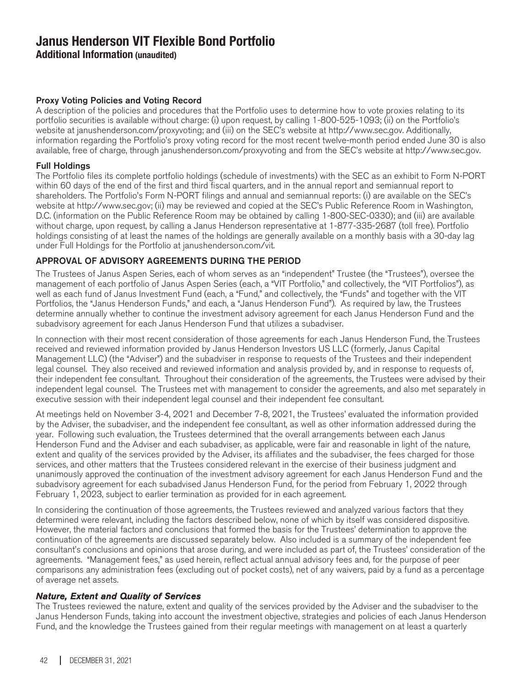**Additional Information (unaudited)**

### Proxy Voting Policies and Voting Record

A description of the policies and procedures that the Portfolio uses to determine how to vote proxies relating to its portfolio securities is available without charge: (i) upon request, by calling 1-800-525-1093; (ii) on the Portfolio's website at janushenderson.com/proxyvoting; and (iii) on the SEC's website at http://www.sec.gov. Additionally, information regarding the Portfolio's proxy voting record for the most recent twelve-month period ended June 30 is also available, free of charge, through janushenderson.com/proxyvoting and from the SEC's website at http://www.sec.gov.

### Full Holdings

The Portfolio files its complete portfolio holdings (schedule of investments) with the SEC as an exhibit to Form N-PORT within 60 days of the end of the first and third fiscal quarters, and in the annual report and semiannual report to shareholders. The Portfolio's Form N-PORT filings and annual and semiannual reports: (i) are available on the SEC's website at http://www.sec.gov; (ii) may be reviewed and copied at the SEC's Public Reference Room in Washington, D.C. (information on the Public Reference Room may be obtained by calling 1-800-SEC-0330); and (iii) are available without charge, upon request, by calling a Janus Henderson representative at 1-877-335-2687 (toll free). Portfolio holdings consisting of at least the names of the holdings are generally available on a monthly basis with a 30-day lag under Full Holdings for the Portfolio at janushenderson.com/vit.

### APPROVAL OF ADVISORY AGREEMENTS DURING THE PERIOD

The Trustees of Janus Aspen Series, each of whom serves as an "independent" Trustee (the "Trustees"), oversee the management of each portfolio of Janus Aspen Series (each, a "VIT Portfolio," and collectively, the "VIT Portfolios"), as well as each fund of Janus Investment Fund (each, a "Fund," and collectively, the "Funds" and together with the VIT Portfolios, the "Janus Henderson Funds," and each, a "Janus Henderson Fund"). As required by law, the Trustees determine annually whether to continue the investment advisory agreement for each Janus Henderson Fund and the subadvisory agreement for each Janus Henderson Fund that utilizes a subadviser.

In connection with their most recent consideration of those agreements for each Janus Henderson Fund, the Trustees received and reviewed information provided by Janus Henderson Investors US LLC (formerly, Janus Capital Management LLC) (the "Adviser") and the subadviser in response to requests of the Trustees and their independent legal counsel. They also received and reviewed information and analysis provided by, and in response to requests of, their independent fee consultant. Throughout their consideration of the agreements, the Trustees were advised by their independent legal counsel. The Trustees met with management to consider the agreements, and also met separately in executive session with their independent legal counsel and their independent fee consultant.

At meetings held on November 3-4, 2021 and December 7-8, 2021, the Trustees' evaluated the information provided by the Adviser, the subadviser, and the independent fee consultant, as well as other information addressed during the year. Following such evaluation, the Trustees determined that the overall arrangements between each Janus Henderson Fund and the Adviser and each subadviser, as applicable, were fair and reasonable in light of the nature, extent and quality of the services provided by the Adviser, its affiliates and the subadviser, the fees charged for those services, and other matters that the Trustees considered relevant in the exercise of their business judgment and unanimously approved the continuation of the investment advisory agreement for each Janus Henderson Fund and the subadvisory agreement for each subadvised Janus Henderson Fund, for the period from February 1, 2022 through February 1, 2023, subject to earlier termination as provided for in each agreement.

In considering the continuation of those agreements, the Trustees reviewed and analyzed various factors that they determined were relevant, including the factors described below, none of which by itself was considered dispositive. However, the material factors and conclusions that formed the basis for the Trustees' determination to approve the continuation of the agreements are discussed separately below. Also included is a summary of the independent fee consultant's conclusions and opinions that arose during, and were included as part of, the Trustees' consideration of the agreements. "Management fees," as used herein, reflect actual annual advisory fees and, for the purpose of peer comparisons any administration fees (excluding out of pocket costs), net of any waivers, paid by a fund as a percentage of average net assets.

### Nature, Extent and Quality of Services

The Trustees reviewed the nature, extent and quality of the services provided by the Adviser and the subadviser to the Janus Henderson Funds, taking into account the investment objective, strategies and policies of each Janus Henderson Fund, and the knowledge the Trustees gained from their regular meetings with management on at least a quarterly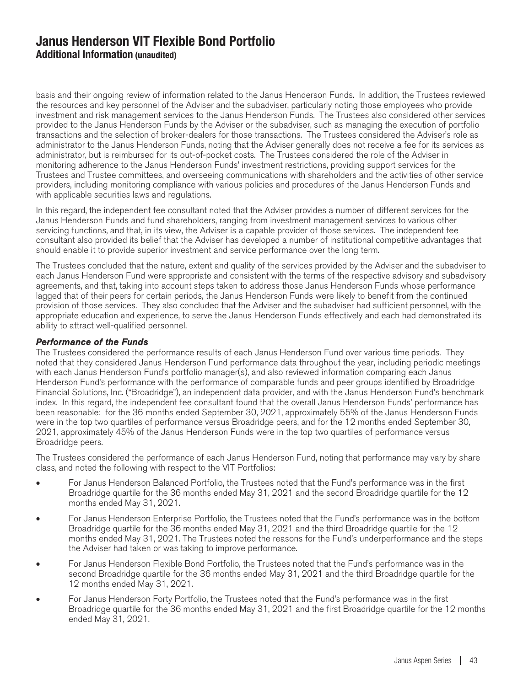basis and their ongoing review of information related to the Janus Henderson Funds. In addition, the Trustees reviewed the resources and key personnel of the Adviser and the subadviser, particularly noting those employees who provide investment and risk management services to the Janus Henderson Funds. The Trustees also considered other services provided to the Janus Henderson Funds by the Adviser or the subadviser, such as managing the execution of portfolio transactions and the selection of broker-dealers for those transactions. The Trustees considered the Adviser's role as administrator to the Janus Henderson Funds, noting that the Adviser generally does not receive a fee for its services as administrator, but is reimbursed for its out-of-pocket costs. The Trustees considered the role of the Adviser in monitoring adherence to the Janus Henderson Funds' investment restrictions, providing support services for the Trustees and Trustee committees, and overseeing communications with shareholders and the activities of other service providers, including monitoring compliance with various policies and procedures of the Janus Henderson Funds and with applicable securities laws and regulations.

In this regard, the independent fee consultant noted that the Adviser provides a number of different services for the Janus Henderson Funds and fund shareholders, ranging from investment management services to various other servicing functions, and that, in its view, the Adviser is a capable provider of those services. The independent fee consultant also provided its belief that the Adviser has developed a number of institutional competitive advantages that should enable it to provide superior investment and service performance over the long term.

The Trustees concluded that the nature, extent and quality of the services provided by the Adviser and the subadviser to each Janus Henderson Fund were appropriate and consistent with the terms of the respective advisory and subadvisory agreements, and that, taking into account steps taken to address those Janus Henderson Funds whose performance lagged that of their peers for certain periods, the Janus Henderson Funds were likely to benefit from the continued provision of those services. They also concluded that the Adviser and the subadviser had sufficient personnel, with the appropriate education and experience, to serve the Janus Henderson Funds effectively and each had demonstrated its ability to attract well-qualified personnel.

#### Performance of the Funds

The Trustees considered the performance results of each Janus Henderson Fund over various time periods. They noted that they considered Janus Henderson Fund performance data throughout the year, including periodic meetings with each Janus Henderson Fund's portfolio manager(s), and also reviewed information comparing each Janus Henderson Fund's performance with the performance of comparable funds and peer groups identified by Broadridge Financial Solutions, Inc. ("Broadridge"), an independent data provider, and with the Janus Henderson Fund's benchmark index. In this regard, the independent fee consultant found that the overall Janus Henderson Funds' performance has been reasonable: for the 36 months ended September 30, 2021, approximately 55% of the Janus Henderson Funds were in the top two quartiles of performance versus Broadridge peers, and for the 12 months ended September 30, 2021, approximately 45% of the Janus Henderson Funds were in the top two quartiles of performance versus Broadridge peers.

The Trustees considered the performance of each Janus Henderson Fund, noting that performance may vary by share class, and noted the following with respect to the VIT Portfolios:

- For Janus Henderson Balanced Portfolio, the Trustees noted that the Fund's performance was in the first Broadridge quartile for the 36 months ended May 31, 2021 and the second Broadridge quartile for the 12 months ended May 31, 2021.
- For Janus Henderson Enterprise Portfolio, the Trustees noted that the Fund's performance was in the bottom Broadridge quartile for the 36 months ended May 31, 2021 and the third Broadridge quartile for the 12 months ended May 31, 2021. The Trustees noted the reasons for the Fund's underperformance and the steps the Adviser had taken or was taking to improve performance.
- For Janus Henderson Flexible Bond Portfolio, the Trustees noted that the Fund's performance was in the second Broadridge quartile for the 36 months ended May 31, 2021 and the third Broadridge quartile for the 12 months ended May 31, 2021.
- For Janus Henderson Forty Portfolio, the Trustees noted that the Fund's performance was in the first Broadridge quartile for the 36 months ended May 31, 2021 and the first Broadridge quartile for the 12 months ended May 31, 2021.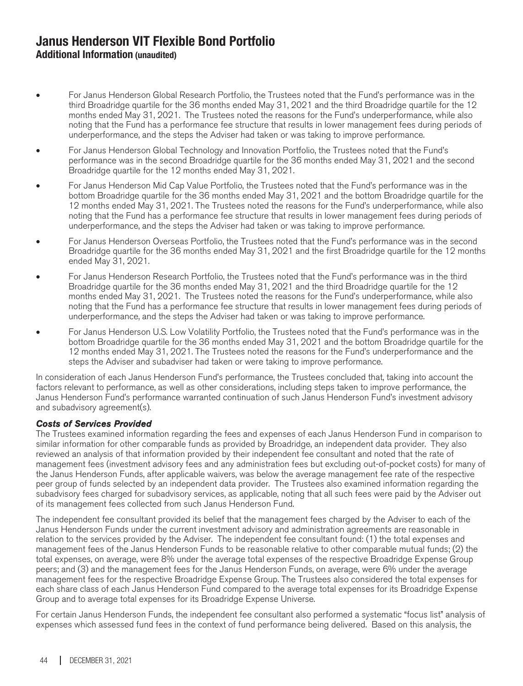- For Janus Henderson Global Research Portfolio, the Trustees noted that the Fund's performance was in the third Broadridge quartile for the 36 months ended May 31, 2021 and the third Broadridge quartile for the 12 months ended May 31, 2021. The Trustees noted the reasons for the Fund's underperformance, while also noting that the Fund has a performance fee structure that results in lower management fees during periods of underperformance, and the steps the Adviser had taken or was taking to improve performance.
- For Janus Henderson Global Technology and Innovation Portfolio, the Trustees noted that the Fund's performance was in the second Broadridge quartile for the 36 months ended May 31, 2021 and the second Broadridge quartile for the 12 months ended May 31, 2021.
- For Janus Henderson Mid Cap Value Portfolio, the Trustees noted that the Fund's performance was in the bottom Broadridge quartile for the 36 months ended May 31, 2021 and the bottom Broadridge quartile for the 12 months ended May 31, 2021. The Trustees noted the reasons for the Fund's underperformance, while also noting that the Fund has a performance fee structure that results in lower management fees during periods of underperformance, and the steps the Adviser had taken or was taking to improve performance.
- For Janus Henderson Overseas Portfolio, the Trustees noted that the Fund's performance was in the second Broadridge quartile for the 36 months ended May 31, 2021 and the first Broadridge quartile for the 12 months ended May 31, 2021.
- For Janus Henderson Research Portfolio, the Trustees noted that the Fund's performance was in the third Broadridge quartile for the 36 months ended May 31, 2021 and the third Broadridge quartile for the 12 months ended May 31, 2021. The Trustees noted the reasons for the Fund's underperformance, while also noting that the Fund has a performance fee structure that results in lower management fees during periods of underperformance, and the steps the Adviser had taken or was taking to improve performance.
- For Janus Henderson U.S. Low Volatility Portfolio, the Trustees noted that the Fund's performance was in the bottom Broadridge quartile for the 36 months ended May 31, 2021 and the bottom Broadridge quartile for the 12 months ended May 31, 2021. The Trustees noted the reasons for the Fund's underperformance and the steps the Adviser and subadviser had taken or were taking to improve performance.

In consideration of each Janus Henderson Fund's performance, the Trustees concluded that, taking into account the factors relevant to performance, as well as other considerations, including steps taken to improve performance, the Janus Henderson Fund's performance warranted continuation of such Janus Henderson Fund's investment advisory and subadvisory agreement(s).

### Costs of Services Provided

The Trustees examined information regarding the fees and expenses of each Janus Henderson Fund in comparison to similar information for other comparable funds as provided by Broadridge, an independent data provider. They also reviewed an analysis of that information provided by their independent fee consultant and noted that the rate of management fees (investment advisory fees and any administration fees but excluding out-of-pocket costs) for many of the Janus Henderson Funds, after applicable waivers, was below the average management fee rate of the respective peer group of funds selected by an independent data provider. The Trustees also examined information regarding the subadvisory fees charged for subadvisory services, as applicable, noting that all such fees were paid by the Adviser out of its management fees collected from such Janus Henderson Fund.

The independent fee consultant provided its belief that the management fees charged by the Adviser to each of the Janus Henderson Funds under the current investment advisory and administration agreements are reasonable in relation to the services provided by the Adviser. The independent fee consultant found: (1) the total expenses and management fees of the Janus Henderson Funds to be reasonable relative to other comparable mutual funds; (2) the total expenses, on average, were 8% under the average total expenses of the respective Broadridge Expense Group peers; and (3) and the management fees for the Janus Henderson Funds, on average, were 6% under the average management fees for the respective Broadridge Expense Group. The Trustees also considered the total expenses for each share class of each Janus Henderson Fund compared to the average total expenses for its Broadridge Expense Group and to average total expenses for its Broadridge Expense Universe.

For certain Janus Henderson Funds, the independent fee consultant also performed a systematic "focus list" analysis of expenses which assessed fund fees in the context of fund performance being delivered. Based on this analysis, the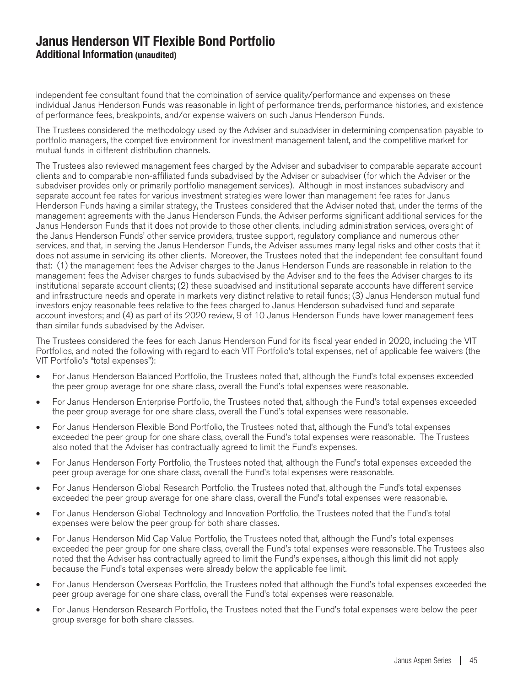independent fee consultant found that the combination of service quality/performance and expenses on these individual Janus Henderson Funds was reasonable in light of performance trends, performance histories, and existence of performance fees, breakpoints, and/or expense waivers on such Janus Henderson Funds.

The Trustees considered the methodology used by the Adviser and subadviser in determining compensation payable to portfolio managers, the competitive environment for investment management talent, and the competitive market for mutual funds in different distribution channels.

The Trustees also reviewed management fees charged by the Adviser and subadviser to comparable separate account clients and to comparable non-affiliated funds subadvised by the Adviser or subadviser (for which the Adviser or the subadviser provides only or primarily portfolio management services). Although in most instances subadvisory and separate account fee rates for various investment strategies were lower than management fee rates for Janus Henderson Funds having a similar strategy, the Trustees considered that the Adviser noted that, under the terms of the management agreements with the Janus Henderson Funds, the Adviser performs significant additional services for the Janus Henderson Funds that it does not provide to those other clients, including administration services, oversight of the Janus Henderson Funds' other service providers, trustee support, regulatory compliance and numerous other services, and that, in serving the Janus Henderson Funds, the Adviser assumes many legal risks and other costs that it does not assume in servicing its other clients. Moreover, the Trustees noted that the independent fee consultant found that: (1) the management fees the Adviser charges to the Janus Henderson Funds are reasonable in relation to the management fees the Adviser charges to funds subadvised by the Adviser and to the fees the Adviser charges to its institutional separate account clients; (2) these subadvised and institutional separate accounts have different service and infrastructure needs and operate in markets very distinct relative to retail funds; (3) Janus Henderson mutual fund investors enjoy reasonable fees relative to the fees charged to Janus Henderson subadvised fund and separate account investors; and (4) as part of its 2020 review, 9 of 10 Janus Henderson Funds have lower management fees than similar funds subadvised by the Adviser.

The Trustees considered the fees for each Janus Henderson Fund for its fiscal year ended in 2020, including the VIT Portfolios, and noted the following with regard to each VIT Portfolio's total expenses, net of applicable fee waivers (the VIT Portfolio's "total expenses"):

- For Janus Henderson Balanced Portfolio, the Trustees noted that, although the Fund's total expenses exceeded the peer group average for one share class, overall the Fund's total expenses were reasonable.
- For Janus Henderson Enterprise Portfolio, the Trustees noted that, although the Fund's total expenses exceeded the peer group average for one share class, overall the Fund's total expenses were reasonable.
- For Janus Henderson Flexible Bond Portfolio, the Trustees noted that, although the Fund's total expenses exceeded the peer group for one share class, overall the Fund's total expenses were reasonable. The Trustees also noted that the Adviser has contractually agreed to limit the Fund's expenses.
- For Janus Henderson Forty Portfolio, the Trustees noted that, although the Fund's total expenses exceeded the peer group average for one share class, overall the Fund's total expenses were reasonable.
- For Janus Henderson Global Research Portfolio, the Trustees noted that, although the Fund's total expenses exceeded the peer group average for one share class, overall the Fund's total expenses were reasonable.
- For Janus Henderson Global Technology and Innovation Portfolio, the Trustees noted that the Fund's total expenses were below the peer group for both share classes.
- For Janus Henderson Mid Cap Value Portfolio, the Trustees noted that, although the Fund's total expenses exceeded the peer group for one share class, overall the Fund's total expenses were reasonable. The Trustees also noted that the Adviser has contractually agreed to limit the Fund's expenses, although this limit did not apply because the Fund's total expenses were already below the applicable fee limit.
- For Janus Henderson Overseas Portfolio, the Trustees noted that although the Fund's total expenses exceeded the peer group average for one share class, overall the Fund's total expenses were reasonable.
- For Janus Henderson Research Portfolio, the Trustees noted that the Fund's total expenses were below the peer group average for both share classes.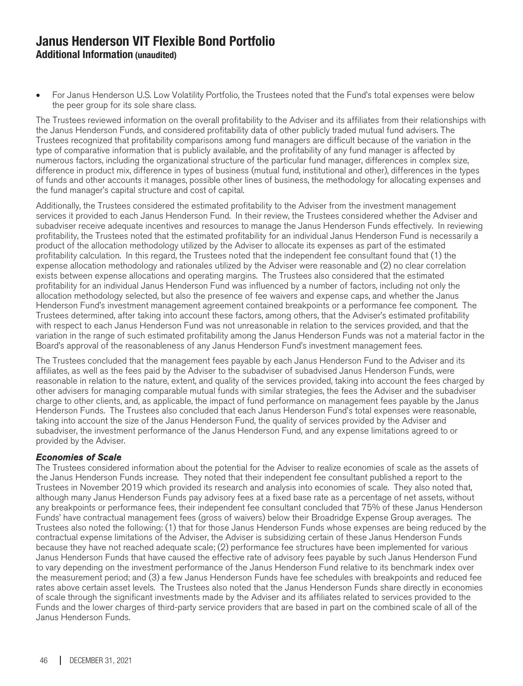• For Janus Henderson U.S. Low Volatility Portfolio, the Trustees noted that the Fund's total expenses were below the peer group for its sole share class.

The Trustees reviewed information on the overall profitability to the Adviser and its affiliates from their relationships with the Janus Henderson Funds, and considered profitability data of other publicly traded mutual fund advisers. The Trustees recognized that profitability comparisons among fund managers are difficult because of the variation in the type of comparative information that is publicly available, and the profitability of any fund manager is affected by numerous factors, including the organizational structure of the particular fund manager, differences in complex size, difference in product mix, difference in types of business (mutual fund, institutional and other), differences in the types of funds and other accounts it manages, possible other lines of business, the methodology for allocating expenses and the fund manager's capital structure and cost of capital.

Additionally, the Trustees considered the estimated profitability to the Adviser from the investment management services it provided to each Janus Henderson Fund. In their review, the Trustees considered whether the Adviser and subadviser receive adequate incentives and resources to manage the Janus Henderson Funds effectively. In reviewing profitability, the Trustees noted that the estimated profitability for an individual Janus Henderson Fund is necessarily a product of the allocation methodology utilized by the Adviser to allocate its expenses as part of the estimated profitability calculation. In this regard, the Trustees noted that the independent fee consultant found that (1) the expense allocation methodology and rationales utilized by the Adviser were reasonable and (2) no clear correlation exists between expense allocations and operating margins. The Trustees also considered that the estimated profitability for an individual Janus Henderson Fund was influenced by a number of factors, including not only the allocation methodology selected, but also the presence of fee waivers and expense caps, and whether the Janus Henderson Fund's investment management agreement contained breakpoints or a performance fee component. The Trustees determined, after taking into account these factors, among others, that the Adviser's estimated profitability with respect to each Janus Henderson Fund was not unreasonable in relation to the services provided, and that the variation in the range of such estimated profitability among the Janus Henderson Funds was not a material factor in the Board's approval of the reasonableness of any Janus Henderson Fund's investment management fees.

The Trustees concluded that the management fees payable by each Janus Henderson Fund to the Adviser and its affiliates, as well as the fees paid by the Adviser to the subadviser of subadvised Janus Henderson Funds, were reasonable in relation to the nature, extent, and quality of the services provided, taking into account the fees charged by other advisers for managing comparable mutual funds with similar strategies, the fees the Adviser and the subadviser charge to other clients, and, as applicable, the impact of fund performance on management fees payable by the Janus Henderson Funds. The Trustees also concluded that each Janus Henderson Fund's total expenses were reasonable, taking into account the size of the Janus Henderson Fund, the quality of services provided by the Adviser and subadviser, the investment performance of the Janus Henderson Fund, and any expense limitations agreed to or provided by the Adviser.

#### Economies of Scale

The Trustees considered information about the potential for the Adviser to realize economies of scale as the assets of the Janus Henderson Funds increase. They noted that their independent fee consultant published a report to the Trustees in November 2019 which provided its research and analysis into economies of scale. They also noted that, although many Janus Henderson Funds pay advisory fees at a fixed base rate as a percentage of net assets, without any breakpoints or performance fees, their independent fee consultant concluded that 75% of these Janus Henderson Funds' have contractual management fees (gross of waivers) below their Broadridge Expense Group averages. The Trustees also noted the following: (1) that for those Janus Henderson Funds whose expenses are being reduced by the contractual expense limitations of the Adviser, the Adviser is subsidizing certain of these Janus Henderson Funds because they have not reached adequate scale; (2) performance fee structures have been implemented for various Janus Henderson Funds that have caused the effective rate of advisory fees payable by such Janus Henderson Fund to vary depending on the investment performance of the Janus Henderson Fund relative to its benchmark index over the measurement period; and (3) a few Janus Henderson Funds have fee schedules with breakpoints and reduced fee rates above certain asset levels. The Trustees also noted that the Janus Henderson Funds share directly in economies of scale through the significant investments made by the Adviser and its affiliates related to services provided to the Funds and the lower charges of third-party service providers that are based in part on the combined scale of all of the Janus Henderson Funds.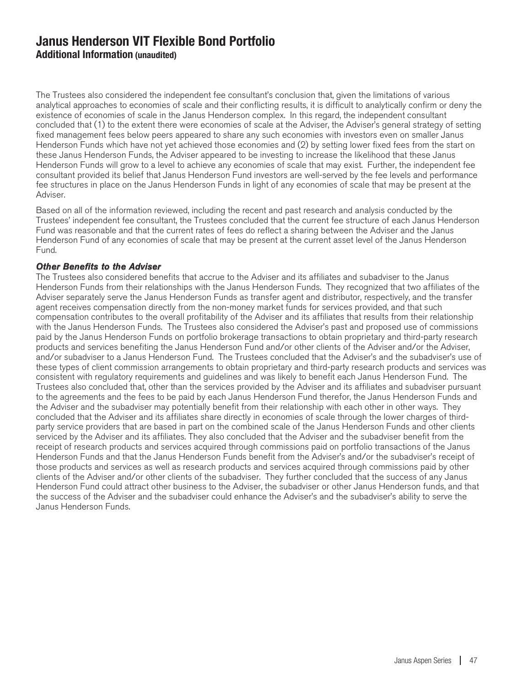The Trustees also considered the independent fee consultant's conclusion that, given the limitations of various analytical approaches to economies of scale and their conflicting results, it is difficult to analytically confirm or deny the existence of economies of scale in the Janus Henderson complex. In this regard, the independent consultant concluded that (1) to the extent there were economies of scale at the Adviser, the Adviser's general strategy of setting fixed management fees below peers appeared to share any such economies with investors even on smaller Janus Henderson Funds which have not yet achieved those economies and (2) by setting lower fixed fees from the start on these Janus Henderson Funds, the Adviser appeared to be investing to increase the likelihood that these Janus Henderson Funds will grow to a level to achieve any economies of scale that may exist. Further, the independent fee consultant provided its belief that Janus Henderson Fund investors are well-served by the fee levels and performance fee structures in place on the Janus Henderson Funds in light of any economies of scale that may be present at the Adviser.

Based on all of the information reviewed, including the recent and past research and analysis conducted by the Trustees' independent fee consultant, the Trustees concluded that the current fee structure of each Janus Henderson Fund was reasonable and that the current rates of fees do reflect a sharing between the Adviser and the Janus Henderson Fund of any economies of scale that may be present at the current asset level of the Janus Henderson Fund.

#### Other Benefits to the Adviser

The Trustees also considered benefits that accrue to the Adviser and its affiliates and subadviser to the Janus Henderson Funds from their relationships with the Janus Henderson Funds. They recognized that two affiliates of the Adviser separately serve the Janus Henderson Funds as transfer agent and distributor, respectively, and the transfer agent receives compensation directly from the non-money market funds for services provided, and that such compensation contributes to the overall profitability of the Adviser and its affiliates that results from their relationship with the Janus Henderson Funds. The Trustees also considered the Adviser's past and proposed use of commissions paid by the Janus Henderson Funds on portfolio brokerage transactions to obtain proprietary and third-party research products and services benefiting the Janus Henderson Fund and/or other clients of the Adviser and/or the Adviser, and/or subadviser to a Janus Henderson Fund. The Trustees concluded that the Adviser's and the subadviser's use of these types of client commission arrangements to obtain proprietary and third-party research products and services was consistent with regulatory requirements and guidelines and was likely to benefit each Janus Henderson Fund. The Trustees also concluded that, other than the services provided by the Adviser and its affiliates and subadviser pursuant to the agreements and the fees to be paid by each Janus Henderson Fund therefor, the Janus Henderson Funds and the Adviser and the subadviser may potentially benefit from their relationship with each other in other ways. They concluded that the Adviser and its affiliates share directly in economies of scale through the lower charges of thirdparty service providers that are based in part on the combined scale of the Janus Henderson Funds and other clients serviced by the Adviser and its affiliates. They also concluded that the Adviser and the subadviser benefit from the receipt of research products and services acquired through commissions paid on portfolio transactions of the Janus Henderson Funds and that the Janus Henderson Funds benefit from the Adviser's and/or the subadviser's receipt of those products and services as well as research products and services acquired through commissions paid by other clients of the Adviser and/or other clients of the subadviser. They further concluded that the success of any Janus Henderson Fund could attract other business to the Adviser, the subadviser or other Janus Henderson funds, and that the success of the Adviser and the subadviser could enhance the Adviser's and the subadviser's ability to serve the Janus Henderson Funds.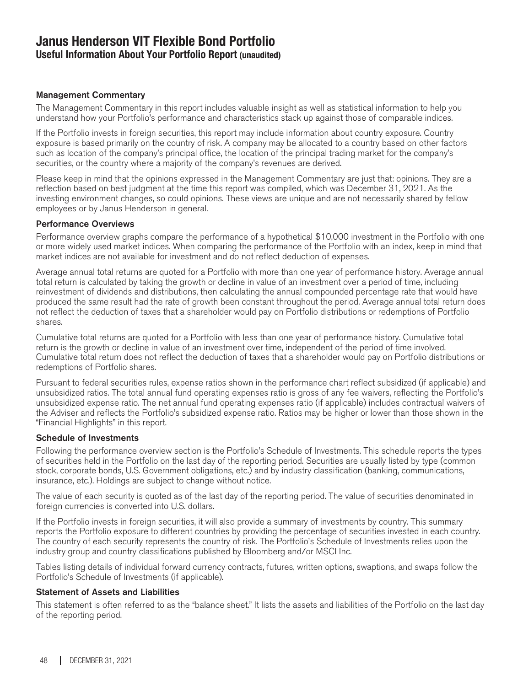### **Janus Henderson VIT Flexible Bond Portfolio Useful Information About Your Portfolio Report (unaudited)**

#### Management Commentary

The Management Commentary in this report includes valuable insight as well as statistical information to help you understand how your Portfolio's performance and characteristics stack up against those of comparable indices.

If the Portfolio invests in foreign securities, this report may include information about country exposure. Country exposure is based primarily on the country of risk. A company may be allocated to a country based on other factors such as location of the company's principal office, the location of the principal trading market for the company's securities, or the country where a majority of the company's revenues are derived.

Please keep in mind that the opinions expressed in the Management Commentary are just that: opinions. They are a reflection based on best judgment at the time this report was compiled, which was December 31, 2021. As the investing environment changes, so could opinions. These views are unique and are not necessarily shared by fellow employees or by Janus Henderson in general.

#### Performance Overviews

Performance overview graphs compare the performance of a hypothetical \$10,000 investment in the Portfolio with one or more widely used market indices. When comparing the performance of the Portfolio with an index, keep in mind that market indices are not available for investment and do not reflect deduction of expenses.

Average annual total returns are quoted for a Portfolio with more than one year of performance history. Average annual total return is calculated by taking the growth or decline in value of an investment over a period of time, including reinvestment of dividends and distributions, then calculating the annual compounded percentage rate that would have produced the same result had the rate of growth been constant throughout the period. Average annual total return does not reflect the deduction of taxes that a shareholder would pay on Portfolio distributions or redemptions of Portfolio shares.

Cumulative total returns are quoted for a Portfolio with less than one year of performance history. Cumulative total return is the growth or decline in value of an investment over time, independent of the period of time involved. Cumulative total return does not reflect the deduction of taxes that a shareholder would pay on Portfolio distributions or redemptions of Portfolio shares.

Pursuant to federal securities rules, expense ratios shown in the performance chart reflect subsidized (if applicable) and unsubsidized ratios. The total annual fund operating expenses ratio is gross of any fee waivers, reflecting the Portfolio's unsubsidized expense ratio. The net annual fund operating expenses ratio (if applicable) includes contractual waivers of the Adviser and reflects the Portfolio's subsidized expense ratio. Ratios may be higher or lower than those shown in the "Financial Highlights" in this report.

#### Schedule of Investments

Following the performance overview section is the Portfolio's Schedule of Investments. This schedule reports the types of securities held in the Portfolio on the last day of the reporting period. Securities are usually listed by type (common stock, corporate bonds, U.S. Government obligations, etc.) and by industry classification (banking, communications, insurance, etc.). Holdings are subject to change without notice.

The value of each security is quoted as of the last day of the reporting period. The value of securities denominated in foreign currencies is converted into U.S. dollars.

If the Portfolio invests in foreign securities, it will also provide a summary of investments by country. This summary reports the Portfolio exposure to different countries by providing the percentage of securities invested in each country. The country of each security represents the country of risk. The Portfolio's Schedule of Investments relies upon the industry group and country classifications published by Bloomberg and/or MSCI Inc.

Tables listing details of individual forward currency contracts, futures, written options, swaptions, and swaps follow the Portfolio's Schedule of Investments (if applicable).

#### Statement of Assets and Liabilities

This statement is often referred to as the "balance sheet." It lists the assets and liabilities of the Portfolio on the last day of the reporting period.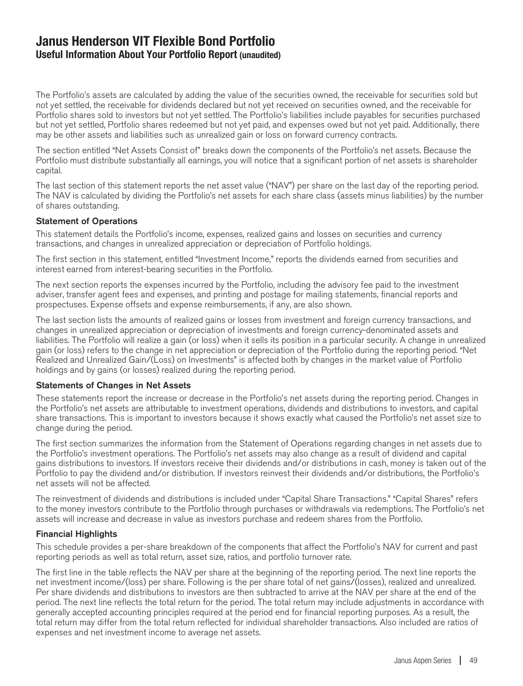### **Janus Henderson VIT Flexible Bond Portfolio Useful Information About Your Portfolio Report (unaudited)**

The Portfolio's assets are calculated by adding the value of the securities owned, the receivable for securities sold but not yet settled, the receivable for dividends declared but not yet received on securities owned, and the receivable for Portfolio shares sold to investors but not yet settled. The Portfolio's liabilities include payables for securities purchased but not yet settled, Portfolio shares redeemed but not yet paid, and expenses owed but not yet paid. Additionally, there may be other assets and liabilities such as unrealized gain or loss on forward currency contracts.

The section entitled "Net Assets Consist of" breaks down the components of the Portfolio's net assets. Because the Portfolio must distribute substantially all earnings, you will notice that a significant portion of net assets is shareholder capital.

The last section of this statement reports the net asset value ("NAV") per share on the last day of the reporting period. The NAV is calculated by dividing the Portfolio's net assets for each share class (assets minus liabilities) by the number of shares outstanding.

#### Statement of Operations

This statement details the Portfolio's income, expenses, realized gains and losses on securities and currency transactions, and changes in unrealized appreciation or depreciation of Portfolio holdings.

The first section in this statement, entitled "Investment Income," reports the dividends earned from securities and interest earned from interest-bearing securities in the Portfolio.

The next section reports the expenses incurred by the Portfolio, including the advisory fee paid to the investment adviser, transfer agent fees and expenses, and printing and postage for mailing statements, financial reports and prospectuses. Expense offsets and expense reimbursements, if any, are also shown.

The last section lists the amounts of realized gains or losses from investment and foreign currency transactions, and changes in unrealized appreciation or depreciation of investments and foreign currency-denominated assets and liabilities. The Portfolio will realize a gain (or loss) when it sells its position in a particular security. A change in unrealized gain (or loss) refers to the change in net appreciation or depreciation of the Portfolio during the reporting period. "Net Realized and Unrealized Gain/(Loss) on Investments" is affected both by changes in the market value of Portfolio holdings and by gains (or losses) realized during the reporting period.

#### Statements of Changes in Net Assets

These statements report the increase or decrease in the Portfolio's net assets during the reporting period. Changes in the Portfolio's net assets are attributable to investment operations, dividends and distributions to investors, and capital share transactions. This is important to investors because it shows exactly what caused the Portfolio's net asset size to change during the period.

The first section summarizes the information from the Statement of Operations regarding changes in net assets due to the Portfolio's investment operations. The Portfolio's net assets may also change as a result of dividend and capital gains distributions to investors. If investors receive their dividends and/or distributions in cash, money is taken out of the Portfolio to pay the dividend and/or distribution. If investors reinvest their dividends and/or distributions, the Portfolio's net assets will not be affected.

The reinvestment of dividends and distributions is included under "Capital Share Transactions." "Capital Shares" refers to the money investors contribute to the Portfolio through purchases or withdrawals via redemptions. The Portfolio's net assets will increase and decrease in value as investors purchase and redeem shares from the Portfolio.

#### Financial Highlights

This schedule provides a per-share breakdown of the components that affect the Portfolio's NAV for current and past reporting periods as well as total return, asset size, ratios, and portfolio turnover rate.

The first line in the table reflects the NAV per share at the beginning of the reporting period. The next line reports the net investment income/(loss) per share. Following is the per share total of net gains/(losses), realized and unrealized. Per share dividends and distributions to investors are then subtracted to arrive at the NAV per share at the end of the period. The next line reflects the total return for the period. The total return may include adjustments in accordance with generally accepted accounting principles required at the period end for financial reporting purposes. As a result, the total return may differ from the total return reflected for individual shareholder transactions. Also included are ratios of expenses and net investment income to average net assets.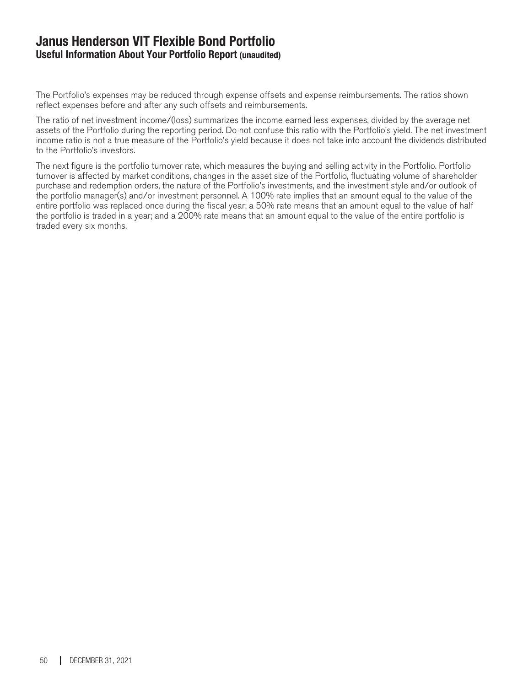### **Janus Henderson VIT Flexible Bond Portfolio Useful Information About Your Portfolio Report (unaudited)**

The Portfolio's expenses may be reduced through expense offsets and expense reimbursements. The ratios shown reflect expenses before and after any such offsets and reimbursements.

The ratio of net investment income/(loss) summarizes the income earned less expenses, divided by the average net assets of the Portfolio during the reporting period. Do not confuse this ratio with the Portfolio's yield. The net investment income ratio is not a true measure of the Portfolio's yield because it does not take into account the dividends distributed to the Portfolio's investors.

The next figure is the portfolio turnover rate, which measures the buying and selling activity in the Portfolio. Portfolio turnover is affected by market conditions, changes in the asset size of the Portfolio, fluctuating volume of shareholder purchase and redemption orders, the nature of the Portfolio's investments, and the investment style and/or outlook of the portfolio manager(s) and/or investment personnel. A 100% rate implies that an amount equal to the value of the entire portfolio was replaced once during the fiscal year; a 50% rate means that an amount equal to the value of half the portfolio is traded in a year; and a 200% rate means that an amount equal to the value of the entire portfolio is traded every six months.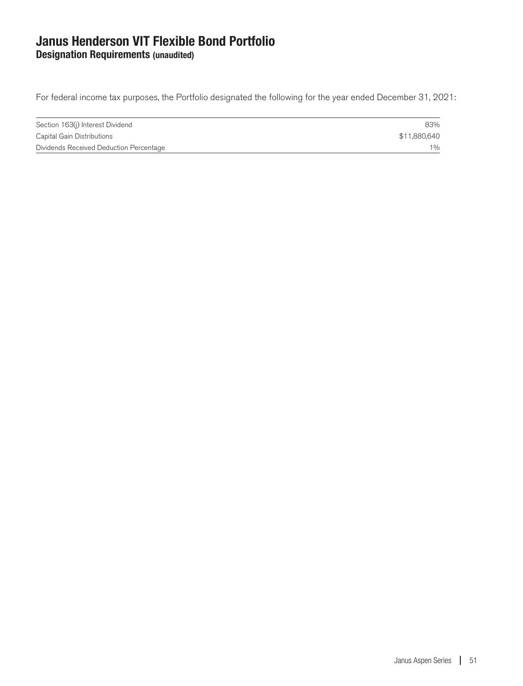### **Janus Henderson VIT Flexible Bond Portfolio Designation Requirements (unaudited)**

For federal income tax purposes, the Portfolio designated the following for the year ended December 31, 2021:

| Section 163(j) Interest Dividend        | 83%          |
|-----------------------------------------|--------------|
| Capital Gain Distributions              | \$11,880,640 |
| Dividends Received Deduction Percentage | 1%           |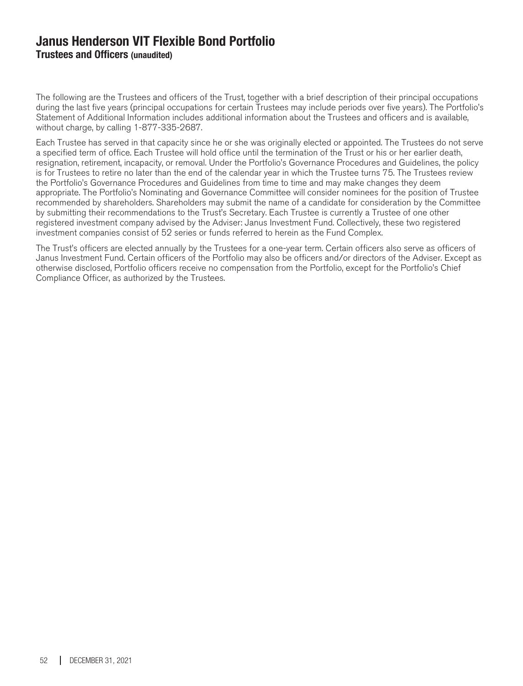### **Janus Henderson VIT Flexible Bond Portfolio Trustees and Officers (unaudited)**

The following are the Trustees and officers of the Trust, together with a brief description of their principal occupations during the last five years (principal occupations for certain Trustees may include periods over five years). The Portfolio's Statement of Additional Information includes additional information about the Trustees and officers and is available, without charge, by calling 1-877-335-2687.

Each Trustee has served in that capacity since he or she was originally elected or appointed. The Trustees do not serve a specified term of office. Each Trustee will hold office until the termination of the Trust or his or her earlier death, resignation, retirement, incapacity, or removal. Under the Portfolio's Governance Procedures and Guidelines, the policy is for Trustees to retire no later than the end of the calendar year in which the Trustee turns 75. The Trustees review the Portfolio's Governance Procedures and Guidelines from time to time and may make changes they deem appropriate. The Portfolio's Nominating and Governance Committee will consider nominees for the position of Trustee recommended by shareholders. Shareholders may submit the name of a candidate for consideration by the Committee by submitting their recommendations to the Trust's Secretary. Each Trustee is currently a Trustee of one other registered investment company advised by the Adviser: Janus Investment Fund. Collectively, these two registered investment companies consist of 52 series or funds referred to herein as the Fund Complex.

The Trust's officers are elected annually by the Trustees for a one-year term. Certain officers also serve as officers of Janus Investment Fund. Certain officers of the Portfolio may also be officers and/or directors of the Adviser. Except as otherwise disclosed, Portfolio officers receive no compensation from the Portfolio, except for the Portfolio's Chief Compliance Officer, as authorized by the Trustees.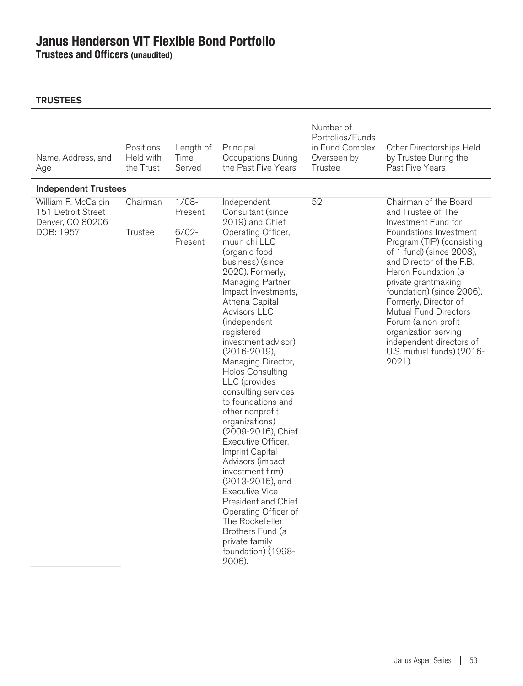**Trustees and Officers (unaudited)**

| Name, Address, and<br>Age                                                  | Positions<br>Held with<br>the Trust | Length of<br>Time<br>Served               | Principal<br>Occupations During<br>the Past Five Years                                                                                                                                                                                                                                                                                                                                                                                                                                                                                                                                                                                                                                                                                                     | Number of<br>Portfolios/Funds<br>in Fund Complex<br>Overseen by<br>Trustee | Other Directorships Held<br>by Trustee During the<br>Past Five Years                                                                                                                                                                                                                                                                                                                                                                    |
|----------------------------------------------------------------------------|-------------------------------------|-------------------------------------------|------------------------------------------------------------------------------------------------------------------------------------------------------------------------------------------------------------------------------------------------------------------------------------------------------------------------------------------------------------------------------------------------------------------------------------------------------------------------------------------------------------------------------------------------------------------------------------------------------------------------------------------------------------------------------------------------------------------------------------------------------------|----------------------------------------------------------------------------|-----------------------------------------------------------------------------------------------------------------------------------------------------------------------------------------------------------------------------------------------------------------------------------------------------------------------------------------------------------------------------------------------------------------------------------------|
| <b>Independent Trustees</b>                                                |                                     |                                           |                                                                                                                                                                                                                                                                                                                                                                                                                                                                                                                                                                                                                                                                                                                                                            |                                                                            |                                                                                                                                                                                                                                                                                                                                                                                                                                         |
| William F. McCalpin<br>151 Detroit Street<br>Denver, CO 80206<br>DOB: 1957 | Chairman<br>Trustee                 | $1/08-$<br>Present<br>$6/02 -$<br>Present | Independent<br>Consultant (since<br>2019) and Chief<br>Operating Officer,<br>muun chi LLC<br>(organic food<br>business) (since<br>2020). Formerly,<br>Managing Partner,<br>Impact Investments,<br>Athena Capital<br>Advisors LLC<br>(independent<br>registered<br>investment advisor)<br>$(2016 - 2019)$ ,<br>Managing Director,<br><b>Holos Consulting</b><br>LLC (provides<br>consulting services<br>to foundations and<br>other nonprofit<br>organizations)<br>(2009-2016), Chief<br>Executive Officer,<br>Imprint Capital<br>Advisors (impact<br>investment firm)<br>(2013-2015), and<br><b>Executive Vice</b><br>President and Chief<br>Operating Officer of<br>The Rockefeller<br>Brothers Fund (a<br>private family<br>foundation) (1998-<br>2006). | 52                                                                         | Chairman of the Board<br>and Trustee of The<br>Investment Fund for<br>Foundations Investment<br>Program (TIP) (consisting<br>of 1 fund) (since 2008),<br>and Director of the F.B.<br>Heron Foundation (a<br>private grantmaking<br>foundation) (since 2006).<br>Formerly, Director of<br><b>Mutual Fund Directors</b><br>Forum (a non-profit<br>organization serving<br>independent directors of<br>U.S. mutual funds) (2016-<br>2021). |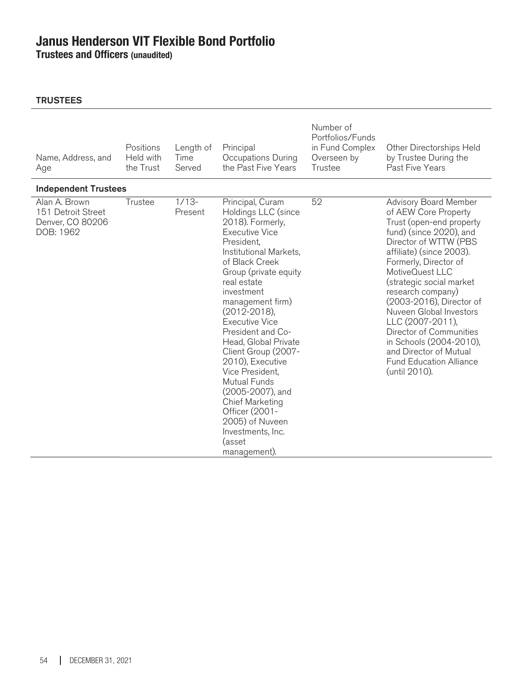**Trustees and Officers (unaudited)**

| Name, Address, and<br>Age                                            | Positions<br>Held with<br>the Trust | Length of<br>Time<br>Served | Principal<br>Occupations During<br>the Past Five Years                                                                                                                                                                                                                                                                                                                                                                                                                                                                              | Number of<br>Portfolios/Funds<br>in Fund Complex<br>Overseen by<br>Trustee | Other Directorships Held<br>by Trustee During the<br>Past Five Years                                                                                                                                                                                                                                                                                                                                                                                                        |
|----------------------------------------------------------------------|-------------------------------------|-----------------------------|-------------------------------------------------------------------------------------------------------------------------------------------------------------------------------------------------------------------------------------------------------------------------------------------------------------------------------------------------------------------------------------------------------------------------------------------------------------------------------------------------------------------------------------|----------------------------------------------------------------------------|-----------------------------------------------------------------------------------------------------------------------------------------------------------------------------------------------------------------------------------------------------------------------------------------------------------------------------------------------------------------------------------------------------------------------------------------------------------------------------|
| <b>Independent Trustees</b>                                          |                                     |                             |                                                                                                                                                                                                                                                                                                                                                                                                                                                                                                                                     |                                                                            |                                                                                                                                                                                                                                                                                                                                                                                                                                                                             |
| Alan A. Brown<br>151 Detroit Street<br>Denver, CO 80206<br>DOB: 1962 | Trustee                             | $1/13-$<br>Present          | Principal, Curam<br>Holdings LLC (since<br>2018). Formerly,<br><b>Executive Vice</b><br>President,<br>Institutional Markets.<br>of Black Creek<br>Group (private equity<br>real estate<br>investment<br>management firm)<br>$(2012 - 2018)$ ,<br><b>Executive Vice</b><br>President and Co-<br>Head, Global Private<br>Client Group (2007-<br>2010), Executive<br>Vice President,<br>Mutual Funds<br>(2005-2007), and<br><b>Chief Marketing</b><br>Officer (2001-<br>2005) of Nuveen<br>Investments, Inc.<br>(asset<br>management). | 52                                                                         | <b>Advisory Board Member</b><br>of AEW Core Property<br>Trust (open-end property<br>fund) (since 2020), and<br>Director of WTTW (PBS<br>affiliate) (since 2003).<br>Formerly, Director of<br>MotiveQuest LLC<br>(strategic social market<br>research company)<br>(2003-2016), Director of<br>Nuveen Global Investors<br>LLC (2007-2011),<br>Director of Communities<br>in Schools (2004-2010),<br>and Director of Mutual<br><b>Fund Education Alliance</b><br>(until 2010). |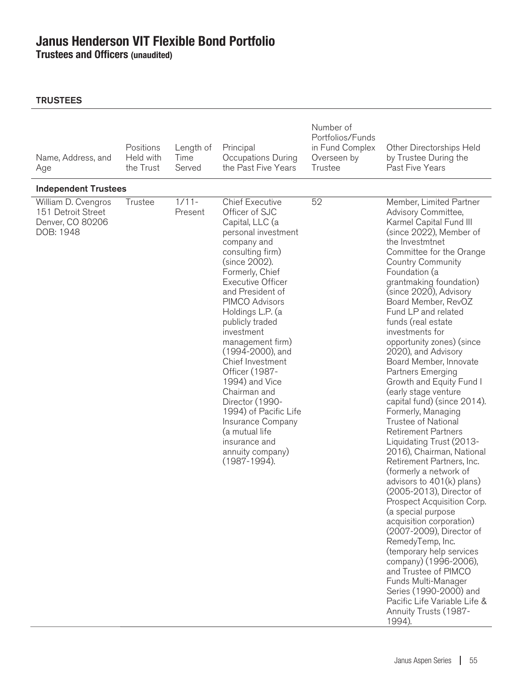**Trustees and Officers (unaudited)**

| Name, Address, and<br>Age                                                  | Positions<br>Held with<br>the Trust | Length of<br>Time<br>Served | Principal<br>Occupations During<br>the Past Five Years                                                                                                                                                                                                                                                                                                                                                                                                                                                                                               | Number of<br>Portfolios/Funds<br>in Fund Complex<br>Overseen by<br>Trustee | Other Directorships Held<br>by Trustee During the<br>Past Five Years                                                                                                                                                                                                                                                                                                                                                                                                                                                                                                                                                                                                                                                                                                                                                                                                                                                                                                                                                                                                                                                      |
|----------------------------------------------------------------------------|-------------------------------------|-----------------------------|------------------------------------------------------------------------------------------------------------------------------------------------------------------------------------------------------------------------------------------------------------------------------------------------------------------------------------------------------------------------------------------------------------------------------------------------------------------------------------------------------------------------------------------------------|----------------------------------------------------------------------------|---------------------------------------------------------------------------------------------------------------------------------------------------------------------------------------------------------------------------------------------------------------------------------------------------------------------------------------------------------------------------------------------------------------------------------------------------------------------------------------------------------------------------------------------------------------------------------------------------------------------------------------------------------------------------------------------------------------------------------------------------------------------------------------------------------------------------------------------------------------------------------------------------------------------------------------------------------------------------------------------------------------------------------------------------------------------------------------------------------------------------|
| <b>Independent Trustees</b>                                                |                                     |                             |                                                                                                                                                                                                                                                                                                                                                                                                                                                                                                                                                      |                                                                            |                                                                                                                                                                                                                                                                                                                                                                                                                                                                                                                                                                                                                                                                                                                                                                                                                                                                                                                                                                                                                                                                                                                           |
| William D. Cvengros<br>151 Detroit Street<br>Denver, CO 80206<br>DOB: 1948 | Trustee                             | $1/11 -$<br>Present         | <b>Chief Executive</b><br>Officer of SJC<br>Capital, LLC (a<br>personal investment<br>company and<br>consulting firm)<br>(since 2002).<br>Formerly, Chief<br><b>Executive Officer</b><br>and President of<br><b>PIMCO Advisors</b><br>Holdings L.P. (a<br>publicly traded<br>investment<br>management firm)<br>(1994-2000), and<br>Chief Investment<br>Officer (1987-<br>1994) and Vice<br>Chairman and<br>Director (1990-<br>1994) of Pacific Life<br>Insurance Company<br>(a mutual life<br>insurance and<br>annuity company)<br>$(1987 - 1994)$ . | 52                                                                         | Member, Limited Partner<br>Advisory Committee,<br>Karmel Capital Fund III<br>(since 2022), Member of<br>the Investmtnet<br>Committee for the Orange<br><b>Country Community</b><br>Foundation (a<br>grantmaking foundation)<br>(since 2020), Advisory<br>Board Member, RevOZ<br>Fund LP and related<br>funds (real estate<br>investments for<br>opportunity zones) (since<br>2020), and Advisory<br>Board Member, Innovate<br>Partners Emerging<br>Growth and Equity Fund I<br>(early stage venture<br>capital fund) (since 2014).<br>Formerly, Managing<br>Trustee of National<br><b>Retirement Partners</b><br>Liquidating Trust (2013-<br>2016), Chairman, National<br>Retirement Partners, Inc.<br>(formerly a network of<br>advisors to $401(k)$ plans)<br>(2005-2013), Director of<br>Prospect Acquisition Corp.<br>(a special purpose<br>acquisition corporation)<br>(2007-2009), Director of<br>RemedyTemp, Inc.<br>(temporary help services<br>company) (1996-2006),<br>and Trustee of PIMCO<br>Funds Multi-Manager<br>Series (1990-2000) and<br>Pacific Life Variable Life &<br>Annuity Trusts (1987-<br>1994). |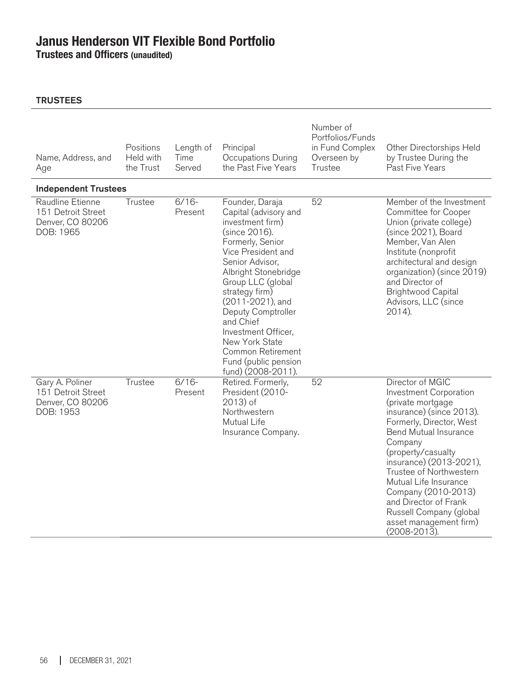**Trustees and Officers (unaudited)**

| Name, Address, and<br>Age                                               | Positions<br>Held with<br>the Trust | Length of<br>Time<br>Served | Principal<br>Occupations During<br>the Past Five Years                                                                                                                                                                                                                                                                                                                       | Number of<br>Portfolios/Funds<br>in Fund Complex<br>Overseen by<br>Trustee | Other Directorships Held<br>by Trustee During the<br>Past Five Years                                                                                                                                                                                                                                                                                                                                    |
|-------------------------------------------------------------------------|-------------------------------------|-----------------------------|------------------------------------------------------------------------------------------------------------------------------------------------------------------------------------------------------------------------------------------------------------------------------------------------------------------------------------------------------------------------------|----------------------------------------------------------------------------|---------------------------------------------------------------------------------------------------------------------------------------------------------------------------------------------------------------------------------------------------------------------------------------------------------------------------------------------------------------------------------------------------------|
| <b>Independent Trustees</b>                                             |                                     |                             |                                                                                                                                                                                                                                                                                                                                                                              |                                                                            |                                                                                                                                                                                                                                                                                                                                                                                                         |
| Raudline Etienne<br>151 Detroit Street<br>Denver, CO 80206<br>DOB: 1965 | Trustee                             | $6/16-$<br>Present          | Founder, Daraja<br>Capital (advisory and<br>investment firm)<br>(since 2016).<br>Formerly, Senior<br>Vice President and<br>Senior Advisor,<br>Albright Stonebridge<br>Group LLC (global<br>strategy firm)<br>(2011-2021), and<br>Deputy Comptroller<br>and Chief<br>Investment Officer,<br>New York State<br>Common Retirement<br>Fund (public pension<br>fund) (2008-2011). | 52                                                                         | Member of the Investment<br>Committee for Cooper<br>Union (private college)<br>(since 2021), Board<br>Member, Van Alen<br>Institute (nonprofit<br>architectural and design<br>organization) (since 2019)<br>and Director of<br><b>Brightwood Capital</b><br>Advisors, LLC (since<br>2014).                                                                                                              |
| Gary A. Poliner<br>151 Detroit Street<br>Denver, CO 80206<br>DOB: 1953  | Trustee                             | $6/16-$<br>Present          | Retired. Formerly,<br>President (2010-<br>$2013$ ) of<br>Northwestern<br>Mutual Life<br>Insurance Company.                                                                                                                                                                                                                                                                   | 52                                                                         | Director of MGIC<br><b>Investment Corporation</b><br>(private mortgage<br>insurance) (since 2013).<br>Formerly, Director, West<br><b>Bend Mutual Insurance</b><br>Company<br>(property/casualty<br>insurance) (2013-2021),<br>Trustee of Northwestern<br>Mutual Life Insurance<br>Company (2010-2013)<br>and Director of Frank<br>Russell Company (global<br>asset management firm)<br>$(2008 - 2013).$ |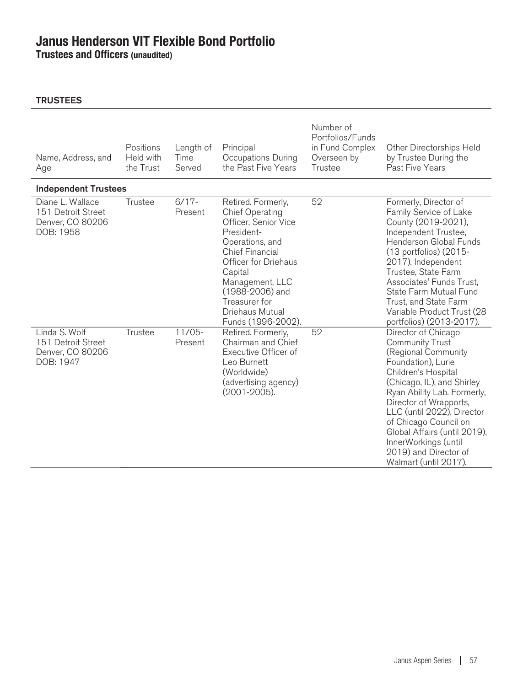**Trustees and Officers (unaudited)**

| Name, Address, and<br>Age                                               | Positions<br>Held with<br>the Trust | Length of<br>Time<br>Served | Principal<br>Occupations During<br>the Past Five Years                                                                                                                                                                                                             | Number of<br>Portfolios/Funds<br>in Fund Complex<br>Overseen by<br>Trustee | Other Directorships Held<br>by Trustee During the<br>Past Five Years                                                                                                                                                                                                                                                                                                      |
|-------------------------------------------------------------------------|-------------------------------------|-----------------------------|--------------------------------------------------------------------------------------------------------------------------------------------------------------------------------------------------------------------------------------------------------------------|----------------------------------------------------------------------------|---------------------------------------------------------------------------------------------------------------------------------------------------------------------------------------------------------------------------------------------------------------------------------------------------------------------------------------------------------------------------|
| <b>Independent Trustees</b>                                             |                                     |                             |                                                                                                                                                                                                                                                                    |                                                                            |                                                                                                                                                                                                                                                                                                                                                                           |
| Diane L. Wallace<br>151 Detroit Street<br>Denver, CO 80206<br>DOB: 1958 | Trustee                             | $6/17 -$<br>Present         | Retired. Formerly,<br><b>Chief Operating</b><br>Officer, Senior Vice<br>President-<br>Operations, and<br><b>Chief Financial</b><br>Officer for Driehaus<br>Capital<br>Management, LLC<br>(1988-2006) and<br>Treasurer for<br>Driehaus Mutual<br>Funds (1996-2002). | 52                                                                         | Formerly, Director of<br>Family Service of Lake<br>County (2019-2021),<br>Independent Trustee,<br>Henderson Global Funds<br>(13 portfolios) (2015-<br>2017), Independent<br>Trustee, State Farm<br>Associates' Funds Trust,<br>State Farm Mutual Fund<br>Trust, and State Farm<br>Variable Product Trust (28<br>portfolios) (2013-2017).                                  |
| Linda S. Wolf<br>151 Detroit Street<br>Denver, CO 80206<br>DOB: 1947    | Trustee                             | $11/05 -$<br>Present        | Retired. Formerly,<br>Chairman and Chief<br>Executive Officer of<br>Leo Burnett<br>(Worldwide)<br>(advertising agency)<br>$(2001 - 2005)$ .                                                                                                                        | 52                                                                         | Director of Chicago<br><b>Community Trust</b><br>(Regional Community<br>Foundation), Lurie<br>Children's Hospital<br>(Chicago, IL), and Shirley<br>Ryan Ability Lab. Formerly,<br>Director of Wrapports,<br>LLC (until 2022), Director<br>of Chicago Council on<br>Global Affairs (until 2019),<br>InnerWorkings (until<br>2019) and Director of<br>Walmart (until 2017). |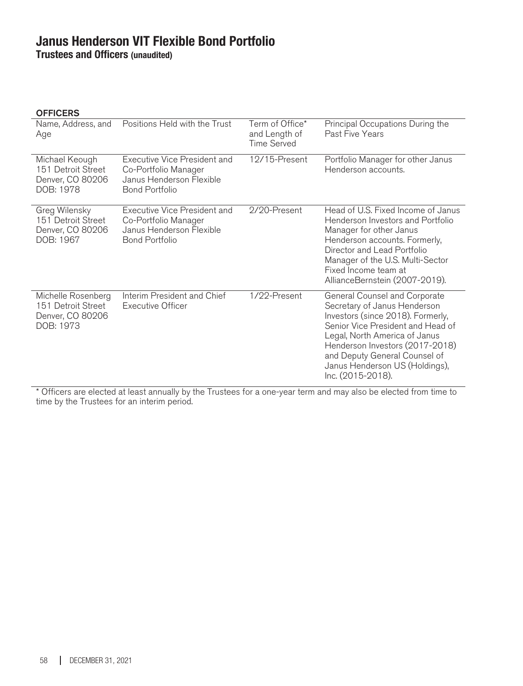**Trustees and Officers (unaudited)**

| Name, Address, and<br>Age                                                 | Positions Held with the Trust                                                                             | Term of Office*<br>and Length of<br>Time Served | Principal Occupations During the<br>Past Five Years                                                                                                                                                                                                                                                 |
|---------------------------------------------------------------------------|-----------------------------------------------------------------------------------------------------------|-------------------------------------------------|-----------------------------------------------------------------------------------------------------------------------------------------------------------------------------------------------------------------------------------------------------------------------------------------------------|
| Michael Keough<br>151 Detroit Street<br>Denver, CO 80206<br>DOB: 1978     | Executive Vice President and<br>Co-Portfolio Manager<br>Janus Henderson Flexible<br><b>Bond Portfolio</b> | 12/15-Present                                   | Portfolio Manager for other Janus<br>Henderson accounts.                                                                                                                                                                                                                                            |
| Greg Wilensky<br>151 Detroit Street<br>Denver, CO 80206<br>DOB: 1967      | Executive Vice President and<br>Co-Portfolio Manager<br>Janus Henderson Flexible<br><b>Bond Portfolio</b> | 2/20-Present                                    | Head of U.S. Fixed Income of Janus<br>Henderson Investors and Portfolio<br>Manager for other Janus<br>Henderson accounts. Formerly,<br>Director and Lead Portfolio<br>Manager of the U.S. Multi-Sector<br>Fixed Income team at<br>AllianceBernstein (2007-2019).                                    |
| Michelle Rosenberg<br>151 Detroit Street<br>Denver, CO 80206<br>DOB: 1973 | Interim President and Chief<br><b>Executive Officer</b>                                                   | 1/22-Present                                    | General Counsel and Corporate<br>Secretary of Janus Henderson<br>Investors (since 2018). Formerly,<br>Senior Vice President and Head of<br>Legal, North America of Janus<br>Henderson Investors (2017-2018)<br>and Deputy General Counsel of<br>Janus Henderson US (Holdings),<br>Inc. (2015-2018). |

\* Officers are elected at least annually by the Trustees for a one-year term and may also be elected from time to time by the Trustees for an interim period.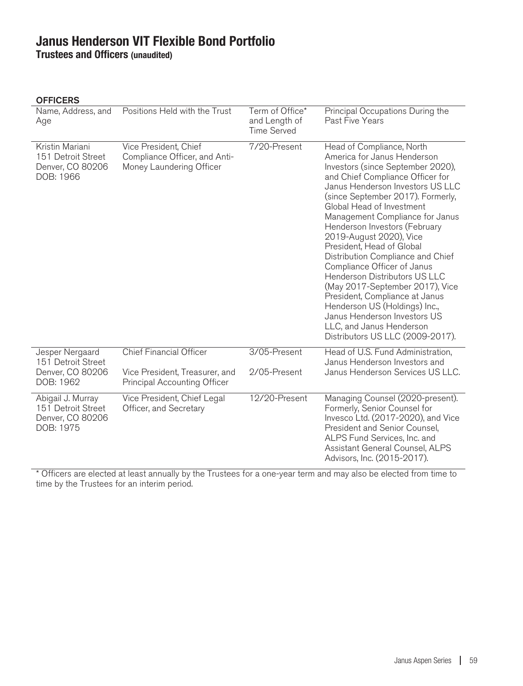**Trustees and Officers (unaudited)**

### **OFFICERS**

| Name, Address, and<br>Age                                                | Positions Held with the Trust                                                      | Term of Office*<br>and Length of<br><b>Time Served</b> | Principal Occupations During the<br>Past Five Years                                                                                                                                                                                                                                                                                                                                                                                                                                                                                                                                                                                                                            |
|--------------------------------------------------------------------------|------------------------------------------------------------------------------------|--------------------------------------------------------|--------------------------------------------------------------------------------------------------------------------------------------------------------------------------------------------------------------------------------------------------------------------------------------------------------------------------------------------------------------------------------------------------------------------------------------------------------------------------------------------------------------------------------------------------------------------------------------------------------------------------------------------------------------------------------|
| Kristin Mariani<br>151 Detroit Street<br>Denver, CO 80206<br>DOB: 1966   | Vice President, Chief<br>Compliance Officer, and Anti-<br>Money Laundering Officer | 7/20-Present                                           | Head of Compliance, North<br>America for Janus Henderson<br>Investors (since September 2020),<br>and Chief Compliance Officer for<br>Janus Henderson Investors US LLC<br>(since September 2017). Formerly,<br>Global Head of Investment<br>Management Compliance for Janus<br>Henderson Investors (February<br>2019-August 2020), Vice<br>President, Head of Global<br>Distribution Compliance and Chief<br>Compliance Officer of Janus<br>Henderson Distributors US LLC<br>(May 2017-September 2017), Vice<br>President, Compliance at Janus<br>Henderson US (Holdings) Inc.,<br>Janus Henderson Investors US<br>LLC, and Janus Henderson<br>Distributors US LLC (2009-2017). |
| Jesper Nergaard<br>151 Detroit Street<br>Denver, CO 80206<br>DOB: 1962   | <b>Chief Financial Officer</b>                                                     | 3/05-Present                                           | Head of U.S. Fund Administration,<br>Janus Henderson Investors and<br>Janus Henderson Services US LLC.                                                                                                                                                                                                                                                                                                                                                                                                                                                                                                                                                                         |
|                                                                          | Vice President, Treasurer, and<br><b>Principal Accounting Officer</b>              | 2/05-Present                                           |                                                                                                                                                                                                                                                                                                                                                                                                                                                                                                                                                                                                                                                                                |
| Abigail J. Murray<br>151 Detroit Street<br>Denver, CO 80206<br>DOB: 1975 | Vice President, Chief Legal<br>Officer, and Secretary                              | 12/20-Present                                          | Managing Counsel (2020-present).<br>Formerly, Senior Counsel for<br>Invesco Ltd. (2017-2020), and Vice<br>President and Senior Counsel,<br>ALPS Fund Services, Inc. and<br>Assistant General Counsel, ALPS<br>Advisors, Inc. (2015-2017).                                                                                                                                                                                                                                                                                                                                                                                                                                      |

\* Officers are elected at least annually by the Trustees for a one-year term and may also be elected from time to time by the Trustees for an interim period.